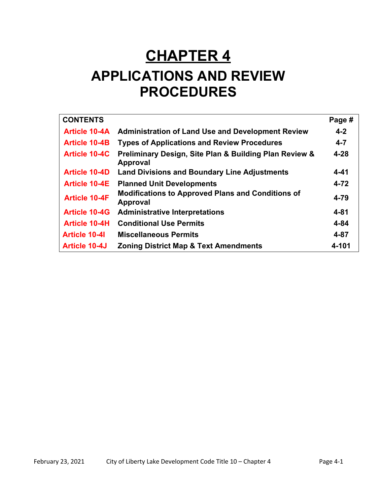# **CHAPTER 4**

# **APPLICATIONS AND REVIEW PROCEDURES**

| <b>CONTENTS</b>      |                                                                           | Page #   |
|----------------------|---------------------------------------------------------------------------|----------|
| <b>Article 10-4A</b> | <b>Administration of Land Use and Development Review</b>                  | $4 - 2$  |
| <b>Article 10-4B</b> | <b>Types of Applications and Review Procedures</b>                        | $4 - 7$  |
| <b>Article 10-4C</b> | Preliminary Design, Site Plan & Building Plan Review &<br><b>Approval</b> | $4 - 28$ |
| <b>Article 10-4D</b> | <b>Land Divisions and Boundary Line Adjustments</b>                       | $4 - 41$ |
| <b>Article 10-4E</b> | <b>Planned Unit Developments</b>                                          | $4 - 72$ |
| <b>Article 10-4F</b> | <b>Modifications to Approved Plans and Conditions of</b><br>Approval      | 4-79     |
| <b>Article 10-4G</b> | <b>Administrative Interpretations</b>                                     | $4 - 81$ |
| <b>Article 10-4H</b> | <b>Conditional Use Permits</b>                                            | $4 - 84$ |
| <b>Article 10-41</b> | <b>Miscellaneous Permits</b>                                              | $4 - 87$ |
| <b>Article 10-4J</b> | <b>Zoning District Map &amp; Text Amendments</b>                          | 4-101    |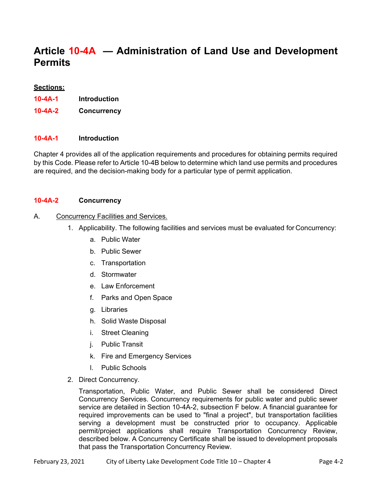# **Article 10-4A — Administration of Land Use and Development Permits**

### **Sections:**

- **10-4A-1 Introduction**
- **10-4A-2 Concurrency**

### **10-4A-1 Introduction**

Chapter 4 provides all of the application requirements and procedures for obtaining permits required by this Code. Please refer to Article 10-4B below to determine which land use permits and procedures are required, and the decision-making body for a particular type of permit application.

### **10-4A-2 Concurrency**

### A. Concurrency Facilities and Services.

- 1. Applicability. The following facilities and services must be evaluated for Concurrency:
	- a. Public Water
	- b. Public Sewer
	- c. Transportation
	- d. Stormwater
	- e. Law Enforcement
	- f. Parks and Open Space
	- g. Libraries
	- h. Solid Waste Disposal
	- i. Street Cleaning
	- j. Public Transit
	- k. Fire and Emergency Services
	- l. Public Schools
- 2. Direct Concurrency.

Transportation, Public Water, and Public Sewer shall be considered Direct Concurrency Services. Concurrency requirements for public water and public sewer service are detailed in Section 10-4A-2, subsection F below. A financial guarantee for required improvements can be used to "final a project", but transportation facilities serving a development must be constructed prior to occupancy. Applicable permit/project applications shall require Transportation Concurrency Review, described below. A Concurrency Certificate shall be issued to development proposals that pass the Transportation Concurrency Review.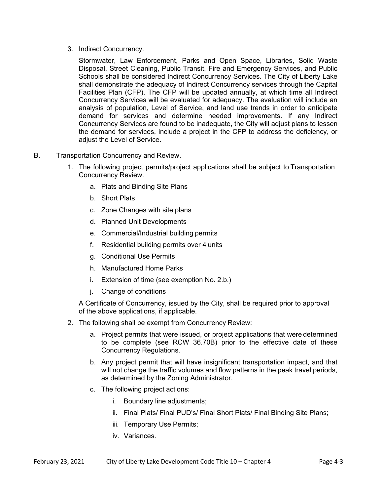3. Indirect Concurrency.

Stormwater, Law Enforcement, Parks and Open Space, Libraries, Solid Waste Disposal, Street Cleaning, Public Transit, Fire and Emergency Services, and Public Schools shall be considered Indirect Concurrency Services. The City of Liberty Lake shall demonstrate the adequacy of Indirect Concurrency services through the Capital Facilities Plan (CFP). The CFP will be updated annually, at which time all Indirect Concurrency Services will be evaluated for adequacy. The evaluation will include an analysis of population, Level of Service, and land use trends in order to anticipate demand for services and determine needed improvements. If any Indirect Concurrency Services are found to be inadequate, the City will adjust plans to lessen the demand for services, include a project in the CFP to address the deficiency, or adjust the Level of Service.

### B. Transportation Concurrency and Review.

- 1. The following project permits/project applications shall be subject to Transportation Concurrency Review.
	- a. Plats and Binding Site Plans
	- b. Short Plats
	- c. Zone Changes with site plans
	- d. Planned Unit Developments
	- e. Commercial/Industrial building permits
	- f. Residential building permits over 4 units
	- g. Conditional Use Permits
	- h. Manufactured Home Parks
	- i. Extension of time (see exemption No. 2.b.)
	- j. Change of conditions

A Certificate of Concurrency, issued by the City, shall be required prior to approval of the above applications, if applicable.

- 2. The following shall be exempt from Concurrency Review:
	- a. Project permits that were issued, or project applications that were determined to be complete (see RCW 36.70B) prior to the effective date of these Concurrency Regulations.
	- b. Any project permit that will have insignificant transportation impact, and that will not change the traffic volumes and flow patterns in the peak travel periods, as determined by the Zoning Administrator.
	- c. The following project actions:
		- i. Boundary line adjustments;
		- ii. Final Plats/ Final PUD's/ Final Short Plats/ Final Binding Site Plans;
		- iii. Temporary Use Permits;
		- iv. Variances.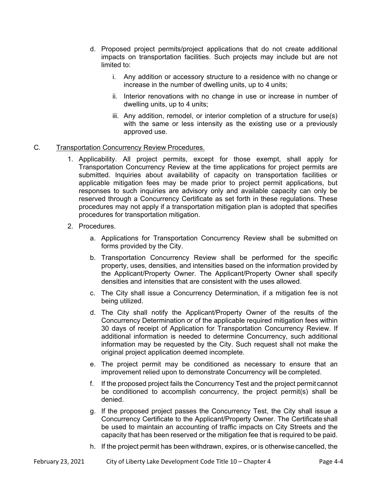- d. Proposed project permits/project applications that do not create additional impacts on transportation facilities. Such projects may include but are not limited to:
	- i. Any addition or accessory structure to a residence with no change or increase in the number of dwelling units, up to 4 units;
	- ii. Interior renovations with no change in use or increase in number of dwelling units, up to 4 units;
	- iii. Any addition, remodel, or interior completion of a structure for use(s) with the same or less intensity as the existing use or a previously approved use.

### C. Transportation Concurrency Review Procedures.

- 1. Applicability. All project permits, except for those exempt, shall apply for Transportation Concurrency Review at the time applications for project permits are submitted. Inquiries about availability of capacity on transportation facilities or applicable mitigation fees may be made prior to project permit applications, but responses to such inquiries are advisory only and available capacity can only be reserved through a Concurrency Certificate as set forth in these regulations. These procedures may not apply if a transportation mitigation plan is adopted that specifies procedures for transportation mitigation.
- 2. Procedures.
	- a. Applications for Transportation Concurrency Review shall be submitted on forms provided by the City.
	- b. Transportation Concurrency Review shall be performed for the specific property, uses, densities, and intensities based on the information provided by the Applicant/Property Owner. The Applicant/Property Owner shall specify densities and intensities that are consistent with the uses allowed.
	- c. The City shall issue a Concurrency Determination, if a mitigation fee is not being utilized.
	- d. The City shall notify the Applicant/Property Owner of the results of the Concurrency Determination or of the applicable required mitigation fees within 30 days of receipt of Application for Transportation Concurrency Review. If additional information is needed to determine Concurrency, such additional information may be requested by the City. Such request shall not make the original project application deemed incomplete.
	- e. The project permit may be conditioned as necessary to ensure that an improvement relied upon to demonstrate Concurrency will be completed.
	- f. If the proposed project fails the Concurrency Test and the project permit cannot be conditioned to accomplish concurrency, the project permit(s) shall be denied.
	- g. If the proposed project passes the Concurrency Test, the City shall issue a Concurrency Certificate to the Applicant/Property Owner. The Certificate shall be used to maintain an accounting of traffic impacts on City Streets and the capacity that has been reserved or the mitigation fee that is required to be paid.
	- h. If the project permit has been withdrawn, expires, or is otherwise cancelled, the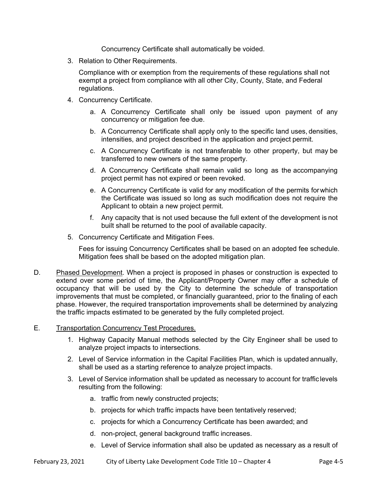Concurrency Certificate shall automatically be voided.

3. Relation to Other Requirements.

Compliance with or exemption from the requirements of these regulations shall not exempt a project from compliance with all other City, County, State, and Federal regulations.

- 4. Concurrency Certificate.
	- a. A Concurrency Certificate shall only be issued upon payment of any concurrency or mitigation fee due.
	- b. A Concurrency Certificate shall apply only to the specific land uses, densities, intensities, and project described in the application and project permit.
	- c. A Concurrency Certificate is not transferable to other property, but may be transferred to new owners of the same property.
	- d. A Concurrency Certificate shall remain valid so long as the accompanying project permit has not expired or been revoked.
	- e. A Concurrency Certificate is valid for any modification of the permits for which the Certificate was issued so long as such modification does not require the Applicant to obtain a new project permit.
	- f. Any capacity that is not used because the full extent of the development is not built shall be returned to the pool of available capacity.
- 5. Concurrency Certificate and Mitigation Fees.

Fees for issuing Concurrency Certificates shall be based on an adopted fee schedule. Mitigation fees shall be based on the adopted mitigation plan.

- D. Phased Development. When a project is proposed in phases or construction is expected to extend over some period of time, the Applicant/Property Owner may offer a schedule of occupancy that will be used by the City to determine the schedule of transportation improvements that must be completed, or financially guaranteed, prior to the finaling of each phase. However, the required transportation improvements shall be determined by analyzing the traffic impacts estimated to be generated by the fully completed project.
- E. Transportation Concurrency Test Procedures.
	- 1. Highway Capacity Manual methods selected by the City Engineer shall be used to analyze project impacts to intersections.
	- 2. Level of Service information in the Capital Facilities Plan, which is updated annually, shall be used as a starting reference to analyze project impacts.
	- 3. Level of Service information shall be updated as necessary to account for traffic levels resulting from the following:
		- a. traffic from newly constructed projects;
		- b. projects for which traffic impacts have been tentatively reserved;
		- c. projects for which a Concurrency Certificate has been awarded; and
		- d. non-project, general background traffic increases.
		- e. Level of Service information shall also be updated as necessary as a result of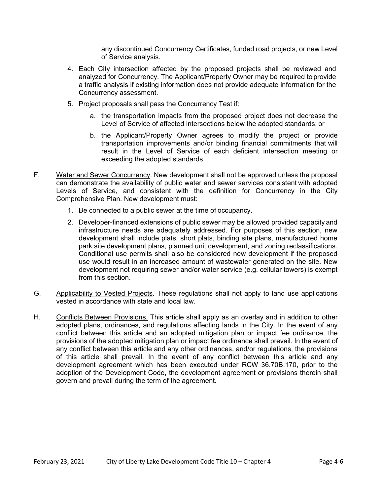any discontinued Concurrency Certificates, funded road projects, or new Level of Service analysis.

- 4. Each City intersection affected by the proposed projects shall be reviewed and analyzed for Concurrency. The Applicant/Property Owner may be required to provide a traffic analysis if existing information does not provide adequate information for the Concurrency assessment.
- 5. Project proposals shall pass the Concurrency Test if:
	- a. the transportation impacts from the proposed project does not decrease the Level of Service of affected intersections below the adopted standards; or
	- b. the Applicant/Property Owner agrees to modify the project or provide transportation improvements and/or binding financial commitments that will result in the Level of Service of each deficient intersection meeting or exceeding the adopted standards.
- F. Water and Sewer Concurrency. New development shall not be approved unless the proposal can demonstrate the availability of public water and sewer services consistent with adopted Levels of Service, and consistent with the definition for Concurrency in the City Comprehensive Plan. New development must:
	- 1. Be connected to a public sewer at the time of occupancy.
	- 2. Developer-financed extensions of public sewer may be allowed provided capacity and infrastructure needs are adequately addressed. For purposes of this section, new development shall include plats, short plats, binding site plans, manufactured home park site development plans, planned unit development, and zoning reclassifications. Conditional use permits shall also be considered new development if the proposed use would result in an increased amount of wastewater generated on the site. New development not requiring sewer and/or water service (e.g. cellular towers) is exempt from this section.
- G. Applicability to Vested Projects. These regulations shall not apply to land use applications vested in accordance with state and local law.
- H. Conflicts Between Provisions. This article shall apply as an overlay and in addition to other adopted plans, ordinances, and regulations affecting lands in the City. In the event of any conflict between this article and an adopted mitigation plan or impact fee ordinance, the provisions of the adopted mitigation plan or impact fee ordinance shall prevail. In the event of any conflict between this article and any other ordinances, and/or regulations, the provisions of this article shall prevail. In the event of any conflict between this article and any development agreement which has been executed under RCW 36.70B.170, prior to the adoption of the Development Code, the development agreement or provisions therein shall govern and prevail during the term of the agreement.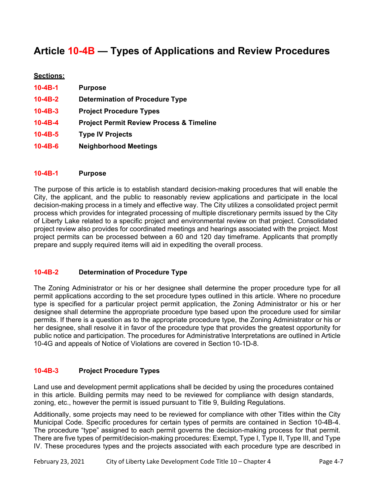# **Article 10-4B — Types of Applications and Review Procedures**

### **Sections:**

| $10 - 4B - 1$ | <b>Purpose</b>                                      |
|---------------|-----------------------------------------------------|
| $10 - 4B - 2$ | <b>Determination of Procedure Type</b>              |
| $10 - 4B - 3$ | <b>Project Procedure Types</b>                      |
| $10 - 4B - 4$ | <b>Project Permit Review Process &amp; Timeline</b> |
| $10 - 4B - 5$ | <b>Type IV Projects</b>                             |
| $10 - 4B - 6$ | <b>Neighborhood Meetings</b>                        |

### **10-4B-1 Purpose**

The purpose of this article is to establish standard decision-making procedures that will enable the City, the applicant, and the public to reasonably review applications and participate in the local decision-making process in a timely and effective way. The City utilizes a consolidated project permit process which provides for integrated processing of multiple discretionary permits issued by the City of Liberty Lake related to a specific project and environmental review on that project. Consolidated project review also provides for coordinated meetings and hearings associated with the project. Most project permits can be processed between a 60 and 120 day timeframe. Applicants that promptly prepare and supply required items will aid in expediting the overall process.

### **10-4B-2 Determination of Procedure Type**

The Zoning Administrator or his or her designee shall determine the proper procedure type for all permit applications according to the set procedure types outlined in this article. Where no procedure type is specified for a particular project permit application, the Zoning Administrator or his or her designee shall determine the appropriate procedure type based upon the procedure used for similar permits. If there is a question as to the appropriate procedure type, the Zoning Administrator or his or her designee, shall resolve it in favor of the procedure type that provides the greatest opportunity for public notice and participation. The procedures for Administrative Interpretations are outlined in Article 10-4G and appeals of Notice of Violations are covered in Section 10-1D-8.

### **10-4B-3 Project Procedure Types**

Land use and development permit applications shall be decided by using the procedures contained in this article. Building permits may need to be reviewed for compliance with design standards, zoning, etc., however the permit is issued pursuant to Title 9, Building Regulations.

Additionally, some projects may need to be reviewed for compliance with other Titles within the City Municipal Code. Specific procedures for certain types of permits are contained in Section 10-4B-4. The procedure "type" assigned to each permit governs the decision-making process for that permit. There are five types of permit/decision-making procedures: Exempt, Type I, Type II, Type III, and Type IV. These procedures types and the projects associated with each procedure type are described in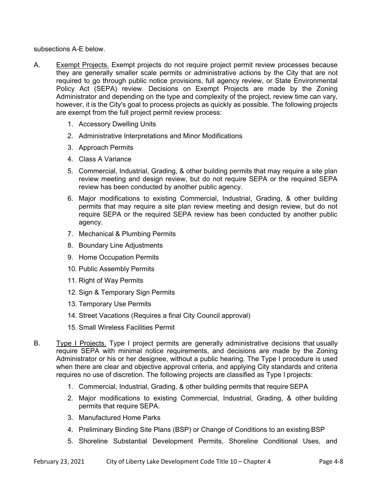subsections A-E below.

- A. Exempt Projects. Exempt projects do not require project permit review processes because they are generally smaller scale permits or administrative actions by the City that are not required to go through public notice provisions, full agency review, or State Environmental Policy Act (SEPA) review. Decisions on Exempt Projects are made by the Zoning Administrator and depending on the type and complexity of the project, review time can vary, however, it is the City's goal to process projects as quickly as possible. The following projects are exempt from the full project permit review process:
	- 1. Accessory Dwelling Units
	- 2. Administrative Interpretations and Minor Modifications
	- 3. Approach Permits
	- 4. Class A Variance
	- 5. Commercial, Industrial, Grading, & other building permits that may require a site plan review meeting and design review, but do not require SEPA or the required SEPA review has been conducted by another public agency.
	- 6. Major modifications to existing Commercial, Industrial, Grading, & other building permits that may require a site plan review meeting and design review, but do not require SEPA or the required SEPA review has been conducted by another public agency.
	- 7. Mechanical & Plumbing Permits
	- 8. Boundary Line Adjustments
	- 9. Home Occupation Permits
	- 10. Public Assembly Permits
	- 11. Right of Way Permits
	- 12. Sign & Temporary Sign Permits
	- 13. Temporary Use Permits
	- 14. Street Vacations (Requires a final City Council approval)
	- 15. Small Wireless Facilities Permit
- B. Type I Projects. Type I project permits are generally administrative decisions that usually require SEPA with minimal notice requirements, and decisions are made by the Zoning Administrator or his or her designee, without a public hearing. The Type I procedure is used when there are clear and objective approval criteria, and applying City standards and criteria requires no use of discretion. The following projects are classified as Type I projects:
	- 1. Commercial, Industrial, Grading, & other building permits that require SEPA
	- 2. Major modifications to existing Commercial, Industrial, Grading, & other building permits that require SEPA.
	- 3. Manufactured Home Parks
	- 4. Preliminary Binding Site Plans (BSP) or Change of Conditions to an existing BSP
	- 5. Shoreline Substantial Development Permits, Shoreline Conditional Uses, and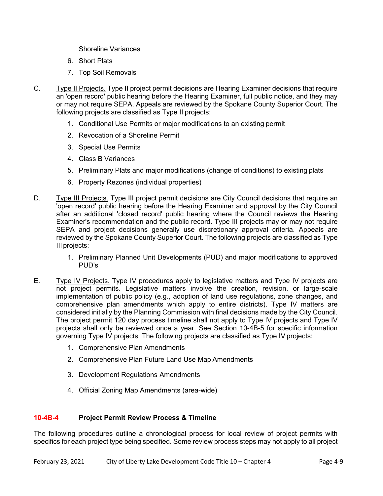Shoreline Variances

- 6. Short Plats
- 7. Top Soil Removals
- C. Type II Projects. Type II project permit decisions are Hearing Examiner decisions that require an 'open record' public hearing before the Hearing Examiner, full public notice, and they may or may not require SEPA. Appeals are reviewed by the Spokane County Superior Court. The following projects are classified as Type II projects:
	- 1. Conditional Use Permits or major modifications to an existing permit
	- 2. Revocation of a Shoreline Permit
	- 3. Special Use Permits
	- 4. Class B Variances
	- 5. Preliminary Plats and major modifications (change of conditions) to existing plats
	- 6. Property Rezones (individual properties)
- D. Type III Projects. Type III project permit decisions are City Council decisions that require an 'open record' public hearing before the Hearing Examiner and approval by the City Council after an additional 'closed record' public hearing where the Council reviews the Hearing Examiner's recommendation and the public record. Type III projects may or may not require SEPA and project decisions generally use discretionary approval criteria. Appeals are reviewed by the Spokane County Superior Court. The following projects are classified as Type III projects:
	- 1. Preliminary Planned Unit Developments (PUD) and major modifications to approved PUD's
- E. Type IV Projects. Type IV procedures apply to legislative matters and Type IV projects are not project permits. Legislative matters involve the creation, revision, or large-scale implementation of public policy (e.g., adoption of land use regulations, zone changes, and comprehensive plan amendments which apply to entire districts). Type IV matters are considered initially by the Planning Commission with final decisions made by the City Council. The project permit 120 day process timeline shall not apply to Type IV projects and Type IV projects shall only be reviewed once a year. See Section 10-4B-5 for specific information governing Type IV projects. The following projects are classified as Type IV projects:
	- 1. Comprehensive Plan Amendments
	- 2. Comprehensive Plan Future Land Use Map Amendments
	- 3. Development Regulations Amendments
	- 4. Official Zoning Map Amendments (area-wide)

### **10-4B-4 Project Permit Review Process & Timeline**

The following procedures outline a chronological process for local review of project permits with specifics for each project type being specified. Some review process steps may not apply to all project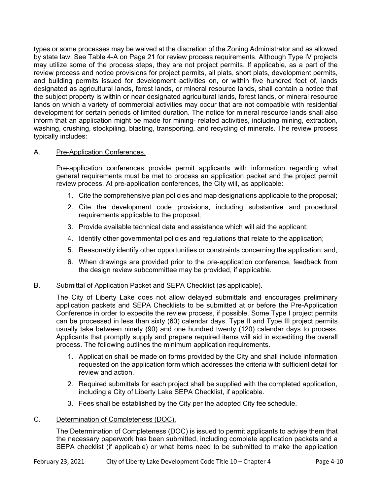types or some processes may be waived at the discretion of the Zoning Administrator and as allowed by state law. See Table 4-A on Page 21 for review process requirements. Although Type IV projects may utilize some of the process steps, they are not project permits. If applicable, as a part of the review process and notice provisions for project permits, all plats, short plats, development permits, and building permits issued for development activities on, or within five hundred feet of, lands designated as agricultural lands, forest lands, or mineral resource lands, shall contain a notice that the subject property is within or near designated agricultural lands, forest lands, or mineral resource lands on which a variety of commercial activities may occur that are not compatible with residential development for certain periods of limited duration. The notice for mineral resource lands shall also inform that an application might be made for mining- related activities, including mining, extraction, washing, crushing, stockpiling, blasting, transporting, and recycling of minerals. The review process typically includes:

### A. Pre-Application Conferences.

 Pre-application conferences provide permit applicants with information regarding what general requirements must be met to process an application packet and the project permit review process. At pre-application conferences, the City will, as applicable:

- 1. Cite the comprehensive plan policies and map designations applicable to the proposal;
- 2. Cite the development code provisions, including substantive and procedural requirements applicable to the proposal;
- 3. Provide available technical data and assistance which will aid the applicant;
- 4. Identify other governmental policies and regulations that relate to the application;
- 5. Reasonably identify other opportunities or constraints concerning the application; and,
- 6. When drawings are provided prior to the pre-application conference, feedback from the design review subcommittee may be provided, if applicable.

### B. Submittal of Application Packet and SEPA Checklist (as applicable).

 The City of Liberty Lake does not allow delayed submittals and encourages preliminary application packets and SEPA Checklists to be submitted at or before the Pre-Application Conference in order to expedite the review process, if possible. Some Type I project permits can be processed in less than sixty (60) calendar days. Type II and Type III project permits usually take between ninety (90) and one hundred twenty (120) calendar days to process. Applicants that promptly supply and prepare required items will aid in expediting the overall process. The following outlines the minimum application requirements.

- 1. Application shall be made on forms provided by the City and shall include information requested on the application form which addresses the criteria with sufficient detail for review and action.
- 2. Required submittals for each project shall be supplied with the completed application, including a City of Liberty Lake SEPA Checklist, if applicable.
- 3. Fees shall be established by the City per the adopted City fee schedule.

### C. Determination of Completeness (DOC).

The Determination of Completeness (DOC) is issued to permit applicants to advise them that the necessary paperwork has been submitted, including complete application packets and a SEPA checklist (if applicable) or what items need to be submitted to make the application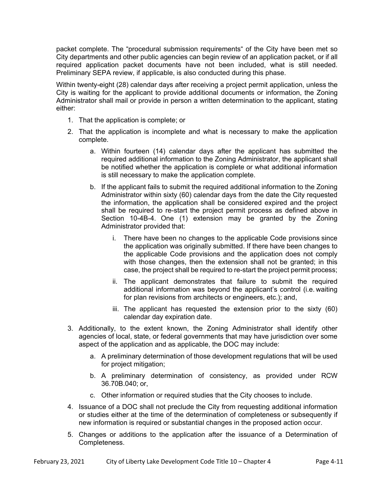packet complete. The "procedural submission requirements" of the City have been met so City departments and other public agencies can begin review of an application packet, or if all required application packet documents have not been included, what is still needed. Preliminary SEPA review, if applicable, is also conducted during this phase.

Within twenty-eight (28) calendar days after receiving a project permit application, unless the City is waiting for the applicant to provide additional documents or information, the Zoning Administrator shall mail or provide in person a written determination to the applicant, stating either:

- 1. That the application is complete; or
- 2. That the application is incomplete and what is necessary to make the application complete.
	- a. Within fourteen (14) calendar days after the applicant has submitted the required additional information to the Zoning Administrator, the applicant shall be notified whether the application is complete or what additional information is still necessary to make the application complete.
	- b. If the applicant fails to submit the required additional information to the Zoning Administrator within sixty (60) calendar days from the date the City requested the information, the application shall be considered expired and the project shall be required to re-start the project permit process as defined above in Section 10-4B-4. One (1) extension may be granted by the Zoning Administrator provided that:
		- i. There have been no changes to the applicable Code provisions since the application was originally submitted. If there have been changes to the applicable Code provisions and the application does not comply with those changes, then the extension shall not be granted; in this case, the project shall be required to re-start the project permit process;
		- ii. The applicant demonstrates that failure to submit the required additional information was beyond the applicant's control (i.e. waiting for plan revisions from architects or engineers, etc.); and,
		- iii. The applicant has requested the extension prior to the sixty (60) calendar day expiration date.
- 3. Additionally, to the extent known, the Zoning Administrator shall identify other agencies of local, state, or federal governments that may have jurisdiction over some aspect of the application and as applicable, the DOC may include:
	- a. A preliminary determination of those development regulations that will be used for project mitigation;
	- b. A preliminary determination of consistency, as provided under RCW 36.70B.040; or,
	- c. Other information or required studies that the City chooses to include.
- 4. Issuance of a DOC shall not preclude the City from requesting additional information or studies either at the time of the determination of completeness or subsequently if new information is required or substantial changes in the proposed action occur.
- 5. Changes or additions to the application after the issuance of a Determination of Completeness.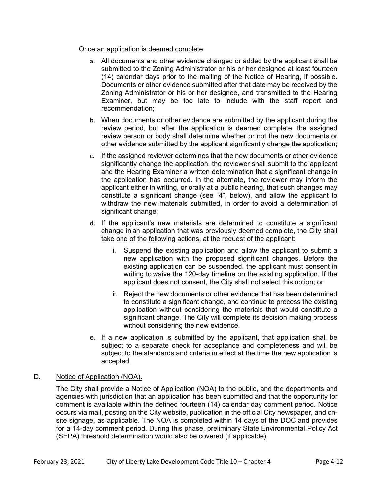Once an application is deemed complete:

- a. All documents and other evidence changed or added by the applicant shall be submitted to the Zoning Administrator or his or her designee at least fourteen (14) calendar days prior to the mailing of the Notice of Hearing, if possible. Documents or other evidence submitted after that date may be received by the Zoning Administrator or his or her designee, and transmitted to the Hearing Examiner, but may be too late to include with the staff report and recommendation;
- b. When documents or other evidence are submitted by the applicant during the review period, but after the application is deemed complete, the assigned review person or body shall determine whether or not the new documents or other evidence submitted by the applicant significantly change the application;
- c. If the assigned reviewer determines that the new documents or other evidence significantly change the application, the reviewer shall submit to the applicant and the Hearing Examiner a written determination that a significant change in the application has occurred. In the alternate, the reviewer may inform the applicant either in writing, or orally at a public hearing, that such changes may constitute a significant change (see "4", below), and allow the applicant to withdraw the new materials submitted, in order to avoid a determination of significant change:
- d. If the applicant's new materials are determined to constitute a significant change in an application that was previously deemed complete, the City shall take one of the following actions, at the request of the applicant:
	- i. Suspend the existing application and allow the applicant to submit a new application with the proposed significant changes. Before the existing application can be suspended, the applicant must consent in writing to waive the 120-day timeline on the existing application. If the applicant does not consent, the City shall not select this option; or
	- ii. Reject the new documents or other evidence that has been determined to constitute a significant change, and continue to process the existing application without considering the materials that would constitute a significant change. The City will complete its decision making process without considering the new evidence.
- e. If a new application is submitted by the applicant, that application shall be subject to a separate check for acceptance and completeness and will be subject to the standards and criteria in effect at the time the new application is accepted.

### D. Notice of Application (NOA).

The City shall provide a Notice of Application (NOA) to the public, and the departments and agencies with jurisdiction that an application has been submitted and that the opportunity for comment is available within the defined fourteen (14) calendar day comment period. Notice occurs via mail, posting on the City website, publication in the official City newspaper, and onsite signage, as applicable. The NOA is completed within 14 days of the DOC and provides for a 14-day comment period. During this phase, preliminary State Environmental Policy Act (SEPA) threshold determination would also be covered (if applicable).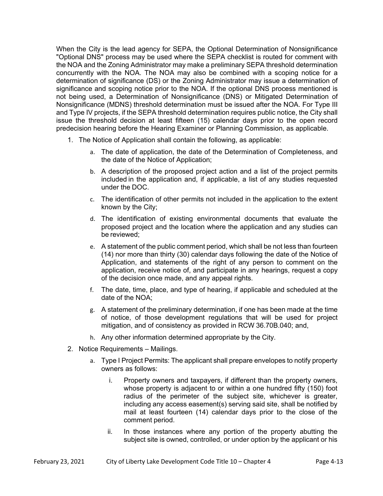When the City is the lead agency for SEPA, the Optional Determination of Nonsignificance "Optional DNS" process may be used where the SEPA checklist is routed for comment with the NOA and the Zoning Administrator may make a preliminary SEPA threshold determination concurrently with the NOA. The NOA may also be combined with a scoping notice for a determination of significance (DS) or the Zoning Administrator may issue a determination of significance and scoping notice prior to the NOA. If the optional DNS process mentioned is not being used, a Determination of Nonsignificance (DNS) or Mitigated Determination of Nonsignificance (MDNS) threshold determination must be issued after the NOA. For Type III and Type IV projects, if the SEPA threshold determination requires public notice, the City shall issue the threshold decision at least fifteen (15) calendar days prior to the open record predecision hearing before the Hearing Examiner or Planning Commission, as applicable.

- 1. The Notice of Application shall contain the following, as applicable:
	- a. The date of application, the date of the Determination of Completeness, and the date of the Notice of Application;
	- b. A description of the proposed project action and a list of the project permits included in the application and, if applicable, a list of any studies requested under the DOC.
	- c. The identification of other permits not included in the application to the extent known by the City;
	- d. The identification of existing environmental documents that evaluate the proposed project and the location where the application and any studies can be reviewed;
	- e. A statement of the public comment period, which shall be not less than fourteen (14) nor more than thirty (30) calendar days following the date of the Notice of Application, and statements of the right of any person to comment on the application, receive notice of, and participate in any hearings, request a copy of the decision once made, and any appeal rights.
	- f. The date, time, place, and type of hearing, if applicable and scheduled at the date of the NOA;
	- g. A statement of the preliminary determination, if one has been made at the time of notice, of those development regulations that will be used for project mitigation, and of consistency as provided in RCW 36.70B.040; and,
	- h. Any other information determined appropriate by the City.
- 2. Notice Requirements Mailings.
	- a. Type I Project Permits: The applicant shall prepare envelopes to notify property owners as follows:
		- i. Property owners and taxpayers, if different than the property owners, whose property is adjacent to or within a one hundred fifty (150) foot radius of the perimeter of the subject site, whichever is greater, including any access easement(s) serving said site, shall be notified by mail at least fourteen (14) calendar days prior to the close of the comment period.
		- ii. In those instances where any portion of the property abutting the subject site is owned, controlled, or under option by the applicant or his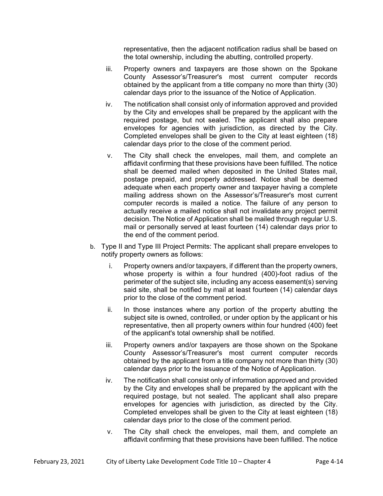representative, then the adjacent notification radius shall be based on the total ownership, including the abutting, controlled property.

- iii. Property owners and taxpayers are those shown on the Spokane County Assessor's/Treasurer's most current computer records obtained by the applicant from a title company no more than thirty (30) calendar days prior to the issuance of the Notice of Application.
- iv. The notification shall consist only of information approved and provided by the City and envelopes shall be prepared by the applicant with the required postage, but not sealed. The applicant shall also prepare envelopes for agencies with jurisdiction, as directed by the City. Completed envelopes shall be given to the City at least eighteen (18) calendar days prior to the close of the comment period.
- v. The City shall check the envelopes, mail them, and complete an affidavit confirming that these provisions have been fulfilled. The notice shall be deemed mailed when deposited in the United States mail, postage prepaid, and properly addressed. Notice shall be deemed adequate when each property owner and taxpayer having a complete mailing address shown on the Assessor's/Treasurer's most current computer records is mailed a notice. The failure of any person to actually receive a mailed notice shall not invalidate any project permit decision. The Notice of Application shall be mailed through regular U.S. mail or personally served at least fourteen (14) calendar days prior to the end of the comment period.
- b. Type II and Type III Project Permits: The applicant shall prepare envelopes to notify property owners as follows:
	- i. Property owners and/or taxpayers, if different than the property owners, whose property is within a four hundred (400)-foot radius of the perimeter of the subject site, including any access easement(s) serving said site, shall be notified by mail at least fourteen (14) calendar days prior to the close of the comment period.
	- ii. In those instances where any portion of the property abutting the subject site is owned, controlled, or under option by the applicant or his representative, then all property owners within four hundred (400) feet of the applicant's total ownership shall be notified.
	- iii. Property owners and/or taxpayers are those shown on the Spokane County Assessor's/Treasurer's most current computer records obtained by the applicant from a title company not more than thirty (30) calendar days prior to the issuance of the Notice of Application.
	- iv. The notification shall consist only of information approved and provided by the City and envelopes shall be prepared by the applicant with the required postage, but not sealed. The applicant shall also prepare envelopes for agencies with jurisdiction, as directed by the City. Completed envelopes shall be given to the City at least eighteen (18) calendar days prior to the close of the comment period.
	- v. The City shall check the envelopes, mail them, and complete an affidavit confirming that these provisions have been fulfilled. The notice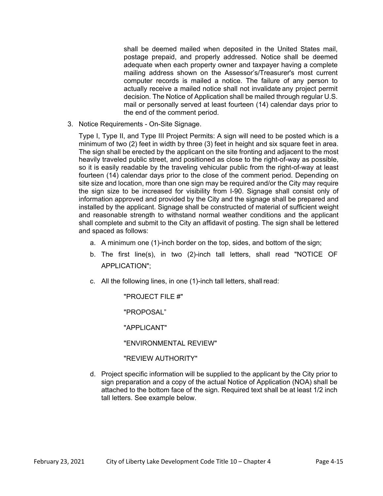shall be deemed mailed when deposited in the United States mail, postage prepaid, and properly addressed. Notice shall be deemed adequate when each property owner and taxpayer having a complete mailing address shown on the Assessor's/Treasurer's most current computer records is mailed a notice. The failure of any person to actually receive a mailed notice shall not invalidate any project permit decision. The Notice of Application shall be mailed through regular U.S. mail or personally served at least fourteen (14) calendar days prior to the end of the comment period.

3. Notice Requirements - On-Site Signage.

Type I, Type II, and Type III Project Permits: A sign will need to be posted which is a minimum of two (2) feet in width by three (3) feet in height and six square feet in area. The sign shall be erected by the applicant on the site fronting and adjacent to the most heavily traveled public street, and positioned as close to the right-of-way as possible, so it is easily readable by the traveling vehicular public from the right-of-way at least fourteen (14) calendar days prior to the close of the comment period. Depending on site size and location, more than one sign may be required and/or the City may require the sign size to be increased for visibility from I-90. Signage shall consist only of information approved and provided by the City and the signage shall be prepared and installed by the applicant. Signage shall be constructed of material of sufficient weight and reasonable strength to withstand normal weather conditions and the applicant shall complete and submit to the City an affidavit of posting. The sign shall be lettered and spaced as follows:

- a. A minimum one (1)-inch border on the top, sides, and bottom of the sign;
- b. The first line(s), in two (2)-inch tall letters, shall read "NOTICE OF APPLICATION";
- c. All the following lines, in one (1)-inch tall letters, shall read:

"PROJECT FILE #"

"PROPOSAL"

"APPLICANT"

"ENVIRONMENTAL REVIEW"

"REVIEW AUTHORITY"

d. Project specific information will be supplied to the applicant by the City prior to sign preparation and a copy of the actual Notice of Application (NOA) shall be attached to the bottom face of the sign. Required text shall be at least 1/2 inch tall letters. See example below.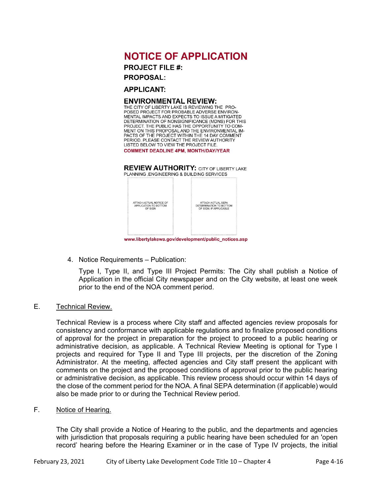### **NOTICE OF APPLICATION**

**PROJECT FILE #:** 

**PROPOSAL:** 

**APPLICANT:** 

### **ENVIRONMENTAL REVIEW:**

THE CITY OF LIBERTY LAKE IS REVIEWING THE PRO-POSED PROJECT FOR PROBABLE ADVERSE ENVIRON-MENTAL IMPACTS AND EXPECTS TO ISSUE A MITIGATED DETERMINATION OF NONSIGNIFICANCE (MDNS) FOR THIS PROJECT. THE PUBLIC HAS THE OPPORTUNITY TO COM-MENT ON THIS PROPOSAL AND THE ENVIRONMENTAL IM-PACTS OF THE PROJECT WITHIN THE 14 DAY COMMENT PERIOD. PLEASE CONTACT THE REVIEW AUTHORITY LISTED BELOW TO VIEW THE PROJECT FILE. **COMMENT DEADLINE 4PM, MONTH/DAY/YEAR** 

**REVIEW AUTHORITY: CITY OF LIBERTY LAKE** PLANNING , ENGINEERING & BUILDING SERVICES

| ATTACH ACTUAL NOTICE OF<br>APPLICATION TO BOTTOM<br>OF SIGN | ATTACH ACTUAL SEPA<br>DETERMINATION TO BOTTOM<br>OF SIGN. IF APPLICABLE |
|-------------------------------------------------------------|-------------------------------------------------------------------------|
|                                                             |                                                                         |

www.libertylakewa.gov/development/public\_notices.asp

4. Notice Requirements – Publication:

 Type I, Type II, and Type III Project Permits: The City shall publish a Notice of Application in the official City newspaper and on the City website, at least one week prior to the end of the NOA comment period.

### E. Technical Review.

 Technical Review is a process where City staff and affected agencies review proposals for consistency and conformance with applicable regulations and to finalize proposed conditions of approval for the project in preparation for the project to proceed to a public hearing or administrative decision, as applicable. A Technical Review Meeting is optional for Type I projects and required for Type II and Type III projects, per the discretion of the Zoning Administrator. At the meeting, affected agencies and City staff present the applicant with comments on the project and the proposed conditions of approval prior to the public hearing or administrative decision, as applicable. This review process should occur within 14 days of the close of the comment period for the NOA. A final SEPA determination (if applicable) would also be made prior to or during the Technical Review period.

### F. Notice of Hearing.

The City shall provide a Notice of Hearing to the public, and the departments and agencies with jurisdiction that proposals requiring a public hearing have been scheduled for an 'open record' hearing before the Hearing Examiner or in the case of Type IV projects, the initial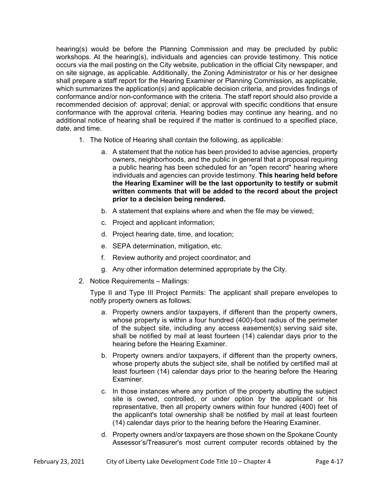hearing(s) would be before the Planning Commission and may be precluded by public workshops. At the hearing(s), individuals and agencies can provide testimony. This notice occurs via the mail posting on the City website, publication in the official City newspaper, and on site signage, as applicable. Additionally, the Zoning Administrator or his or her designee shall prepare a staff report for the Hearing Examiner or Planning Commission, as applicable, which summarizes the application(s) and applicable decision criteria, and provides findings of conformance and/or non-conformance with the criteria. The staff report should also provide a recommended decision of: approval; denial; or approval with specific conditions that ensure conformance with the approval criteria. Hearing bodies may continue any hearing, and no additional notice of hearing shall be required if the matter is continued to a specified place, date, and time.

- 1. The Notice of Hearing shall contain the following, as applicable:
	- a. A statement that the notice has been provided to advise agencies, property owners, neighborhoods, and the public in general that a proposal requiring a public hearing has been scheduled for an "open record" hearing where individuals and agencies can provide testimony. **This hearing held before the Hearing Examiner will be the last opportunity to testify or submit written comments that will be added to the record about the project prior to a decision being rendered.**
	- b. A statement that explains where and when the file may be viewed;
	- c. Project and applicant information;
	- d. Project hearing date, time, and location;
	- e. SEPA determination, mitigation, etc.
	- f. Review authority and project coordinator; and
	- g. Any other information determined appropriate by the City.
- 2. Notice Requirements Mailings:

Type II and Type III Project Permits: The applicant shall prepare envelopes to notify property owners as follows:

- a. Property owners and/or taxpayers, if different than the property owners, whose property is within a four hundred (400)-foot radius of the perimeter of the subject site, including any access easement(s) serving said site, shall be notified by mail at least fourteen (14) calendar days prior to the hearing before the Hearing Examiner.
- b. Property owners and/or taxpayers, if different than the property owners, whose property abuts the subject site, shall be notified by certified mail at least fourteen (14) calendar days prior to the hearing before the Hearing Examiner.
- c. In those instances where any portion of the property abutting the subject site is owned, controlled, or under option by the applicant or his representative, then all property owners within four hundred (400) feet of the applicant's total ownership shall be notified by mail at least fourteen (14) calendar days prior to the hearing before the Hearing Examiner.
- d. Property owners and/or taxpayers are those shown on the Spokane County Assessor's/Treasurer's most current computer records obtained by the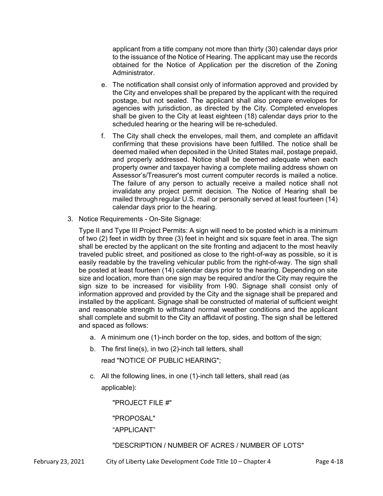applicant from a title company not more than thirty (30) calendar days prior to the issuance of the Notice of Hearing. The applicant may use the records obtained for the Notice of Application per the discretion of the Zoning Administrator.

- e. The notification shall consist only of information approved and provided by the City and envelopes shall be prepared by the applicant with the required postage, but not sealed. The applicant shall also prepare envelopes for agencies with jurisdiction, as directed by the City. Completed envelopes shall be given to the City at least eighteen (18) calendar days prior to the scheduled hearing or the hearing will be re-scheduled.
- f. The City shall check the envelopes, mail them, and complete an affidavit confirming that these provisions have been fulfilled. The notice shall be deemed mailed when deposited in the United States mail, postage prepaid, and properly addressed. Notice shall be deemed adequate when each property owner and taxpayer having a complete mailing address shown on Assessor's/Treasurer's most current computer records is mailed a notice. The failure of any person to actually receive a mailed notice shall not invalidate any project permit decision. The Notice of Hearing shall be mailed through regular U.S. mail or personally served at least fourteen (14) calendar days prior to the hearing.
- 3. Notice Requirements On-Site Signage:

Type II and Type III Project Permits: A sign will need to be posted which is a minimum of two (2) feet in width by three (3) feet in height and six square feet in area. The sign shall be erected by the applicant on the site fronting and adjacent to the most heavily traveled public street, and positioned as close to the right-of-way as possible, so it is easily readable by the traveling vehicular public from the right-of-way. The sign shall be posted at least fourteen (14) calendar days prior to the hearing. Depending on site size and location, more than one sign may be required and/or the City may require the sign size to be increased for visibility from I-90. Signage shall consist only of information approved and provided by the City and the signage shall be prepared and installed by the applicant. Signage shall be constructed of material of sufficient weight and reasonable strength to withstand normal weather conditions and the applicant shall complete and submit to the City an affidavit of posting. The sign shall be lettered and spaced as follows:

- a. A minimum one (1)-inch border on the top, sides, and bottom of the sign;
- b. The first line(s), in two (2)-inch tall letters, shall

read "NOTICE OF PUBLIC HEARING";

c. All the following lines, in one (1)-inch tall letters, shall read (as applicable):

"PROJECT FILE #"

"PROPOSAL"

"APPLICANT"

"DESCRIPTION / NUMBER OF ACRES / NUMBER OF LOTS"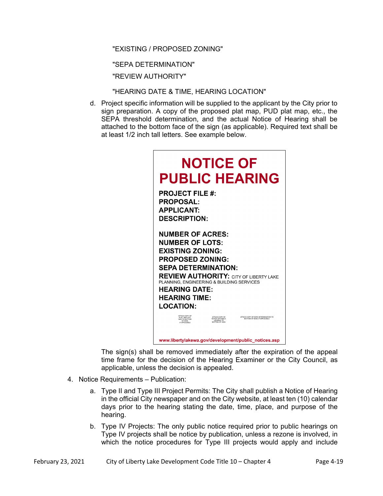"EXISTING / PROPOSED ZONING"

"SEPA DETERMINATION"

"REVIEW AUTHORITY"

"HEARING DATE & TIME, HEARING LOCATION"

d. Project specific information will be supplied to the applicant by the City prior to sign preparation. A copy of the proposed plat map, PUD plat map, etc., the SEPA threshold determination, and the actual Notice of Hearing shall be attached to the bottom face of the sign (as applicable). Required text shall be at least 1/2 inch tall letters. See example below.

| <b>NOTICE OF</b><br><b>PUBLIC HEARING</b>                                                                                                                                                                                                                                                               |
|---------------------------------------------------------------------------------------------------------------------------------------------------------------------------------------------------------------------------------------------------------------------------------------------------------|
| <b>PROJECT FILE #:</b><br><b>PROPOSAL:</b><br><b>APPLICANT:</b><br><b>DESCRIPTION:</b>                                                                                                                                                                                                                  |
| <b>NUMBER OF ACRES:</b><br><b>NUMBER OF LOTS:</b><br><b>EXISTING ZONING:</b><br><b>PROPOSED ZONING:</b><br><b>SEPA DETERMINATION:</b><br><b>REVIEW AUTHORITY: CITY OF LIBERTY LAKE</b><br>PLANNING. ENGINEERING & BUILDING SERVICES<br><b>HEARING DATE:</b><br><b>HEARING TIME:</b><br><b>LOCATION:</b> |
| ATTACH COPY OF<br>ATTACH COPY OF<br>ATTACH COPY OF SEPA DETERMINATION TO<br>PLAT / BSP, ETC<br>NOTICE OF PUBLIC<br>BOTTOM OF SIGN, IF APPLICABLE<br>MAP TO BOTTOM<br><b>HEARING TO</b><br>OF SIGN,<br><b>BOTTOM OF SIGN</b>                                                                             |
| www.libertylakewa.gov/development/public notices.asp                                                                                                                                                                                                                                                    |

The sign(s) shall be removed immediately after the expiration of the appeal time frame for the decision of the Hearing Examiner or the City Council, as applicable, unless the decision is appealed.

- 4. Notice Requirements Publication:
	- a. Type II and Type III Project Permits: The City shall publish a Notice of Hearing in the official City newspaper and on the City website, at least ten (10) calendar days prior to the hearing stating the date, time, place, and purpose of the hearing.
	- b. Type IV Projects: The only public notice required prior to public hearings on Type IV projects shall be notice by publication, unless a rezone is involved, in which the notice procedures for Type III projects would apply and include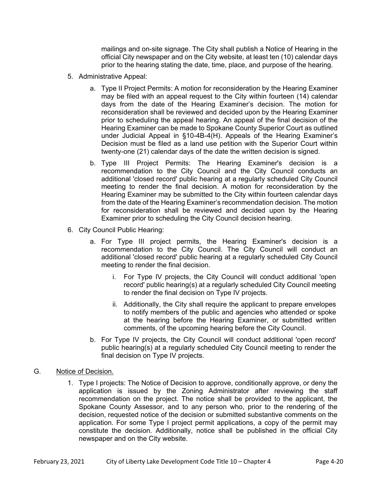mailings and on-site signage. The City shall publish a Notice of Hearing in the official City newspaper and on the City website, at least ten (10) calendar days prior to the hearing stating the date, time, place, and purpose of the hearing.

- 5. Administrative Appeal:
	- a. Type II Project Permits: A motion for reconsideration by the Hearing Examiner may be filed with an appeal request to the City within fourteen (14) calendar days from the date of the Hearing Examiner's decision. The motion for reconsideration shall be reviewed and decided upon by the Hearing Examiner prior to scheduling the appeal hearing. An appeal of the final decision of the Hearing Examiner can be made to Spokane County Superior Court as outlined under Judicial Appeal in §10-4B-4(H). Appeals of the Hearing Examiner's Decision must be filed as a land use petition with the Superior Court within twenty-one (21) calendar days of the date the written decision is signed.
	- b. Type III Project Permits: The Hearing Examiner's decision is a recommendation to the City Council and the City Council conducts an additional 'closed record' public hearing at a regularly scheduled City Council meeting to render the final decision. A motion for reconsideration by the Hearing Examiner may be submitted to the City within fourteen calendar days from the date of the Hearing Examiner's recommendation decision. The motion for reconsideration shall be reviewed and decided upon by the Hearing Examiner prior to scheduling the City Council decision hearing.
- 6. City Council Public Hearing:
	- a. For Type III project permits, the Hearing Examiner's decision is a recommendation to the City Council. The City Council will conduct an additional 'closed record' public hearing at a regularly scheduled City Council meeting to render the final decision.
		- i. For Type IV projects, the City Council will conduct additional 'open record' public hearing(s) at a regularly scheduled City Council meeting to render the final decision on Type IV projects.
		- ii. Additionally, the City shall require the applicant to prepare envelopes to notify members of the public and agencies who attended or spoke at the hearing before the Hearing Examiner, or submitted written comments, of the upcoming hearing before the City Council.
	- b. For Type IV projects, the City Council will conduct additional 'open record' public hearing(s) at a regularly scheduled City Council meeting to render the final decision on Type IV projects.
- G. Notice of Decision.
	- 1. Type I projects: The Notice of Decision to approve, conditionally approve, or deny the application is issued by the Zoning Administrator after reviewing the staff recommendation on the project. The notice shall be provided to the applicant, the Spokane County Assessor, and to any person who, prior to the rendering of the decision, requested notice of the decision or submitted substantive comments on the application. For some Type I project permit applications, a copy of the permit may constitute the decision. Additionally, notice shall be published in the official City newspaper and on the City website.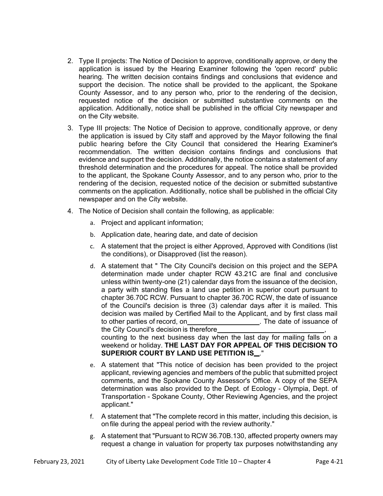- 2. Type II projects: The Notice of Decision to approve, conditionally approve, or deny the application is issued by the Hearing Examiner following the 'open record' public hearing. The written decision contains findings and conclusions that evidence and support the decision. The notice shall be provided to the applicant, the Spokane County Assessor, and to any person who, prior to the rendering of the decision, requested notice of the decision or submitted substantive comments on the application. Additionally, notice shall be published in the official City newspaper and on the City website.
- 3. Type III projects: The Notice of Decision to approve, conditionally approve, or deny the application is issued by City staff and approved by the Mayor following the final public hearing before the City Council that considered the Hearing Examiner's recommendation. The written decision contains findings and conclusions that evidence and support the decision. Additionally, the notice contains a statement of any threshold determination and the procedures for appeal. The notice shall be provided to the applicant, the Spokane County Assessor, and to any person who, prior to the rendering of the decision, requested notice of the decision or submitted substantive comments on the application. Additionally, notice shall be published in the official City newspaper and on the City website.
- 4. The Notice of Decision shall contain the following, as applicable:
	- a. Project and applicant information;
	- b. Application date, hearing date, and date of decision
	- c. A statement that the project is either Approved, Approved with Conditions (list the conditions), or Disapproved (list the reason).
	- d. A statement that " The City Council's decision on this project and the SEPA determination made under chapter RCW 43.21C are final and conclusive unless within twenty-one (21) calendar days from the issuance of the decision, a party with standing files a land use petition in superior court pursuant to chapter 36.70C RCW. Pursuant to chapter 36.70C RCW, the date of issuance of the Council's decision is three (3) calendar days after it is mailed. This decision was mailed by Certified Mail to the Applicant, and by first class mail to other parties of record, on . The date of issuance of

the City Council's decision is therefore ,

counting to the next business day when the last day for mailing falls on a weekend or holiday. **THE LAST DAY FOR APPEAL OF THIS DECISION TO SUPERIOR COURT BY LAND USE PETITION IS..."** 

- e. A statement that "This notice of decision has been provided to the project applicant, reviewing agencies and members of the public that submitted project comments, and the Spokane County Assessor's Office. A copy of the SEPA determination was also provided to the Dept. of Ecology - Olympia, Dept. of Transportation - Spokane County, Other Reviewing Agencies, and the project applicant."
- f. A statement that "The complete record in this matter, including this decision, is on file during the appeal period with the review authority."
- g. A statement that "Pursuant to RCW 36.70B.130, affected property owners may request a change in valuation for property tax purposes notwithstanding any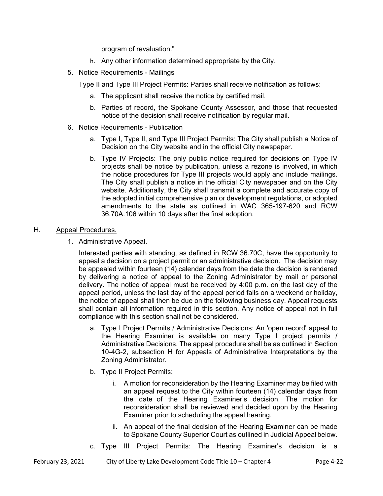program of revaluation."

- h. Any other information determined appropriate by the City.
- 5. Notice Requirements Mailings

Type II and Type III Project Permits: Parties shall receive notification as follows:

- a. The applicant shall receive the notice by certified mail.
- b. Parties of record, the Spokane County Assessor, and those that requested notice of the decision shall receive notification by regular mail.
- 6. Notice Requirements Publication
	- a. Type I, Type II, and Type III Project Permits: The City shall publish a Notice of Decision on the City website and in the official City newspaper.
	- b. Type IV Projects: The only public notice required for decisions on Type IV projects shall be notice by publication, unless a rezone is involved, in which the notice procedures for Type III projects would apply and include mailings. The City shall publish a notice in the official City newspaper and on the City website. Additionally, the City shall transmit a complete and accurate copy of the adopted initial comprehensive plan or development regulations, or adopted amendments to the state as outlined in WAC 365-197-620 and RCW 36.70A.106 within 10 days after the final adoption.

### H. Appeal Procedures.

1. Administrative Appeal.

Interested parties with standing, as defined in RCW 36.70C, have the opportunity to appeal a decision on a project permit or an administrative decision. The decision may be appealed within fourteen (14) calendar days from the date the decision is rendered by delivering a notice of appeal to the Zoning Administrator by mail or personal delivery. The notice of appeal must be received by 4:00 p.m. on the last day of the appeal period, unless the last day of the appeal period falls on a weekend or holiday, the notice of appeal shall then be due on the following business day. Appeal requests shall contain all information required in this section. Any notice of appeal not in full compliance with this section shall not be considered.

- a. Type I Project Permits / Administrative Decisions: An 'open record' appeal to the Hearing Examiner is available on many Type I project permits / Administrative Decisions. The appeal procedure shall be as outlined in Section 10-4G-2, subsection H for Appeals of Administrative Interpretations by the Zoning Administrator.
- b. Type II Project Permits:
	- i. A motion for reconsideration by the Hearing Examiner may be filed with an appeal request to the City within fourteen (14) calendar days from the date of the Hearing Examiner's decision. The motion for reconsideration shall be reviewed and decided upon by the Hearing Examiner prior to scheduling the appeal hearing.
	- ii. An appeal of the final decision of the Hearing Examiner can be made to Spokane County Superior Court as outlined in Judicial Appeal below.
- c. Type III Project Permits: The Hearing Examiner's decision is a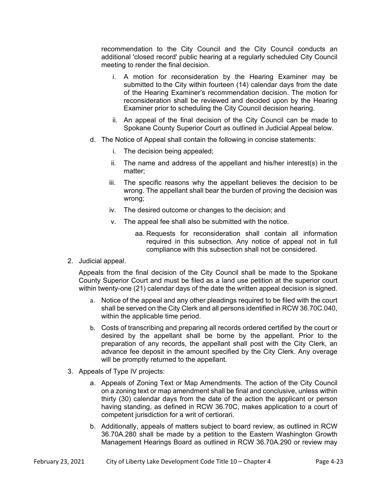recommendation to the City Council and the City Council conducts an additional 'closed record' public hearing at a regularly scheduled City Council meeting to render the final decision.

- i. A motion for reconsideration by the Hearing Examiner may be submitted to the City within fourteen (14) calendar days from the date of the Hearing Examiner's recommendation decision. The motion for reconsideration shall be reviewed and decided upon by the Hearing Examiner prior to scheduling the City Council decision hearing.
- ii. An appeal of the final decision of the City Council can be made to Spokane County Superior Court as outlined in Judicial Appeal below.
- d. The Notice of Appeal shall contain the following in concise statements:
	- i. The decision being appealed;
	- ii. The name and address of the appellant and his/her interest(s) in the matter;
	- iii. The specific reasons why the appellant believes the decision to be wrong. The appellant shall bear the burden of proving the decision was wrong;
	- iv. The desired outcome or changes to the decision; and
	- v. The appeal fee shall also be submitted with the notice.
		- aa. Requests for reconsideration shall contain all information required in this subsection. Any notice of appeal not in full compliance with this subsection shall not be considered.
- 2. Judicial appeal.

 Appeals from the final decision of the City Council shall be made to the Spokane County Superior Court and must be filed as a land use petition at the superior court within twenty-one (21) calendar days of the date the written appeal decision is signed.

- a. Notice of the appeal and any other pleadings required to be filed with the court shall be served on the City Clerk and all persons identified in RCW 36.70C.040, within the applicable time period.
- b. Costs of transcribing and preparing all records ordered certified by the court or desired by the appellant shall be borne by the appellant. Prior to the preparation of any records, the appellant shall post with the City Clerk, an advance fee deposit in the amount specified by the City Clerk. Any overage will be promptly returned to the appellant.
- 3. Appeals of Type IV projects:
	- a. Appeals of Zoning Text or Map Amendments. The action of the City Council on a zoning text or map amendment shall be final and conclusive, unless within thirty (30) calendar days from the date of the action the applicant or person having standing, as defined in RCW 36.70C, makes application to a court of competent jurisdiction for a writ of certiorari.
	- b. Additionally, appeals of matters subject to board review, as outlined in RCW 36.70A.280 shall be made by a petition to the Eastern Washington Growth Management Hearings Board as outlined in RCW 36.70A.290 or review may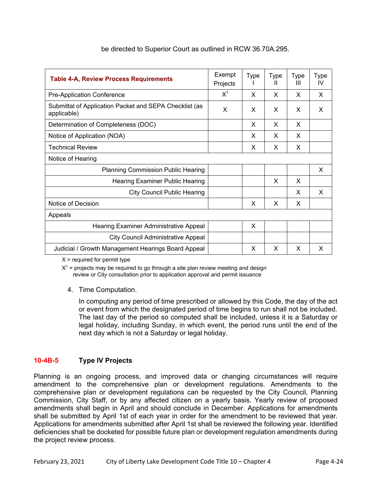| <b>Table 4-A, Review Process Requirements</b>                         | Exempt<br>Projects | <b>Type</b> | Type<br>Ш | <b>Type</b><br>Ш | Type<br>IV |
|-----------------------------------------------------------------------|--------------------|-------------|-----------|------------------|------------|
| Pre-Application Conference                                            | $X^1$              | X           | X         | X                | X          |
| Submittal of Application Packet and SEPA Checklist (as<br>applicable) | X                  | X           | X         | X                | X          |
| Determination of Completeness (DOC)                                   |                    | X           | X         | X                |            |
| Notice of Application (NOA)                                           |                    | X           | X         | X                |            |
| <b>Technical Review</b>                                               |                    | X           | X         | X                |            |
| Notice of Hearing                                                     |                    |             |           |                  |            |
| <b>Planning Commission Public Hearing</b>                             |                    |             |           |                  | X          |
| Hearing Examiner Public Hearing                                       |                    |             | X         | X                |            |
| <b>City Council Public Hearing</b>                                    |                    |             |           | X                | X          |
| Notice of Decision                                                    |                    | X           | X         | X                |            |
| Appeals                                                               |                    |             |           |                  |            |
| Hearing Examiner Administrative Appeal                                |                    | X           |           |                  |            |
| <b>City Council Administrative Appeal</b>                             |                    |             |           |                  |            |
| Judicial / Growth Management Hearings Board Appeal                    |                    | X           | X         | X                | X          |

### be directed to Superior Court as outlined in RCW 36.70A.295.

 $X =$  required for permit type

 $X^1$  = projects may be required to go through a site plan review meeting and design review or City consultation prior to application approval and permit issuance

4. Time Computation.

In computing any period of time prescribed or allowed by this Code, the day of the act or event from which the designated period of time begins to run shall not be included. The last day of the period so computed shall be included, unless it is a Saturday or legal holiday, including Sunday, in which event, the period runs until the end of the next day which is not a Saturday or legal holiday.

### **10-4B-5 Type IV Projects**

Planning is an ongoing process, and improved data or changing circumstances will require amendment to the comprehensive plan or development regulations. Amendments to the comprehensive plan or development regulations can be requested by the City Council, Planning Commission, City Staff, or by any affected citizen on a yearly basis. Yearly review of proposed amendments shall begin in April and should conclude in December. Applications for amendments shall be submitted by April 1st of each year in order for the amendment to be reviewed that year. Applications for amendments submitted after April 1st shall be reviewed the following year. Identified deficiencies shall be docketed for possible future plan or development regulation amendments during the project review process.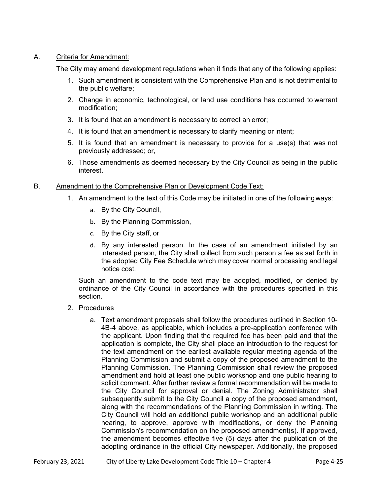### A. Criteria for Amendment:

The City may amend development regulations when it finds that any of the following applies:

- 1. Such amendment is consistent with the Comprehensive Plan and is not detrimental to the public welfare;
- 2. Change in economic, technological, or land use conditions has occurred to warrant modification;
- 3. It is found that an amendment is necessary to correct an error;
- 4. It is found that an amendment is necessary to clarify meaning or intent;
- 5. It is found that an amendment is necessary to provide for a use(s) that was not previously addressed; or,
- 6. Those amendments as deemed necessary by the City Council as being in the public interest.

### B. Amendment to the Comprehensive Plan or Development Code Text:

- 1. An amendment to the text of this Code may be initiated in one of the following ways:
	- a. By the City Council,
	- b. By the Planning Commission,
	- c. By the City staff, or
	- d. By any interested person. In the case of an amendment initiated by an interested person, the City shall collect from such person a fee as set forth in the adopted City Fee Schedule which may cover normal processing and legal notice cost.

Such an amendment to the code text may be adopted, modified, or denied by ordinance of the City Council in accordance with the procedures specified in this section.

- 2. Procedures
	- a. Text amendment proposals shall follow the procedures outlined in Section 10- 4B-4 above, as applicable, which includes a pre-application conference with the applicant. Upon finding that the required fee has been paid and that the application is complete, the City shall place an introduction to the request for the text amendment on the earliest available regular meeting agenda of the Planning Commission and submit a copy of the proposed amendment to the Planning Commission. The Planning Commission shall review the proposed amendment and hold at least one public workshop and one public hearing to solicit comment. After further review a formal recommendation will be made to the City Council for approval or denial. The Zoning Administrator shall subsequently submit to the City Council a copy of the proposed amendment, along with the recommendations of the Planning Commission in writing. The City Council will hold an additional public workshop and an additional public hearing, to approve, approve with modifications, or deny the Planning Commission's recommendation on the proposed amendment(s). If approved, the amendment becomes effective five (5) days after the publication of the adopting ordinance in the official City newspaper. Additionally, the proposed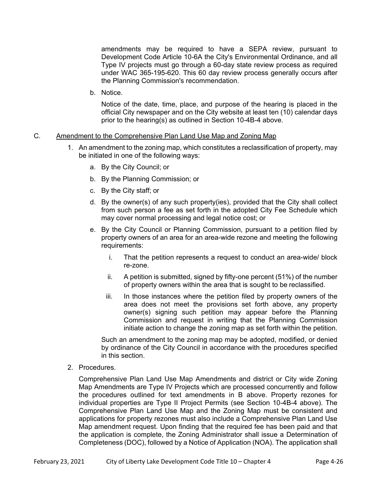amendments may be required to have a SEPA review, pursuant to Development Code Article 10-6A the City's Environmental Ordinance, and all Type IV projects must go through a 60-day state review process as required under WAC 365-195-620. This 60 day review process generally occurs after the Planning Commission's recommendation.

b. Notice.

Notice of the date, time, place, and purpose of the hearing is placed in the official City newspaper and on the City website at least ten (10) calendar days prior to the hearing(s) as outlined in Section 10-4B-4 above.

- C. Amendment to the Comprehensive Plan Land Use Map and Zoning Map
	- 1. An amendment to the zoning map, which constitutes a reclassification of property, may be initiated in one of the following ways:
		- a. By the City Council; or
		- b. By the Planning Commission; or
		- c. By the City staff; or
		- d. By the owner(s) of any such property(ies), provided that the City shall collect from such person a fee as set forth in the adopted City Fee Schedule which may cover normal processing and legal notice cost; or
		- e. By the City Council or Planning Commission, pursuant to a petition filed by property owners of an area for an area-wide rezone and meeting the following requirements:
			- i. That the petition represents a request to conduct an area-wide/ block re-zone.
			- ii. A petition is submitted, signed by fifty-one percent (51%) of the number of property owners within the area that is sought to be reclassified.
			- iii. In those instances where the petition filed by property owners of the area does not meet the provisions set forth above, any property owner(s) signing such petition may appear before the Planning Commission and request in writing that the Planning Commission initiate action to change the zoning map as set forth within the petition.

Such an amendment to the zoning map may be adopted, modified, or denied by ordinance of the City Council in accordance with the procedures specified in this section.

2. Procedures.

Comprehensive Plan Land Use Map Amendments and district or City wide Zoning Map Amendments are Type IV Projects which are processed concurrently and follow the procedures outlined for text amendments in B above. Property rezones for individual properties are Type II Project Permits (see Section 10-4B-4 above). The Comprehensive Plan Land Use Map and the Zoning Map must be consistent and applications for property rezones must also include a Comprehensive Plan Land Use Map amendment request. Upon finding that the required fee has been paid and that the application is complete, the Zoning Administrator shall issue a Determination of Completeness (DOC), followed by a Notice of Application (NOA). The application shall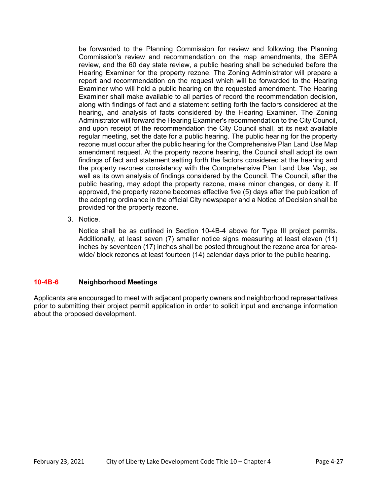be forwarded to the Planning Commission for review and following the Planning Commission's review and recommendation on the map amendments, the SEPA review, and the 60 day state review, a public hearing shall be scheduled before the Hearing Examiner for the property rezone. The Zoning Administrator will prepare a report and recommendation on the request which will be forwarded to the Hearing Examiner who will hold a public hearing on the requested amendment. The Hearing Examiner shall make available to all parties of record the recommendation decision, along with findings of fact and a statement setting forth the factors considered at the hearing, and analysis of facts considered by the Hearing Examiner. The Zoning Administrator will forward the Hearing Examiner's recommendation to the City Council, and upon receipt of the recommendation the City Council shall, at its next available regular meeting, set the date for a public hearing. The public hearing for the property rezone must occur after the public hearing for the Comprehensive Plan Land Use Map amendment request. At the property rezone hearing, the Council shall adopt its own findings of fact and statement setting forth the factors considered at the hearing and the property rezones consistency with the Comprehensive Plan Land Use Map, as well as its own analysis of findings considered by the Council. The Council, after the public hearing, may adopt the property rezone, make minor changes, or deny it. If approved, the property rezone becomes effective five (5) days after the publication of the adopting ordinance in the official City newspaper and a Notice of Decision shall be provided for the property rezone.

3. Notice.

Notice shall be as outlined in Section 10-4B-4 above for Type III project permits. Additionally, at least seven (7) smaller notice signs measuring at least eleven (11) inches by seventeen (17) inches shall be posted throughout the rezone area for areawide/ block rezones at least fourteen (14) calendar days prior to the public hearing.

### **10-4B-6 Neighborhood Meetings**

Applicants are encouraged to meet with adjacent property owners and neighborhood representatives prior to submitting their project permit application in order to solicit input and exchange information about the proposed development.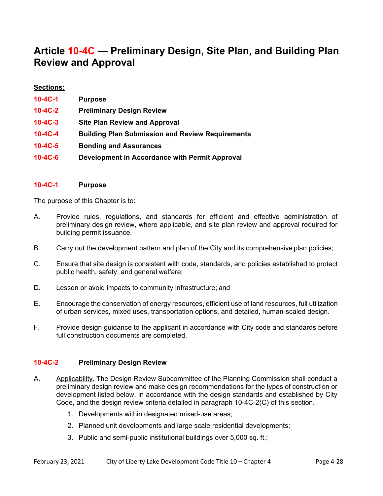## **Article 10-4C — Preliminary Design, Site Plan, and Building Plan Review and Approval**

### **Sections:**

| 10-4C-1       | <b>Purpose</b>                                          |
|---------------|---------------------------------------------------------|
| $10 - 4C - 2$ | <b>Preliminary Design Review</b>                        |
| $10 - 4C - 3$ | <b>Site Plan Review and Approval</b>                    |
| $10 - 4C - 4$ | <b>Building Plan Submission and Review Requirements</b> |
| $10 - 4C - 5$ | <b>Bonding and Assurances</b>                           |
| 10-4C-6       | Development in Accordance with Permit Approval          |

### **10-4C-1 Purpose**

The purpose of this Chapter is to:

- A. Provide rules, regulations, and standards for efficient and effective administration of preliminary design review, where applicable, and site plan review and approval required for building permit issuance.
- B. Carry out the development pattern and plan of the City and its comprehensive plan policies;
- C. Ensure that site design is consistent with code, standards, and policies established to protect public health, safety, and general welfare;
- D. Lessen or avoid impacts to community infrastructure; and
- E. Encourage the conservation of energy resources, efficient use of land resources, full utilization of urban services, mixed uses, transportation options, and detailed, human-scaled design.
- F. Provide design guidance to the applicant in accordance with City code and standards before full construction documents are completed.

### **10-4C-2 Preliminary Design Review**

- A. Applicability. The Design Review Subcommittee of the Planning Commission shall conduct a preliminary design review and make design recommendations for the types of construction or development listed below, in accordance with the design standards and established by City Code, and the design review criteria detailed in paragraph 10-4C-2(C) of this section.
	- 1. Developments within designated mixed-use areas;
	- 2. Planned unit developments and large scale residential developments;
	- 3. Public and semi-public institutional buildings over 5,000 sq. ft.;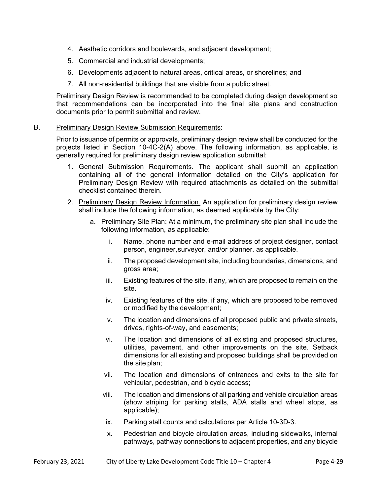- 4. Aesthetic corridors and boulevards, and adjacent development;
- 5. Commercial and industrial developments;
- 6. Developments adjacent to natural areas, critical areas, or shorelines; and
- 7. All non-residential buildings that are visible from a public street.

Preliminary Design Review is recommended to be completed during design development so that recommendations can be incorporated into the final site plans and construction documents prior to permit submittal and review.

### B. Preliminary Design Review Submission Requirements:

 Prior to issuance of permits or approvals, preliminary design review shall be conducted for the projects listed in Section 10-4C-2(A) above. The following information, as applicable, is generally required for preliminary design review application submittal:

- 1. General Submission Requirements. The applicant shall submit an application containing all of the general information detailed on the City's application for Preliminary Design Review with required attachments as detailed on the submittal checklist contained therein.
- 2. Preliminary Design Review Information. An application for preliminary design review shall include the following information, as deemed applicable by the City:
	- a. Preliminary Site Plan: At a minimum, the preliminary site plan shall include the following information, as applicable:
		- i. Name, phone number and e-mail address of project designer, contact person, engineer, surveyor, and/or planner, as applicable.
		- ii. The proposed development site, including boundaries, dimensions, and gross area;
		- iii. Existing features of the site, if any, which are proposed to remain on the site.
		- iv. Existing features of the site, if any, which are proposed to be removed or modified by the development;
		- v. The location and dimensions of all proposed public and private streets, drives, rights-of-way, and easements;
		- vi. The location and dimensions of all existing and proposed structures, utilities, pavement, and other improvements on the site. Setback dimensions for all existing and proposed buildings shall be provided on the site plan;
		- vii. The location and dimensions of entrances and exits to the site for vehicular, pedestrian, and bicycle access;
		- viii. The location and dimensions of all parking and vehicle circulation areas (show striping for parking stalls, ADA stalls and wheel stops, as applicable);
			- ix. Parking stall counts and calculations per Article 10-3D-3.
			- x. Pedestrian and bicycle circulation areas, including sidewalks, internal pathways, pathway connections to adjacent properties, and any bicycle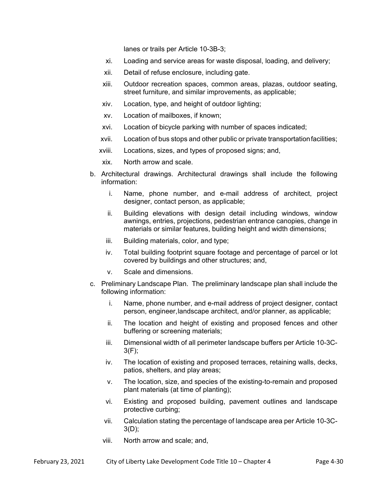lanes or trails per Article 10-3B-3;

- xi. Loading and service areas for waste disposal, loading, and delivery;
- xii. Detail of refuse enclosure, including gate.
- xiii. Outdoor recreation spaces, common areas, plazas, outdoor seating, street furniture, and similar improvements, as applicable;
- xiv. Location, type, and height of outdoor lighting;
- xv. Location of mailboxes, if known;
- xvi. Location of bicycle parking with number of spaces indicated;
- xvii. Location of bus stops and other public or private transportation facilities;
- xviii. Locations, sizes, and types of proposed signs; and,
- xix. North arrow and scale.
- b. Architectural drawings. Architectural drawings shall include the following information:
	- i. Name, phone number, and e-mail address of architect, project designer, contact person, as applicable;
	- ii. Building elevations with design detail including windows, window awnings, entries, projections, pedestrian entrance canopies, change in materials or similar features, building height and width dimensions;
	- iii. Building materials, color, and type;
	- iv. Total building footprint square footage and percentage of parcel or lot covered by buildings and other structures; and,
	- v. Scale and dimensions.
- c. Preliminary Landscape Plan. The preliminary landscape plan shall include the following information:
	- i. Name, phone number, and e-mail address of project designer, contact person, engineer, landscape architect, and/or planner, as applicable;
	- ii. The location and height of existing and proposed fences and other buffering or screening materials;
	- iii. Dimensional width of all perimeter landscape buffers per Article 10-3C-3(F);
	- iv. The location of existing and proposed terraces, retaining walls, decks, patios, shelters, and play areas;
	- v. The location, size, and species of the existing-to-remain and proposed plant materials (at time of planting);
	- vi. Existing and proposed building, pavement outlines and landscape protective curbing;
	- vii. Calculation stating the percentage of landscape area per Article 10-3C-3(D);
	- viii. North arrow and scale; and,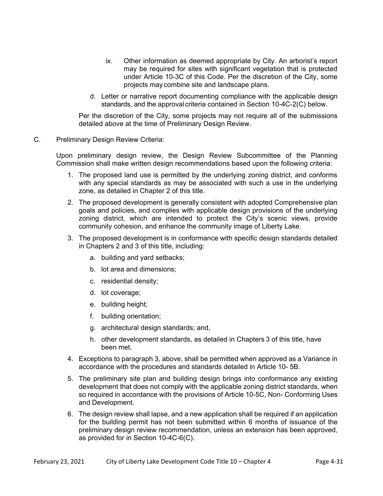- ix. Other information as deemed appropriate by City*.* An arborist's report may be required for sites with significant vegetation that is protected under Article 10-3C of this Code. Per the discretion of the City, some projects may combine site and landscape plans.
- d. Letter or narrative report documenting compliance with the applicable design standards, and the approval criteria contained in Section 10-4C-2(C) below.

 Per the discretion of the City, some projects may not require all of the submissions detailed above at the time of Preliminary Design Review.

C. Preliminary Design Review Criteria:

Upon preliminary design review, the Design Review Subcommittee of the Planning Commission shall make written design recommendations based upon the following criteria:

- 1. The proposed land use is permitted by the underlying zoning district, and conforms with any special standards as may be associated with such a use in the underlying zone, as detailed in Chapter 2 of this title.
- 2. The proposed development is generally consistent with adopted Comprehensive plan goals and policies, and complies with applicable design provisions of the underlying zoning district, which are intended to protect the City's scenic views, provide community cohesion, and enhance the community image of Liberty Lake.
- 3. The proposed development is in conformance with specific design standards detailed in Chapters 2 and 3 of this title, including:
	- a. building and yard setbacks;
	- b. lot area and dimensions;
	- c. residential density;
	- d. lot coverage;
	- e. building height;
	- f. building orientation;
	- g. architectural design standards; and,
	- h. other development standards, as detailed in Chapters 3 of this title, have been met.
- 4. Exceptions to paragraph 3, above, shall be permitted when approved as a Variance in accordance with the procedures and standards detailed in Article 10- 5B.
- 5. The preliminary site plan and building design brings into conformance any existing development that does not comply with the applicable zoning district standards, when so required in accordance with the provisions of Article 10-5C, Non- Conforming Uses and Development.
- 6. The design review shall lapse, and a new application shall be required if an application for the building permit has not been submitted within 6 months of issuance of the preliminary design review recommendation, unless an extension has been approved, as provided for in Section 10-4C-6(C).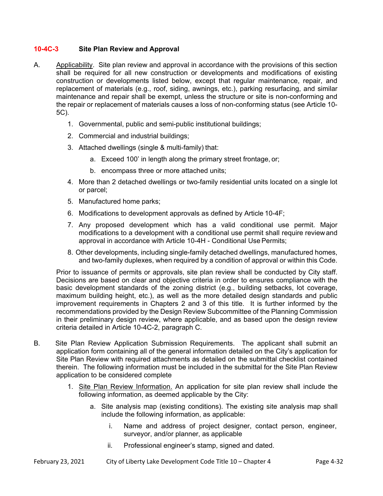### **10-4C-3 Site Plan Review and Approval**

- A. Applicability. Site plan review and approval in accordance with the provisions of this section shall be required for all new construction or developments and modifications of existing construction or developments listed below, except that regular maintenance, repair, and replacement of materials (e.g., roof, siding, awnings, etc.), parking resurfacing, and similar maintenance and repair shall be exempt, unless the structure or site is non-conforming and the repair or replacement of materials causes a loss of non-conforming status (see Article 10- 5C).
	- 1. Governmental, public and semi-public institutional buildings;
	- 2. Commercial and industrial buildings;
	- 3. Attached dwellings (single & multi-family) that:
		- a. Exceed 100' in length along the primary street frontage, or;
		- b. encompass three or more attached units;
	- 4. More than 2 detached dwellings or two-family residential units located on a single lot or parcel;
	- 5. Manufactured home parks;
	- 6. Modifications to development approvals as defined by Article 10-4F;
	- 7. Any proposed development which has a valid conditional use permit. Major modifications to a development with a conditional use permit shall require review and approval in accordance with Article 10-4H - Conditional Use Permits;
	- 8. Other developments, including single-family detached dwellings, manufactured homes, and two-family duplexes, when required by a condition of approval or within this Code.

Prior to issuance of permits or approvals, site plan review shall be conducted by City staff. Decisions are based on clear and objective criteria in order to ensures compliance with the basic development standards of the zoning district (e.g., building setbacks, lot coverage, maximum building height, etc.), as well as the more detailed design standards and public improvement requirements in Chapters 2 and 3 of this title. It is further informed by the recommendations provided by the Design Review Subcommittee of the Planning Commission in their preliminary design review, where applicable, and as based upon the design review criteria detailed in Article 10-4C-2, paragraph C.

- B. Site Plan Review Application Submission Requirements. The applicant shall submit an application form containing all of the general information detailed on the City's application for Site Plan Review with required attachments as detailed on the submittal checklist contained therein. The following information must be included in the submittal for the Site Plan Review application to be considered complete
	- 1. Site Plan Review Information. An application for site plan review shall include the following information, as deemed applicable by the City:
		- a. Site analysis map (existing conditions). The existing site analysis map shall include the following information, as applicable:
			- i. Name and address of project designer, contact person, engineer, surveyor, and/or planner, as applicable
			- ii. Professional engineer's stamp, signed and dated.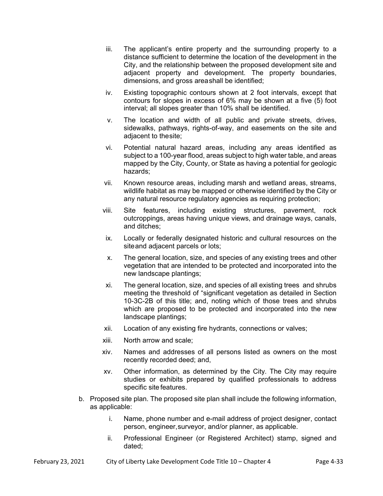- iii. The applicant's entire property and the surrounding property to a distance sufficient to determine the location of the development in the City, and the relationship between the proposed development site and adjacent property and development. The property boundaries, dimensions, and gross area shall be identified;
- iv. Existing topographic contours shown at 2 foot intervals, except that contours for slopes in excess of 6% may be shown at a five (5) foot interval; all slopes greater than 10% shall be identified.
- v. The location and width of all public and private streets, drives, sidewalks, pathways, rights-of-way, and easements on the site and adjacent to the site;
- vi. Potential natural hazard areas, including any areas identified as subject to a 100-year flood, areas subject to high water table, and areas mapped by the City, County, or State as having a potential for geologic hazards;
- vii. Known resource areas, including marsh and wetland areas, streams, wildlife habitat as may be mapped or otherwise identified by the City or any natural resource regulatory agencies as requiring protection;
- viii. Site features, including existing structures, pavement, rock outcroppings, areas having unique views, and drainage ways, canals, and ditches;
- ix. Locally or federally designated historic and cultural resources on the site and adjacent parcels or lots;
- x. The general location, size, and species of any existing trees and other vegetation that are intended to be protected and incorporated into the new landscape plantings;
- xi. The general location, size, and species of all existing trees and shrubs meeting the threshold of "significant vegetation as detailed in Section 10-3C-2B of this title; and, noting which of those trees and shrubs which are proposed to be protected and incorporated into the new landscape plantings;
- xii. Location of any existing fire hydrants, connections or valves;
- xiii. North arrow and scale;
- xiv. Names and addresses of all persons listed as owners on the most recently recorded deed; and,
- xv. Other information, as determined by the City*.* The City may require studies or exhibits prepared by qualified professionals to address specific site features.
- b. Proposed site plan. The proposed site plan shall include the following information, as applicable:
	- i. Name, phone number and e-mail address of project designer, contact person, engineer, surveyor, and/or planner, as applicable.
	- ii. Professional Engineer (or Registered Architect) stamp, signed and dated;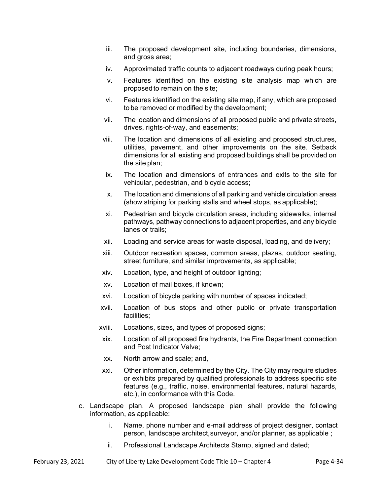- iii. The proposed development site, including boundaries, dimensions, and gross area;
- iv. Approximated traffic counts to adjacent roadways during peak hours;
- v. Features identified on the existing site analysis map which are proposed to remain on the site;
- vi. Features identified on the existing site map, if any, which are proposed to be removed or modified by the development;
- vii. The location and dimensions of all proposed public and private streets, drives, rights-of-way, and easements;
- viii. The location and dimensions of all existing and proposed structures, utilities, pavement, and other improvements on the site. Setback dimensions for all existing and proposed buildings shall be provided on the site plan;
- ix. The location and dimensions of entrances and exits to the site for vehicular, pedestrian, and bicycle access;
- x. The location and dimensions of all parking and vehicle circulation areas (show striping for parking stalls and wheel stops, as applicable);
- xi. Pedestrian and bicycle circulation areas, including sidewalks, internal pathways, pathway connections to adjacent properties, and any bicycle lanes or trails;
- xii. Loading and service areas for waste disposal, loading, and delivery;
- xiii. Outdoor recreation spaces, common areas, plazas, outdoor seating, street furniture, and similar improvements, as applicable;
- xiv. Location, type, and height of outdoor lighting;
- xv. Location of mail boxes, if known;
- xvi. Location of bicycle parking with number of spaces indicated;
- xvii. Location of bus stops and other public or private transportation facilities;
- xviii. Locations, sizes, and types of proposed signs;
- xix. Location of all proposed fire hydrants, the Fire Department connection and Post Indicator Valve;
- xx. North arrow and scale; and,
- xxi. Other information, determined by the City. The City may require studies or exhibits prepared by qualified professionals to address specific site features (e.g., traffic, noise, environmental features, natural hazards, etc.), in conformance with this Code.
- c. Landscape plan. A proposed landscape plan shall provide the following information, as applicable:
	- i. Name, phone number and e-mail address of project designer, contact person, landscape architect, surveyor, and/or planner, as applicable ;
	- ii. Professional Landscape Architects Stamp, signed and dated;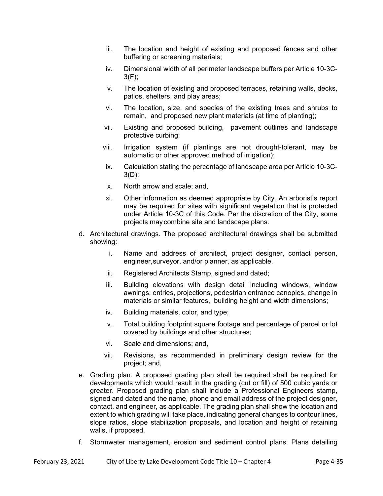- iii. The location and height of existing and proposed fences and other buffering or screening materials;
- iv. Dimensional width of all perimeter landscape buffers per Article 10-3C-3(F);
- v. The location of existing and proposed terraces, retaining walls, decks, patios, shelters, and play areas;
- vi. The location, size, and species of the existing trees and shrubs to remain, and proposed new plant materials (at time of planting);
- vii. Existing and proposed building, pavement outlines and landscape protective curbing;
- viii. Irrigation system (if plantings are not drought-tolerant, may be automatic or other approved method of irrigation);
- ix. Calculation stating the percentage of landscape area per Article 10-3C-3(D);
- x. North arrow and scale; and,
- xi. Other information as deemed appropriate by City*.* An arborist's report may be required for sites with significant vegetation that is protected under Article 10-3C of this Code. Per the discretion of the City, some projects may combine site and landscape plans.
- d. Architectural drawings. The proposed architectural drawings shall be submitted showing:
	- i. Name and address of architect, project designer, contact person, engineer, surveyor, and/or planner, as applicable.
	- ii. Registered Architects Stamp, signed and dated;
	- iii. Building elevations with design detail including windows, window awnings, entries, projections, pedestrian entrance canopies, change in materials or similar features, building height and width dimensions;
	- iv. Building materials, color, and type;
	- v. Total building footprint square footage and percentage of parcel or lot covered by buildings and other structures;
	- vi. Scale and dimensions; and,
	- vii. Revisions, as recommended in preliminary design review for the project; and,
- e. Grading plan. A proposed grading plan shall be required shall be required for developments which would result in the grading (cut or fill) of 500 cubic yards or greater. Proposed grading plan shall include a Professional Engineers stamp, signed and dated and the name, phone and email address of the project designer, contact, and engineer, as applicable. The grading plan shall show the location and extent to which grading will take place, indicating general changes to contour lines, slope ratios, slope stabilization proposals, and location and height of retaining walls, if proposed.
- f. Stormwater management, erosion and sediment control plans. Plans detailing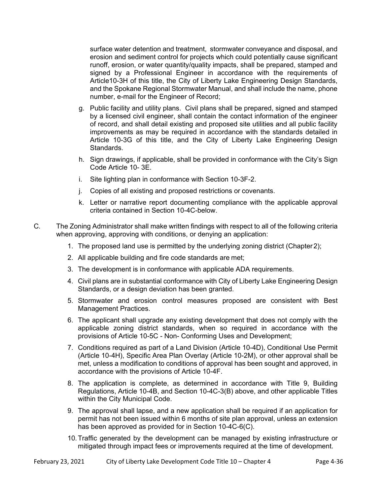surface water detention and treatment, stormwater conveyance and disposal, and erosion and sediment control for projects which could potentially cause significant runoff, erosion, or water quantity/quality impacts, shall be prepared, stamped and signed by a Professional Engineer in accordance with the requirements of Article10-3H of this title, the City of Liberty Lake Engineering Design Standards, and the Spokane Regional Stormwater Manual, and shall include the name, phone number, e-mail for the Engineer of Record;

- g. Public facility and utility plans. Civil plans shall be prepared, signed and stamped by a licensed civil engineer, shall contain the contact information of the engineer of record, and shall detail existing and proposed site utilities and all public facility improvements as may be required in accordance with the standards detailed in Article 10-3G of this title, and the City of Liberty Lake Engineering Design Standards.
- h. Sign drawings, if applicable, shall be provided in conformance with the City's Sign Code Article 10- 3E.
- i. Site lighting plan in conformance with Section 10-3F-2.
- j. Copies of all existing and proposed restrictions or covenants.
- k. Letter or narrative report documenting compliance with the applicable approval criteria contained in Section 10-4C-below.
- C. The Zoning Administrator shall make written findings with respect to all of the following criteria when approving, approving with conditions, or denying an application:
	- 1. The proposed land use is permitted by the underlying zoning district (Chapter 2);
	- 2. All applicable building and fire code standards are met;
	- 3. The development is in conformance with applicable ADA requirements.
	- 4. Civil plans are in substantial conformance with City of Liberty Lake Engineering Design Standards, or a design deviation has been granted.
	- 5. Stormwater and erosion control measures proposed are consistent with Best Management Practices.
	- 6. The applicant shall upgrade any existing development that does not comply with the applicable zoning district standards, when so required in accordance with the provisions of Article 10-5C - Non- Conforming Uses and Development;
	- 7. Conditions required as part of a Land Division (Article 10-4D), Conditional Use Permit (Article 10-4H), Specific Area Plan Overlay (Article 10-2M), or other approval shall be met, unless a modification to conditions of approval has been sought and approved, in accordance with the provisions of Article 10-4F.
	- 8. The application is complete, as determined in accordance with Title 9, Building Regulations, Article 10-4B, and Section 10-4C-3(B) above, and other applicable Titles within the City Municipal Code.
	- 9. The approval shall lapse, and a new application shall be required if an application for permit has not been issued within 6 months of site plan approval, unless an extension has been approved as provided for in Section 10-4C-6(C).
	- 10. Traffic generated by the development can be managed by existing infrastructure or mitigated through impact fees or improvements required at the time of development.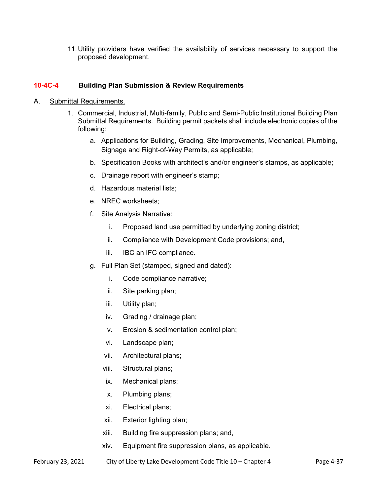11. Utility providers have verified the availability of services necessary to support the proposed development.

## **10-4C-4 Building Plan Submission & Review Requirements**

- A. Submittal Requirements.
	- 1. Commercial, Industrial, Multi-family, Public and Semi-Public Institutional Building Plan Submittal Requirements. Building permit packets shall include electronic copies of the following:
		- a. Applications for Building, Grading, Site Improvements, Mechanical, Plumbing, Signage and Right-of-Way Permits, as applicable;
		- b. Specification Books with architect's and/or engineer's stamps, as applicable;
		- c. Drainage report with engineer's stamp;
		- d. Hazardous material lists;
		- e. NREC worksheets;
		- f. Site Analysis Narrative:
			- i. Proposed land use permitted by underlying zoning district;
			- ii. Compliance with Development Code provisions; and,
			- iii. IBC an IFC compliance.
		- g. Full Plan Set (stamped, signed and dated):
			- i. Code compliance narrative;
			- ii. Site parking plan;
			- iii. Utility plan;
			- iv. Grading / drainage plan;
			- v. Erosion & sedimentation control plan;
			- vi. Landscape plan;
			- vii. Architectural plans;
			- viii. Structural plans;
			- ix. Mechanical plans;
			- x. Plumbing plans;
			- xi. Electrical plans;
			- xii. Exterior lighting plan;
			- xiii. Building fire suppression plans; and,
			- xiv. Equipment fire suppression plans, as applicable.
- February 23, 2021 City of Liberty Lake Development Code Title 10 Chapter 4 Page 4-37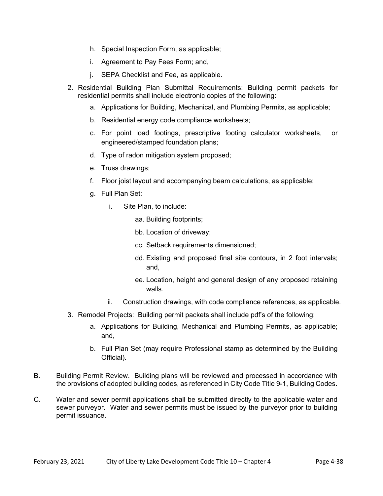- h. Special Inspection Form, as applicable;
- i. Agreement to Pay Fees Form; and,
- j. SEPA Checklist and Fee, as applicable.
- 2. Residential Building Plan Submittal Requirements: Building permit packets for residential permits shall include electronic copies of the following:
	- a. Applications for Building, Mechanical, and Plumbing Permits, as applicable;
	- b. Residential energy code compliance worksheets;
	- c. For point load footings, prescriptive footing calculator worksheets, or engineered/stamped foundation plans;
	- d. Type of radon mitigation system proposed;
	- e. Truss drawings;
	- f. Floor joist layout and accompanying beam calculations, as applicable;
	- g. Full Plan Set:
		- i. Site Plan, to include:

aa. Building footprints;

- bb. Location of driveway;
- cc. Setback requirements dimensioned;
- dd. Existing and proposed final site contours, in 2 foot intervals; and,
- ee. Location, height and general design of any proposed retaining walls.
- ii. Construction drawings, with code compliance references, as applicable.
- 3. Remodel Projects: Building permit packets shall include pdf's of the following:
	- a. Applications for Building, Mechanical and Plumbing Permits, as applicable; and,
	- b. Full Plan Set (may require Professional stamp as determined by the Building Official).
- B. Building Permit Review. Building plans will be reviewed and processed in accordance with the provisions of adopted building codes, as referenced in City Code Title 9-1, Building Codes.
- C. Water and sewer permit applications shall be submitted directly to the applicable water and sewer purveyor. Water and sewer permits must be issued by the purveyor prior to building permit issuance.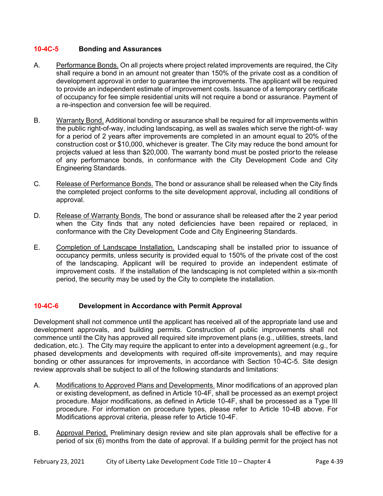## **10-4C-5 Bonding and Assurances**

- A. Performance Bonds. On all projects where project related improvements are required, the City shall require a bond in an amount not greater than 150% of the private cost as a condition of development approval in order to guarantee the improvements. The applicant will be required to provide an independent estimate of improvement costs. Issuance of a temporary certificate of occupancy for fee simple residential units will not require a bond or assurance. Payment of a re-inspection and conversion fee will be required.
- B. Warranty Bond. Additional bonding or assurance shall be required for all improvements within the public right-of-way, including landscaping, as well as swales which serve the right-of- way for a period of 2 years after improvements are completed in an amount equal to 20% of the construction cost or \$10,000, whichever is greater. The City may reduce the bond amount for projects valued at less than \$20,000. The warranty bond must be posted priorto the release of any performance bonds, in conformance with the City Development Code and City Engineering Standards.
- C. Release of Performance Bonds. The bond or assurance shall be released when the City finds the completed project conforms to the site development approval, including all conditions of approval.
- D. Release of Warranty Bonds. The bond or assurance shall be released after the 2 year period when the City finds that any noted deficiencies have been repaired or replaced, in conformance with the City Development Code and City Engineering Standards.
- E. Completion of Landscape Installation. Landscaping shall be installed prior to issuance of occupancy permits, unless security is provided equal to 150% of the private cost of the cost of the landscaping. Applicant will be required to provide an independent estimate of improvement costs. If the installation of the landscaping is not completed within a six-month period, the security may be used by the City to complete the installation.

## **10-4C-6 Development in Accordance with Permit Approval**

Development shall not commence until the applicant has received all of the appropriate land use and development approvals, and building permits. Construction of public improvements shall not commence until the City has approved all required site improvement plans (e.g., utilities, streets, land dedication, etc.). The City may require the applicant to enter into a development agreement (e.g., for phased developments and developments with required off-site improvements), and may require bonding or other assurances for improvements, in accordance with Section 10-4C-5. Site design review approvals shall be subject to all of the following standards and limitations:

- A. Modifications to Approved Plans and Developments. Minor modifications of an approved plan or existing development, as defined in Article 10-4F, shall be processed as an exempt project procedure. Major modifications, as defined in Article 10-4F, shall be processed as a Type III procedure. For information on procedure types, please refer to Article 10-4B above. For Modifications approval criteria, please refer to Article 10-4F.
- B. Approval Period. Preliminary design review and site plan approvals shall be effective for a period of six (6) months from the date of approval. If a building permit for the project has not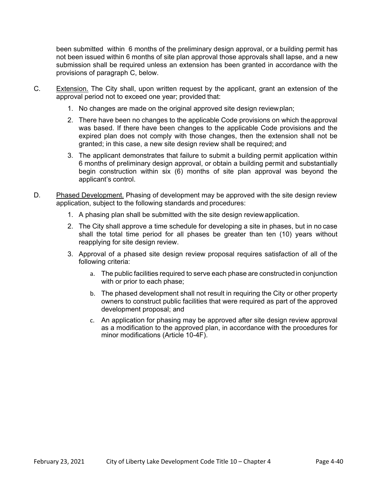been submitted within 6 months of the preliminary design approval, or a building permit has not been issued within 6 months of site plan approval those approvals shall lapse, and a new submission shall be required unless an extension has been granted in accordance with the provisions of paragraph C, below.

- C. Extension. The City shall, upon written request by the applicant, grant an extension of the approval period not to exceed one year; provided that:
	- 1. No changes are made on the original approved site design review plan;
	- 2. There have been no changes to the applicable Code provisions on which the approval was based. If there have been changes to the applicable Code provisions and the expired plan does not comply with those changes, then the extension shall not be granted; in this case, a new site design review shall be required; and
	- 3. The applicant demonstrates that failure to submit a building permit application within 6 months of preliminary design approval, or obtain a building permit and substantially begin construction within six (6) months of site plan approval was beyond the applicant's control.
- D. Phased Development. Phasing of development may be approved with the site design review application, subject to the following standards and procedures:
	- 1. A phasing plan shall be submitted with the site design review application.
	- 2. The City shall approve a time schedule for developing a site in phases, but in no case shall the total time period for all phases be greater than ten (10) years without reapplying for site design review.
	- 3. Approval of a phased site design review proposal requires satisfaction of all of the following criteria:
		- a. The public facilities required to serve each phase are constructed in conjunction with or prior to each phase;
		- b. The phased development shall not result in requiring the City or other property owners to construct public facilities that were required as part of the approved development proposal; and
		- c. An application for phasing may be approved after site design review approval as a modification to the approved plan, in accordance with the procedures for minor modifications (Article 10-4F).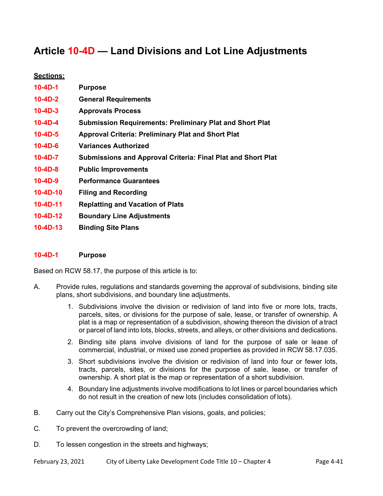# **Article 10-4D — Land Divisions and Lot Line Adjustments**

## **Sections:**

| $10-4D-1$      | <b>Purpose</b>                                                      |
|----------------|---------------------------------------------------------------------|
| $10-4D-2$      | <b>General Requirements</b>                                         |
| $10 - 4D - 3$  | <b>Approvals Process</b>                                            |
| $10-4D-4$      | <b>Submission Requirements: Preliminary Plat and Short Plat</b>     |
| $10-4D-5$      | <b>Approval Criteria: Preliminary Plat and Short Plat</b>           |
| $10 - 4D - 6$  | <b>Variances Authorized</b>                                         |
| $10-4D-7$      | <b>Submissions and Approval Criteria: Final Plat and Short Plat</b> |
| $10 - 4D - 8$  | <b>Public Improvements</b>                                          |
| $10 - 4D - 9$  | <b>Performance Guarantees</b>                                       |
| $10 - 4D - 10$ | <b>Filing and Recording</b>                                         |
| $10 - 4D - 11$ | <b>Replatting and Vacation of Plats</b>                             |
| $10-4D-12$     | <b>Boundary Line Adjustments</b>                                    |
| $10 - 4D - 13$ | <b>Binding Site Plans</b>                                           |

### **10-4D-1 Purpose**

Based on RCW 58.17, the purpose of this article is to:

- A. Provide rules, regulations and standards governing the approval of subdivisions, binding site plans, short subdivisions, and boundary line adjustments.
	- 1. Subdivisions involve the division or redivision of land into five or more lots, tracts, parcels, sites, or divisions for the purpose of sale, lease, or transfer of ownership. A plat is a map or representation of a subdivision, showing thereon the division of a tract or parcel of land into lots, blocks, streets, and alleys, or other divisions and dedications.
	- 2. Binding site plans involve divisions of land for the purpose of sale or lease of commercial, industrial, or mixed use zoned properties as provided in RCW 58.17.035.
	- 3. Short subdivisions involve the division or redivision of land into four or fewer lots, tracts, parcels, sites, or divisions for the purpose of sale, lease, or transfer of ownership. A short plat is the map or representation of a short subdivision.
	- 4. Boundary line adjustments involve modifications to lot lines or parcel boundaries which do not result in the creation of new lots (includes consolidation of lots).
- B. Carry out the City's Comprehensive Plan visions, goals, and policies;
- C. To prevent the overcrowding of land;
- D. To lessen congestion in the streets and highways;
- February 23, 2021 City of Liberty Lake Development Code Title 10 Chapter 4 Page 4-41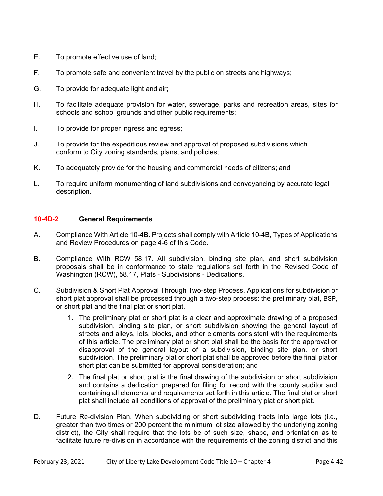- E. To promote effective use of land;
- F. To promote safe and convenient travel by the public on streets and highways;
- G. To provide for adequate light and air;
- H. To facilitate adequate provision for water, sewerage, parks and recreation areas, sites for schools and school grounds and other public requirements;
- I. To provide for proper ingress and egress;
- J. To provide for the expeditious review and approval of proposed subdivisions which conform to City zoning standards, plans, and policies;
- K. To adequately provide for the housing and commercial needs of citizens; and
- L. To require uniform monumenting of land subdivisions and conveyancing by accurate legal description.

## **10-4D-2 General Requirements**

- A. Compliance With Article 10-4B. Projects shall comply with Article 10-4B, Types of Applications and Review Procedures on page 4-6 of this Code.
- B. Compliance With RCW 58.17. All subdivision, binding site plan, and short subdivision proposals shall be in conformance to state regulations set forth in the Revised Code of Washington (RCW), 58.17, Plats - Subdivisions - Dedications.
- C. Subdivision & Short Plat Approval Through Two-step Process. Applications for subdivision or short plat approval shall be processed through a two-step process: the preliminary plat, BSP, or short plat and the final plat or short plat.
	- 1. The preliminary plat or short plat is a clear and approximate drawing of a proposed subdivision, binding site plan, or short subdivision showing the general layout of streets and alleys, lots, blocks, and other elements consistent with the requirements of this article. The preliminary plat or short plat shall be the basis for the approval or disapproval of the general layout of a subdivision, binding site plan, or short subdivision. The preliminary plat or short plat shall be approved before the final plat or short plat can be submitted for approval consideration; and
	- 2. The final plat or short plat is the final drawing of the subdivision or short subdivision and contains a dedication prepared for filing for record with the county auditor and containing all elements and requirements set forth in this article. The final plat or short plat shall include all conditions of approval of the preliminary plat or short plat.
- D. Euture Re-division Plan. When subdividing or short subdividing tracts into large lots (i.e., greater than two times or 200 percent the minimum lot size allowed by the underlying zoning district), the City shall require that the lots be of such size, shape, and orientation as to facilitate future re-division in accordance with the requirements of the zoning district and this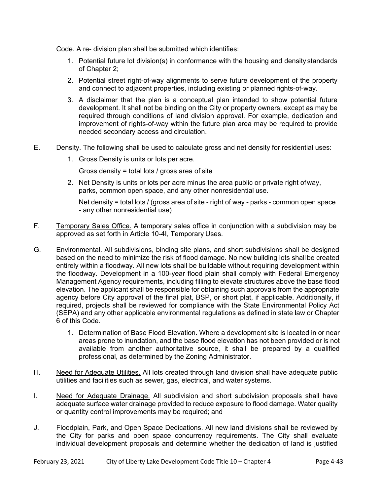Code. A re- division plan shall be submitted which identifies:

- 1. Potential future lot division(s) in conformance with the housing and density standards of Chapter 2;
- 2. Potential street right-of-way alignments to serve future development of the property and connect to adjacent properties, including existing or planned rights-of-way.
- 3. A disclaimer that the plan is a conceptual plan intended to show potential future development. It shall not be binding on the City or property owners, except as may be required through conditions of land division approval. For example, dedication and improvement of rights-of-way within the future plan area may be required to provide needed secondary access and circulation.
- E. Density. The following shall be used to calculate gross and net density for residential uses:
	- 1. Gross Density is units or lots per acre.

Gross density = total lots / gross area of site

2. Net Density is units or lots per acre minus the area public or private right of way, parks, common open space, and any other nonresidential use.

 Net density = total lots / (gross area of site - right of way - parks - common open space - any other nonresidential use)

- F. Temporary Sales Office. A temporary sales office in conjunction with a subdivision may be approved as set forth in Article 10-4I, Temporary Uses.
- G. Environmental. All subdivisions, binding site plans, and short subdivisions shall be designed based on the need to minimize the risk of flood damage. No new building lots shall be created entirely within a floodway. All new lots shall be buildable without requiring development within the floodway. Development in a 100-year flood plain shall comply with Federal Emergency Management Agency requirements, including filling to elevate structures above the base flood elevation. The applicant shall be responsible for obtaining such approvals from the appropriate agency before City approval of the final plat, BSP, or short plat, if applicable. Additionally, if required, projects shall be reviewed for compliance with the State Environmental Policy Act (SEPA) and any other applicable environmental regulations as defined in state law or Chapter 6 of this Code.
	- 1. Determination of Base Flood Elevation. Where a development site is located in or near areas prone to inundation, and the base flood elevation has not been provided or is not available from another authoritative source, it shall be prepared by a qualified professional, as determined by the Zoning Administrator.
- H. Need for Adequate Utilities. All lots created through land division shall have adequate public utilities and facilities such as sewer, gas, electrical, and water systems.
- I. Need for Adequate Drainage. All subdivision and short subdivision proposals shall have adequate surface water drainage provided to reduce exposure to flood damage. Water quality or quantity control improvements may be required; and
- J. Floodplain, Park, and Open Space Dedications. All new land divisions shall be reviewed by the City for parks and open space concurrency requirements. The City shall evaluate individual development proposals and determine whether the dedication of land is justified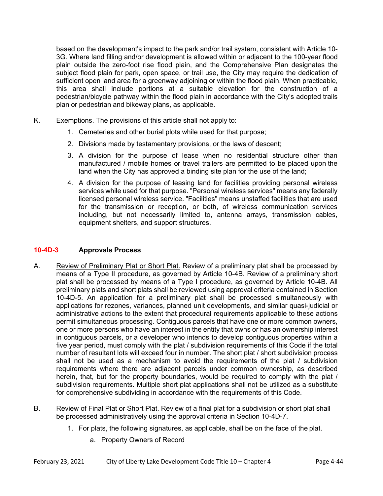based on the development's impact to the park and/or trail system, consistent with Article 10- 3G. Where land filling and/or development is allowed within or adjacent to the 100-year flood plain outside the zero-foot rise flood plain, and the Comprehensive Plan designates the subject flood plain for park, open space, or trail use, the City may require the dedication of sufficient open land area for a greenway adjoining or within the flood plain. When practicable, this area shall include portions at a suitable elevation for the construction of a pedestrian/bicycle pathway within the flood plain in accordance with the City's adopted trails plan or pedestrian and bikeway plans, as applicable.

- K. Exemptions. The provisions of this article shall not apply to:
	- 1. Cemeteries and other burial plots while used for that purpose;
	- 2. Divisions made by testamentary provisions, or the laws of descent;
	- 3. A division for the purpose of lease when no residential structure other than manufactured / mobile homes or travel trailers are permitted to be placed upon the land when the City has approved a binding site plan for the use of the land;
	- 4. A division for the purpose of leasing land for facilities providing personal wireless services while used for that purpose. "Personal wireless services" means any federally licensed personal wireless service. "Facilities" means unstaffed facilities that are used for the transmission or reception, or both, of wireless communication services including, but not necessarily limited to, antenna arrays, transmission cables, equipment shelters, and support structures.

## **10-4D-3 Approvals Process**

- A. Review of Preliminary Plat or Short Plat. Review of a preliminary plat shall be processed by means of a Type II procedure, as governed by Article 10-4B. Review of a preliminary short plat shall be processed by means of a Type I procedure, as governed by Article 10-4B. All preliminary plats and short plats shall be reviewed using approval criteria contained in Section 10-4D-5. An application for a preliminary plat shall be processed simultaneously with applications for rezones, variances, planned unit developments, and similar quasi-judicial or administrative actions to the extent that procedural requirements applicable to these actions permit simultaneous processing. Contiguous parcels that have one or more common owners, one or more persons who have an interest in the entity that owns or has an ownership interest in contiguous parcels, or a developer who intends to develop contiguous properties within a five year period, must comply with the plat / subdivision requirements of this Code if the total number of resultant lots will exceed four in number. The short plat / short subdivision process shall not be used as a mechanism to avoid the requirements of the plat / subdivision requirements where there are adjacent parcels under common ownership, as described herein, that, but for the property boundaries, would be required to comply with the plat / subdivision requirements. Multiple short plat applications shall not be utilized as a substitute for comprehensive subdividing in accordance with the requirements of this Code.
- B. Review of Final Plat or Short Plat. Review of a final plat for a subdivision or short plat shall be processed administratively using the approval criteria in Section 10-4D-7.
	- 1. For plats, the following signatures, as applicable, shall be on the face of the plat.
		- a. Property Owners of Record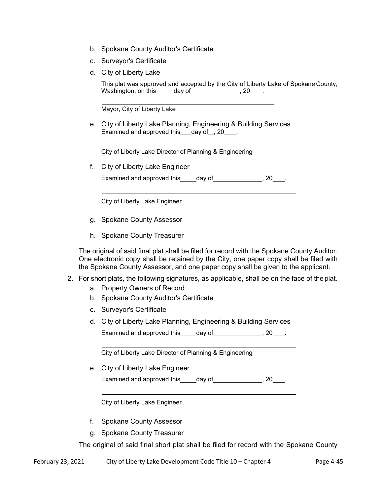- b. Spokane County Auditor's Certificate
- c. Surveyor's Certificate
- d. City of Liberty Lake

 This plat was approved and accepted by the City of Liberty Lake of Spokane County, Washington, on this day of the set of the set of the set of the set of the set of the set of the set of the set o

Mayor, City of Liberty Lake

e. City of Liberty Lake Planning, Engineering & Building Services Examined and approved this  $\frac{1}{2}$  day of  $\frac{1}{2}$ , 20  $\frac{1}{2}$ .

City of Liberty Lake Director of Planning & Engineering

f. City of Liberty Lake Engineer

Examined and approved this day of the samined on day of the same of  $\sim$  .

City of Liberty Lake Engineer

- g. Spokane County Assessor
- h. Spokane County Treasurer

The original of said final plat shall be filed for record with the Spokane County Auditor. One electronic copy shall be retained by the City, one paper copy shall be filed with the Spokane County Assessor, and one paper copy shall be given to the applicant.

- 2. For short plats, the following signatures, as applicable, shall be on the face of the plat.
	- a. Property Owners of Record
	- b. Spokane County Auditor's Certificate
	- c. Surveyor's Certificate
	- d. City of Liberty Lake Planning, Engineering & Building Services Examined and approved this  $\qquad \qquad$  day of  $\qquad \qquad$  , 20  $\qquad$  .

City of Liberty Lake Director of Planning & Engineering

e. City of Liberty Lake Engineer Examined and approved this  $\qquad \qquad$  day of  $\qquad \qquad$  , 20  $\qquad$ .

City of Liberty Lake Engineer

- f. Spokane County Assessor
- g. Spokane County Treasurer

The original of said final short plat shall be filed for record with the Spokane County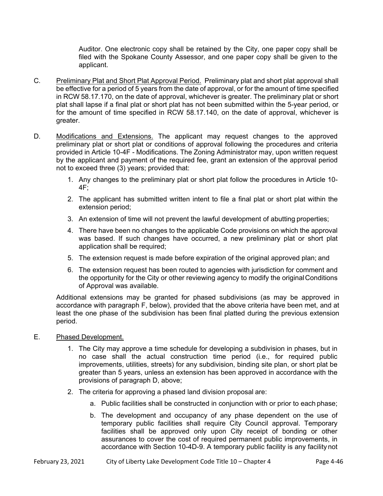Auditor. One electronic copy shall be retained by the City, one paper copy shall be filed with the Spokane County Assessor, and one paper copy shall be given to the applicant.

- C. Preliminary Plat and Short Plat Approval Period. Preliminary plat and short plat approval shall be effective for a period of 5 years from the date of approval, or for the amount of time specified in RCW 58.17.170, on the date of approval, whichever is greater. The preliminary plat or short plat shall lapse if a final plat or short plat has not been submitted within the 5-year period, or for the amount of time specified in RCW 58.17.140, on the date of approval, whichever is greater.
- D. Modifications and Extensions. The applicant may request changes to the approved preliminary plat or short plat or conditions of approval following the procedures and criteria provided in Article 10-4F - Modifications. The Zoning Administrator may, upon written request by the applicant and payment of the required fee, grant an extension of the approval period not to exceed three (3) years; provided that:
	- 1. Any changes to the preliminary plat or short plat follow the procedures in Article 10- 4F;
	- 2. The applicant has submitted written intent to file a final plat or short plat within the extension period;
	- 3. An extension of time will not prevent the lawful development of abutting properties;
	- 4. There have been no changes to the applicable Code provisions on which the approval was based. If such changes have occurred, a new preliminary plat or short plat application shall be required;
	- 5. The extension request is made before expiration of the original approved plan; and
	- 6. The extension request has been routed to agencies with jurisdiction for comment and the opportunity for the City or other reviewing agency to modify the original Conditions of Approval was available.

Additional extensions may be granted for phased subdivisions (as may be approved in accordance with paragraph F, below), provided that the above criteria have been met, and at least the one phase of the subdivision has been final platted during the previous extension period.

- E. Phased Development.
	- 1. The City may approve a time schedule for developing a subdivision in phases, but in no case shall the actual construction time period (i.e., for required public improvements, utilities, streets) for any subdivision, binding site plan, or short plat be greater than 5 years, unless an extension has been approved in accordance with the provisions of paragraph D, above;
	- 2. The criteria for approving a phased land division proposal are:
		- a. Public facilities shall be constructed in conjunction with or prior to each phase;
		- b. The development and occupancy of any phase dependent on the use of temporary public facilities shall require City Council approval. Temporary facilities shall be approved only upon City receipt of bonding or other assurances to cover the cost of required permanent public improvements, in accordance with Section 10-4D-9. A temporary public facility is any facility not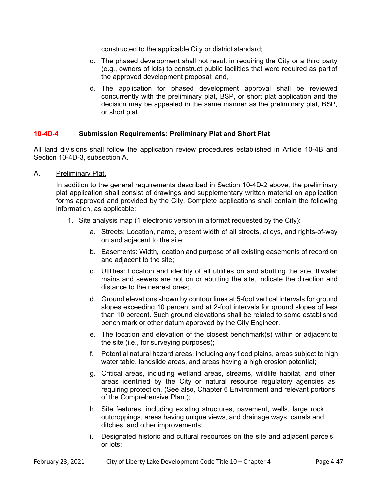constructed to the applicable City or district standard;

- c. The phased development shall not result in requiring the City or a third party (e.g., owners of lots) to construct public facilities that were required as part of the approved development proposal; and,
- d. The application for phased development approval shall be reviewed concurrently with the preliminary plat, BSP, or short plat application and the decision may be appealed in the same manner as the preliminary plat, BSP, or short plat.

#### **10-4D-4 Submission Requirements: Preliminary Plat and Short Plat**

All land divisions shall follow the application review procedures established in Article 10-4B and Section 10-4D-3, subsection A.

A. Preliminary Plat.

In addition to the general requirements described in Section 10-4D-2 above, the preliminary plat application shall consist of drawings and supplementary written material on application forms approved and provided by the City. Complete applications shall contain the following information, as applicable:

- 1. Site analysis map (1 electronic version in a format requested by the City):
	- a. Streets: Location, name, present width of all streets, alleys, and rights-of-way on and adjacent to the site;
	- b. Easements: Width, location and purpose of all existing easements of record on and adjacent to the site;
	- c. Utilities: Location and identity of all utilities on and abutting the site. If water mains and sewers are not on or abutting the site, indicate the direction and distance to the nearest ones;
	- d. Ground elevations shown by contour lines at 5-foot vertical intervals for ground slopes exceeding 10 percent and at 2-foot intervals for ground slopes of less than 10 percent. Such ground elevations shall be related to some established bench mark or other datum approved by the City Engineer.
	- e. The location and elevation of the closest benchmark(s) within or adjacent to the site (i.e., for surveying purposes);
	- f. Potential natural hazard areas, including any flood plains, areas subject to high water table, landslide areas, and areas having a high erosion potential;
	- g. Critical areas, including wetland areas, streams, wildlife habitat, and other areas identified by the City or natural resource regulatory agencies as requiring protection. (See also, Chapter 6 Environment and relevant portions of the Comprehensive Plan.);
	- h. Site features, including existing structures, pavement, wells, large rock outcroppings, areas having unique views, and drainage ways, canals and ditches, and other improvements;
	- i. Designated historic and cultural resources on the site and adjacent parcels or lots;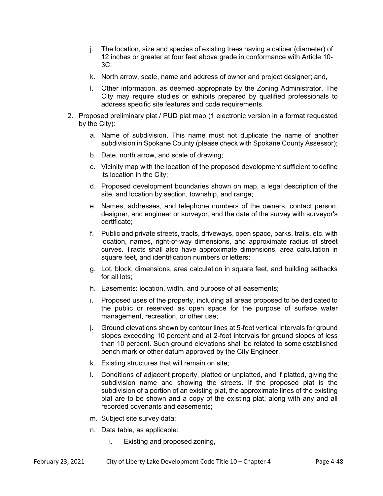- j. The location, size and species of existing trees having a caliper (diameter) of 12 inches or greater at four feet above grade in conformance with Article 10- 3C;
- k. North arrow, scale, name and address of owner and project designer; and,
- l. Other information, as deemed appropriate by the Zoning Administrator. The City may require studies or exhibits prepared by qualified professionals to address specific site features and code requirements.
- 2. Proposed preliminary plat / PUD plat map (1 electronic version in a format requested by the City):
	- a. Name of subdivision. This name must not duplicate the name of another subdivision in Spokane County (please check with Spokane County Assessor);
	- b. Date, north arrow, and scale of drawing;
	- c. Vicinity map with the location of the proposed development sufficient to define its location in the City;
	- d. Proposed development boundaries shown on map, a legal description of the site, and location by section, township, and range;
	- e. Names, addresses, and telephone numbers of the owners, contact person, designer, and engineer or surveyor, and the date of the survey with surveyor's certificate;
	- f. Public and private streets, tracts, driveways, open space, parks, trails, etc. with location, names, right-of-way dimensions, and approximate radius of street curves. Tracts shall also have approximate dimensions, area calculation in square feet, and identification numbers or letters;
	- g. Lot, block, dimensions, area calculation in square feet, and building setbacks for all lots;
	- h. Easements: location, width, and purpose of all easements;
	- i. Proposed uses of the property, including all areas proposed to be dedicated to the public or reserved as open space for the purpose of surface water management, recreation, or other use;
	- j. Ground elevations shown by contour lines at 5-foot vertical intervals for ground slopes exceeding 10 percent and at 2-foot intervals for ground slopes of less than 10 percent. Such ground elevations shall be related to some established bench mark or other datum approved by the City Engineer.
	- k. Existing structures that will remain on site;
	- l. Conditions of adjacent property, platted or unplatted, and if platted, giving the subdivision name and showing the streets. If the proposed plat is the subdivision of a portion of an existing plat, the approximate lines of the existing plat are to be shown and a copy of the existing plat, along with any and all recorded covenants and easements;
	- m. Subject site survey data;
	- n. Data table, as applicable:
		- i. Existing and proposed zoning,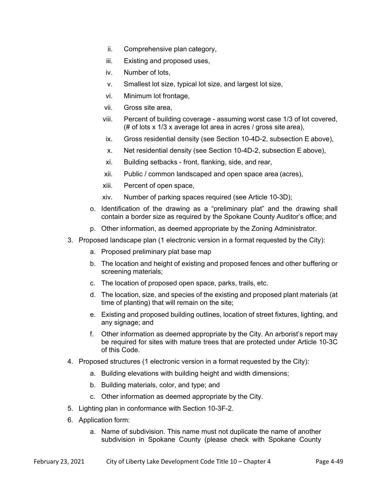- ii. Comprehensive plan category,
- iii. Existing and proposed uses,
- iv. Number of lots,
- v. Smallest lot size, typical lot size, and largest lot size,
- vi. Minimum lot frontage,
- vii. Gross site area,
- viii. Percent of building coverage assuming worst case 1/3 of lot covered, (# of lots x 1/3 x average lot area in acres / gross site area),
- ix. Gross residential density (see Section 10-4D-2, subsection E above),
- x. Net residential density (see Section 10-4D-2, subsection E above),
- xi. Building setbacks front, flanking, side, and rear,
- xii. Public / common landscaped and open space area (acres),
- xiii. Percent of open space,
- xiv. Number of parking spaces required (see Article 10-3D);
- o. Identification of the drawing as a "preliminary plat" and the drawing shall contain a border size as required by the Spokane County Auditor's office; and
- p. Other information, as deemed appropriate by the Zoning Administrator.
- 3. Proposed landscape plan (1 electronic version in a format requested by the City):
	- a. Proposed preliminary plat base map
	- b. The location and height of existing and proposed fences and other buffering or screening materials;
	- c. The location of proposed open space, parks, trails, etc.
	- d. The location, size, and species of the existing and proposed plant materials (at time of planting) that will remain on the site;
	- e. Existing and proposed building outlines, location of street fixtures, lighting, and any signage; and
	- f. Other information as deemed appropriate by the City*.* An arborist's report may be required for sites with mature trees that are protected under Article 10-3C of this Code.
- 4. Proposed structures (1 electronic version in a format requested by the City):
	- a. Building elevations with building height and width dimensions;
	- b. Building materials, color, and type; and
	- c. Other information as deemed appropriate by the City.
- 5. Lighting plan in conformance with Section 10-3F-2.
- 6. Application form:
	- a. Name of subdivision. This name must not duplicate the name of another subdivision in Spokane County (please check with Spokane County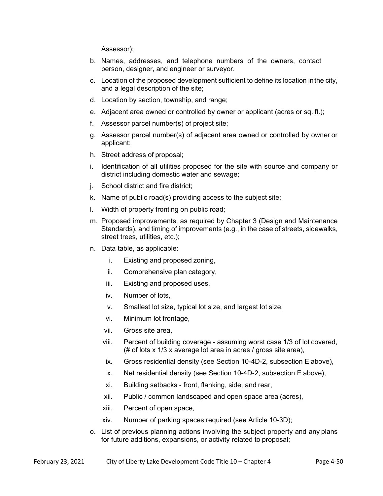Assessor);

- b. Names, addresses, and telephone numbers of the owners, contact person, designer, and engineer or surveyor.
- c. Location of the proposed development sufficient to define its location in the city, and a legal description of the site;
- d. Location by section, township, and range;
- e. Adjacent area owned or controlled by owner or applicant (acres or sq. ft.);
- f. Assessor parcel number(s) of project site;
- g. Assessor parcel number(s) of adjacent area owned or controlled by owner or applicant;
- h. Street address of proposal;
- i. Identification of all utilities proposed for the site with source and company or district including domestic water and sewage;
- j. School district and fire district;
- k. Name of public road(s) providing access to the subject site;
- l. Width of property fronting on public road;
- m. Proposed improvements, as required by Chapter 3 (Design and Maintenance Standards), and timing of improvements (e.g., in the case of streets, sidewalks, street trees, utilities, etc.);
- n. Data table, as applicable:
	- i. Existing and proposed zoning,
	- ii. Comprehensive plan category,
	- iii. Existing and proposed uses,
	- iv. Number of lots,
	- v. Smallest lot size, typical lot size, and largest lot size,
	- vi. Minimum lot frontage,
	- vii. Gross site area,
	- viii. Percent of building coverage assuming worst case 1/3 of lot covered, (# of lots x 1/3 x average lot area in acres / gross site area),
	- ix. Gross residential density (see Section 10-4D-2, subsection E above),
	- x. Net residential density (see Section 10-4D-2, subsection E above),
	- xi. Building setbacks front, flanking, side, and rear,
	- xii. Public / common landscaped and open space area (acres),
	- xiii. Percent of open space,
	- xiv. Number of parking spaces required (see Article 10-3D);
- o. List of previous planning actions involving the subject property and any plans for future additions, expansions, or activity related to proposal;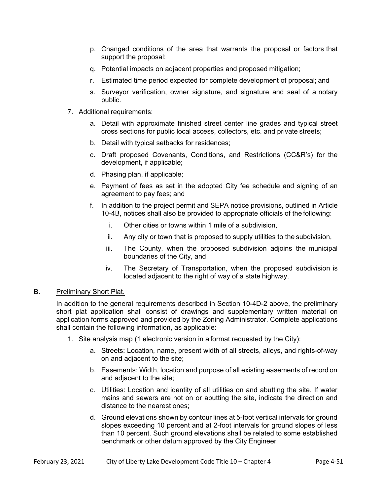- p. Changed conditions of the area that warrants the proposal or factors that support the proposal;
- q. Potential impacts on adjacent properties and proposed mitigation;
- r. Estimated time period expected for complete development of proposal; and
- s. Surveyor verification, owner signature, and signature and seal of a notary public.
- 7. Additional requirements:
	- a. Detail with approximate finished street center line grades and typical street cross sections for public local access, collectors, etc. and private streets;
	- b. Detail with typical setbacks for residences;
	- c. Draft proposed Covenants, Conditions, and Restrictions (CC&R's) for the development, if applicable;
	- d. Phasing plan, if applicable;
	- e. Payment of fees as set in the adopted City fee schedule and signing of an agreement to pay fees; and
	- f. In addition to the project permit and SEPA notice provisions, outlined in Article 10-4B, notices shall also be provided to appropriate officials of the following:
		- i. Other cities or towns within 1 mile of a subdivision,
		- ii. Any city or town that is proposed to supply utilities to the subdivision,
		- iii. The County, when the proposed subdivision adjoins the municipal boundaries of the City, and
		- iv. The Secretary of Transportation, when the proposed subdivision is located adjacent to the right of way of a state highway.

#### B. Preliminary Short Plat.

 In addition to the general requirements described in Section 10-4D-2 above, the preliminary short plat application shall consist of drawings and supplementary written material on application forms approved and provided by the Zoning Administrator. Complete applications shall contain the following information, as applicable:

- 1. Site analysis map (1 electronic version in a format requested by the City):
	- a. Streets: Location, name, present width of all streets, alleys, and rights-of-way on and adjacent to the site;
	- b. Easements: Width, location and purpose of all existing easements of record on and adjacent to the site;
	- c. Utilities: Location and identity of all utilities on and abutting the site. If water mains and sewers are not on or abutting the site, indicate the direction and distance to the nearest ones;
	- d. Ground elevations shown by contour lines at 5-foot vertical intervals for ground slopes exceeding 10 percent and at 2-foot intervals for ground slopes of less than 10 percent. Such ground elevations shall be related to some established benchmark or other datum approved by the City Engineer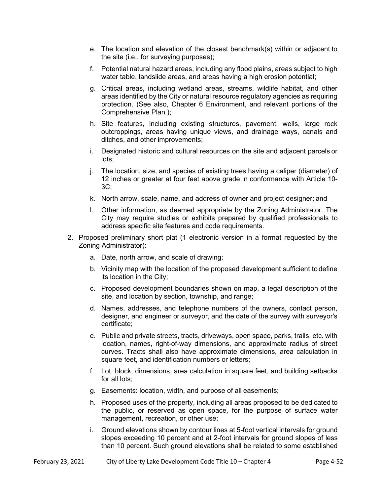- e. The location and elevation of the closest benchmark(s) within or adjacent to the site (i.e., for surveying purposes);
- f. Potential natural hazard areas, including any flood plains, areas subject to high water table, landslide areas, and areas having a high erosion potential;
- g. Critical areas, including wetland areas, streams, wildlife habitat, and other areas identified by the City or natural resource regulatory agencies as requiring protection. (See also, Chapter 6 Environment, and relevant portions of the Comprehensive Plan.);
- h. Site features, including existing structures, pavement, wells, large rock outcroppings, areas having unique views, and drainage ways, canals and ditches, and other improvements;
- i. Designated historic and cultural resources on the site and adjacent parcels or lots;
- j. The location, size, and species of existing trees having a caliper (diameter) of 12 inches or greater at four feet above grade in conformance with Article 10- 3C;
- k. North arrow, scale, name, and address of owner and project designer; and
- l. Other information, as deemed appropriate by the Zoning Administrator. The City may require studies or exhibits prepared by qualified professionals to address specific site features and code requirements.
- 2. Proposed preliminary short plat (1 electronic version in a format requested by the Zoning Administrator):
	- a. Date, north arrow, and scale of drawing;
	- b. Vicinity map with the location of the proposed development sufficient to define its location in the City;
	- c. Proposed development boundaries shown on map, a legal description of the site, and location by section, township, and range;
	- d. Names, addresses, and telephone numbers of the owners, contact person, designer, and engineer or surveyor, and the date of the survey with surveyor's certificate;
	- e. Public and private streets, tracts, driveways, open space, parks, trails, etc. with location, names, right-of-way dimensions, and approximate radius of street curves. Tracts shall also have approximate dimensions, area calculation in square feet, and identification numbers or letters:
	- f. Lot, block, dimensions, area calculation in square feet, and building setbacks for all lots;
	- g. Easements: location, width, and purpose of all easements;
	- h. Proposed uses of the property, including all areas proposed to be dedicated to the public, or reserved as open space, for the purpose of surface water management, recreation, or other use;
	- i. Ground elevations shown by contour lines at 5-foot vertical intervals for ground slopes exceeding 10 percent and at 2-foot intervals for ground slopes of less than 10 percent. Such ground elevations shall be related to some established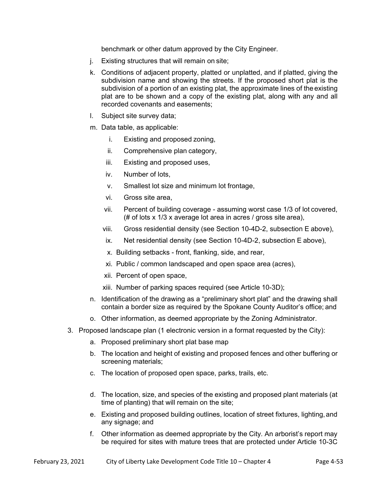benchmark or other datum approved by the City Engineer*.* 

- j. Existing structures that will remain on site;
- k. Conditions of adjacent property, platted or unplatted, and if platted, giving the subdivision name and showing the streets. If the proposed short plat is the subdivision of a portion of an existing plat, the approximate lines of the existing plat are to be shown and a copy of the existing plat, along with any and all recorded covenants and easements;
- l. Subject site survey data;
- m. Data table, as applicable:
	- i. Existing and proposed zoning,
	- ii. Comprehensive plan category,
	- iii. Existing and proposed uses,
	- iv. Number of lots,
	- v. Smallest lot size and minimum lot frontage,
	- vi. Gross site area,
	- vii. Percent of building coverage assuming worst case 1/3 of lot covered, (# of lots x 1/3 x average lot area in acres / gross site area),
	- viii. Gross residential density (see Section 10-4D-2, subsection E above),
	- ix. Net residential density (see Section 10-4D-2, subsection E above),
	- x. Building setbacks front, flanking, side, and rear,
	- xi. Public / common landscaped and open space area (acres),
	- xii. Percent of open space,
	- xiii. Number of parking spaces required (see Article 10-3D);
- n. Identification of the drawing as a "preliminary short plat" and the drawing shall contain a border size as required by the Spokane County Auditor's office; and
- o. Other information, as deemed appropriate by the Zoning Administrator.
- 3. Proposed landscape plan (1 electronic version in a format requested by the City):
	- a. Proposed preliminary short plat base map
	- b. The location and height of existing and proposed fences and other buffering or screening materials;
	- c. The location of proposed open space, parks, trails, etc.
	- d. The location, size, and species of the existing and proposed plant materials (at time of planting) that will remain on the site;
	- e. Existing and proposed building outlines, location of street fixtures, lighting, and any signage; and
	- f. Other information as deemed appropriate by the City*.* An arborist's report may be required for sites with mature trees that are protected under Article 10-3C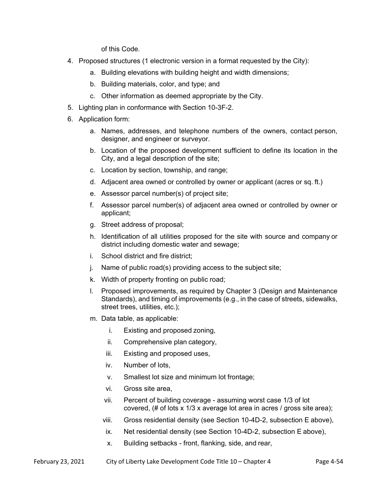of this Code.

- 4. Proposed structures (1 electronic version in a format requested by the City):
	- a. Building elevations with building height and width dimensions;
	- b. Building materials, color, and type; and
	- c. Other information as deemed appropriate by the City.
- 5. Lighting plan in conformance with Section 10-3F-2.
- 6. Application form:
	- a. Names, addresses, and telephone numbers of the owners, contact person, designer, and engineer or surveyor.
	- b. Location of the proposed development sufficient to define its location in the City, and a legal description of the site;
	- c. Location by section, township, and range;
	- d. Adjacent area owned or controlled by owner or applicant (acres or sq. ft.)
	- e. Assessor parcel number(s) of project site;
	- f. Assessor parcel number(s) of adjacent area owned or controlled by owner or applicant;
	- g. Street address of proposal;
	- h. Identification of all utilities proposed for the site with source and company or district including domestic water and sewage;
	- i. School district and fire district;
	- j. Name of public road(s) providing access to the subject site;
	- k. Width of property fronting on public road;
	- l. Proposed improvements, as required by Chapter 3 (Design and Maintenance Standards), and timing of improvements (e.g., in the case of streets, sidewalks, street trees, utilities, etc.);
	- m. Data table, as applicable:
		- i. Existing and proposed zoning,
		- ii. Comprehensive plan category,
		- iii. Existing and proposed uses,
		- iv. Number of lots,
		- v. Smallest lot size and minimum lot frontage;
		- vi. Gross site area,
		- vii. Percent of building coverage assuming worst case 1/3 of lot covered, (# of lots x 1/3 x average lot area in acres / gross site area);
		- viii. Gross residential density (see Section 10-4D-2, subsection E above),
			- ix. Net residential density (see Section 10-4D-2, subsection E above),
			- x. Building setbacks front, flanking, side, and rear,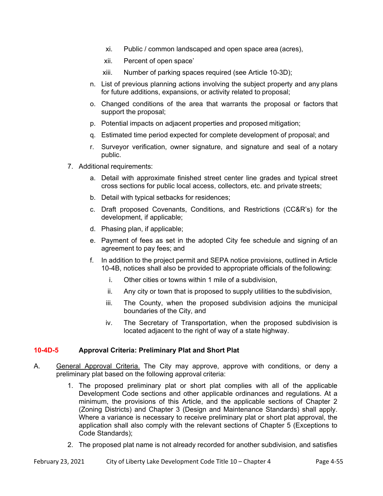- xi. Public / common landscaped and open space area (acres),
- xii. Percent of open space'
- xiii. Number of parking spaces required (see Article 10-3D);
- n. List of previous planning actions involving the subject property and any plans for future additions, expansions, or activity related to proposal;
- o. Changed conditions of the area that warrants the proposal or factors that support the proposal;
- p. Potential impacts on adjacent properties and proposed mitigation;
- q. Estimated time period expected for complete development of proposal; and
- r. Surveyor verification, owner signature, and signature and seal of a notary public.
- 7. Additional requirements:
	- a. Detail with approximate finished street center line grades and typical street cross sections for public local access, collectors, etc. and private streets;
	- b. Detail with typical setbacks for residences;
	- c. Draft proposed Covenants, Conditions, and Restrictions (CC&R's) for the development, if applicable;
	- d. Phasing plan, if applicable;
	- e. Payment of fees as set in the adopted City fee schedule and signing of an agreement to pay fees; and
	- f. In addition to the project permit and SEPA notice provisions, outlined in Article 10-4B, notices shall also be provided to appropriate officials of the following:
		- i. Other cities or towns within 1 mile of a subdivision,
		- ii. Any city or town that is proposed to supply utilities to the subdivision,
		- iii. The County, when the proposed subdivision adjoins the municipal boundaries of the City, and
		- iv. The Secretary of Transportation, when the proposed subdivision is located adjacent to the right of way of a state highway.

## **10-4D-5 Approval Criteria: Preliminary Plat and Short Plat**

- A. General Approval Criteria. The City may approve, approve with conditions, or deny a preliminary plat based on the following approval criteria:
	- 1. The proposed preliminary plat or short plat complies with all of the applicable Development Code sections and other applicable ordinances and regulations. At a minimum, the provisions of this Article, and the applicable sections of Chapter 2 (Zoning Districts) and Chapter 3 (Design and Maintenance Standards) shall apply. Where a variance is necessary to receive preliminary plat or short plat approval, the application shall also comply with the relevant sections of Chapter 5 (Exceptions to Code Standards);
	- 2. The proposed plat name is not already recorded for another subdivision, and satisfies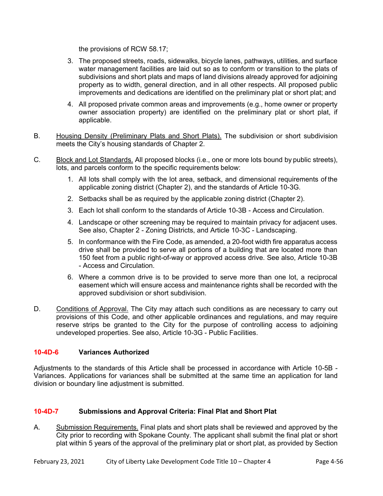the provisions of RCW 58.17;

- 3. The proposed streets, roads, sidewalks, bicycle lanes, pathways, utilities, and surface water management facilities are laid out so as to conform or transition to the plats of subdivisions and short plats and maps of land divisions already approved for adjoining property as to width, general direction, and in all other respects. All proposed public improvements and dedications are identified on the preliminary plat or short plat; and
- 4. All proposed private common areas and improvements (e.g., home owner or property owner association property) are identified on the preliminary plat or short plat, if applicable.
- B. Housing Density (Preliminary Plats and Short Plats). The subdivision or short subdivision meets the City's housing standards of Chapter 2.
- C. Block and Lot Standards. All proposed blocks (i.e., one or more lots bound by public streets), lots, and parcels conform to the specific requirements below:
	- 1. All lots shall comply with the lot area, setback, and dimensional requirements of the applicable zoning district (Chapter 2), and the standards of Article 10-3G.
	- 2. Setbacks shall be as required by the applicable zoning district (Chapter 2).
	- 3. Each lot shall conform to the standards of Article 10-3B Access and Circulation.
	- 4. Landscape or other screening may be required to maintain privacy for adjacent uses. See also, Chapter 2 - Zoning Districts, and Article 10-3C - Landscaping.
	- 5. In conformance with the Fire Code, as amended, a 20-foot width fire apparatus access drive shall be provided to serve all portions of a building that are located more than 150 feet from a public right-of-way or approved access drive. See also, Article 10-3B - Access and Circulation.
	- 6. Where a common drive is to be provided to serve more than one lot, a reciprocal easement which will ensure access and maintenance rights shall be recorded with the approved subdivision or short subdivision.
- D. Conditions of Approval. The City may attach such conditions as are necessary to carry out provisions of this Code, and other applicable ordinances and regulations, and may require reserve strips be granted to the City for the purpose of controlling access to adjoining undeveloped properties. See also, Article 10-3G - Public Facilities.

## **10-4D-6 Variances Authorized**

Adjustments to the standards of this Article shall be processed in accordance with Article 10-5B - Variances. Applications for variances shall be submitted at the same time an application for land division or boundary line adjustment is submitted.

## **10-4D-7 Submissions and Approval Criteria: Final Plat and Short Plat**

A. Submission Requirements. Final plats and short plats shall be reviewed and approved by the City prior to recording with Spokane County. The applicant shall submit the final plat or short plat within 5 years of the approval of the preliminary plat or short plat, as provided by Section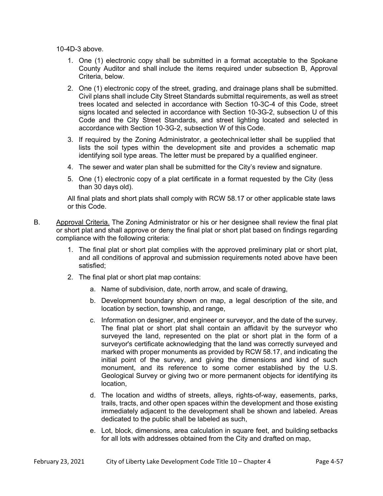10-4D-3 above.

- 1. One (1) electronic copy shall be submitted in a format acceptable to the Spokane County Auditor and shall include the items required under subsection B, Approval Criteria, below.
- 2. One (1) electronic copy of the street, grading, and drainage plans shall be submitted. Civil plans shall include City Street Standards submittal requirements, as well as street trees located and selected in accordance with Section 10-3C-4 of this Code, street signs located and selected in accordance with Section 10-3G-2, subsection U of this Code and the City Street Standards, and street lighting located and selected in accordance with Section 10-3G-2, subsection W of this Code.
- 3. If required by the Zoning Administrator, a geotechnical letter shall be supplied that lists the soil types within the development site and provides a schematic map identifying soil type areas. The letter must be prepared by a qualified engineer.
- 4. The sewer and water plan shall be submitted for the City's review and signature.
- 5. One (1) electronic copy of a plat certificate in a format requested by the City (less than 30 days old).

All final plats and short plats shall comply with RCW 58.17 or other applicable state laws or this Code.

- B. Approval Criteria. The Zoning Administrator or his or her designee shall review the final plat or short plat and shall approve or deny the final plat or short plat based on findings regarding compliance with the following criteria:
	- 1. The final plat or short plat complies with the approved preliminary plat or short plat, and all conditions of approval and submission requirements noted above have been satisfied;
	- 2. The final plat or short plat map contains:
		- a. Name of subdivision, date, north arrow, and scale of drawing,
		- b. Development boundary shown on map, a legal description of the site, and location by section, township, and range,
		- c. Information on designer, and engineer or surveyor, and the date of the survey. The final plat or short plat shall contain an affidavit by the surveyor who surveyed the land, represented on the plat or short plat in the form of a surveyor's certificate acknowledging that the land was correctly surveyed and marked with proper monuments as provided by RCW 58.17, and indicating the initial point of the survey, and giving the dimensions and kind of such monument, and its reference to some corner established by the U.S. Geological Survey or giving two or more permanent objects for identifying its location,
		- d. The location and widths of streets, alleys, rights-of-way, easements, parks, trails, tracts, and other open spaces within the development and those existing immediately adjacent to the development shall be shown and labeled. Areas dedicated to the public shall be labeled as such,
		- e. Lot, block, dimensions, area calculation in square feet, and building setbacks for all lots with addresses obtained from the City and drafted on map,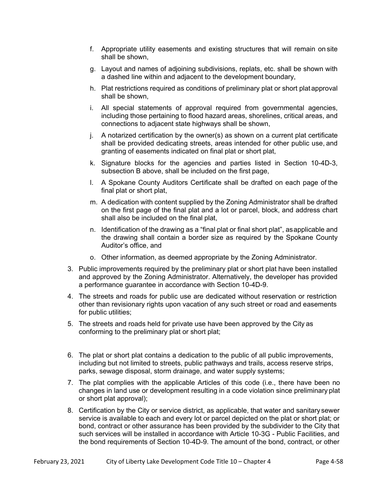- f. Appropriate utility easements and existing structures that will remain on site shall be shown,
- g. Layout and names of adjoining subdivisions, replats, etc. shall be shown with a dashed line within and adjacent to the development boundary,
- h. Plat restrictions required as conditions of preliminary plat or short plat approval shall be shown,
- i. All special statements of approval required from governmental agencies, including those pertaining to flood hazard areas, shorelines, critical areas, and connections to adjacent state highways shall be shown,
- j. A notarized certification by the owner(s) as shown on a current plat certificate shall be provided dedicating streets, areas intended for other public use, and granting of easements indicated on final plat or short plat,
- k. Signature blocks for the agencies and parties listed in Section 10-4D-3, subsection B above, shall be included on the first page,
- l. A Spokane County Auditors Certificate shall be drafted on each page of the final plat or short plat,
- m. A dedication with content supplied by the Zoning Administrator shall be drafted on the first page of the final plat and a lot or parcel, block, and address chart shall also be included on the final plat,
- n. Identification of the drawing as a "final plat or final short plat", as applicable and the drawing shall contain a border size as required by the Spokane County Auditor's office, and
- o. Other information, as deemed appropriate by the Zoning Administrator.
- 3. Public improvements required by the preliminary plat or short plat have been installed and approved by the Zoning Administrator. Alternatively, the developer has provided a performance guarantee in accordance with Section 10-4D-9.
- 4. The streets and roads for public use are dedicated without reservation or restriction other than revisionary rights upon vacation of any such street or road and easements for public utilities;
- 5. The streets and roads held for private use have been approved by the City as conforming to the preliminary plat or short plat;
- 6. The plat or short plat contains a dedication to the public of all public improvements, including but not limited to streets, public pathways and trails, access reserve strips, parks, sewage disposal, storm drainage, and water supply systems;
- 7. The plat complies with the applicable Articles of this code (i.e., there have been no changes in land use or development resulting in a code violation since preliminary plat or short plat approval);
- 8. Certification by the City or service district, as applicable, that water and sanitary sewer service is available to each and every lot or parcel depicted on the plat or short plat; or bond, contract or other assurance has been provided by the subdivider to the City that such services will be installed in accordance with Article 10-3G - Public Facilities, and the bond requirements of Section 10-4D-9. The amount of the bond, contract, or other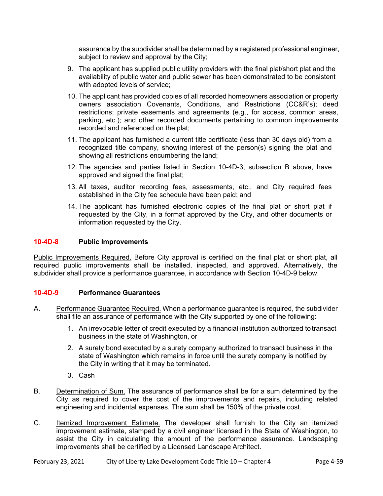assurance by the subdivider shall be determined by a registered professional engineer, subject to review and approval by the City;

- 9. The applicant has supplied public utility providers with the final plat/short plat and the availability of public water and public sewer has been demonstrated to be consistent with adopted levels of service;
- 10. The applicant has provided copies of all recorded homeowners association or property owners association Covenants, Conditions, and Restrictions (CC&R's); deed restrictions; private easements and agreements (e.g., for access, common areas, parking, etc.); and other recorded documents pertaining to common improvements recorded and referenced on the plat;
- 11. The applicant has furnished a current title certificate (less than 30 days old) from a recognized title company, showing interest of the person(s) signing the plat and showing all restrictions encumbering the land;
- 12. The agencies and parties listed in Section 10-4D-3, subsection B above, have approved and signed the final plat;
- 13. All taxes, auditor recording fees, assessments, etc., and City required fees established in the City fee schedule have been paid; and
- 14. The applicant has furnished electronic copies of the final plat or short plat if requested by the City, in a format approved by the City, and other documents or information requested by the City.

## **10-4D-8 Public Improvements**

Public Improvements Required. Before City approval is certified on the final plat or short plat, all required public improvements shall be installed, inspected, and approved. Alternatively, the subdivider shall provide a performance guarantee, in accordance with Section 10-4D-9 below.

## **10-4D-9 Performance Guarantees**

- A. Performance Guarantee Required. When a performance guarantee is required, the subdivider shall file an assurance of performance with the City supported by one of the following:
	- 1. An irrevocable letter of credit executed by a financial institution authorized to transact business in the state of Washington, or
	- 2. A surety bond executed by a surety company authorized to transact business in the state of Washington which remains in force until the surety company is notified by the City in writing that it may be terminated.
	- 3. Cash
- B. Determination of Sum. The assurance of performance shall be for a sum determined by the City as required to cover the cost of the improvements and repairs, including related engineering and incidental expenses. The sum shall be 150% of the private cost.
- C. Itemized Improvement Estimate. The developer shall furnish to the City an itemized improvement estimate, stamped by a civil engineer licensed in the State of Washington, to assist the City in calculating the amount of the performance assurance. Landscaping improvements shall be certified by a Licensed Landscape Architect.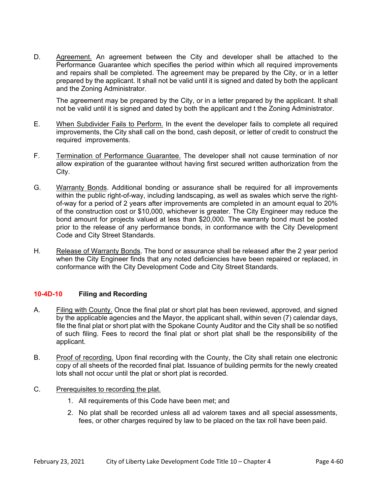D. Agreement. An agreement between the City and developer shall be attached to the Performance Guarantee which specifies the period within which all required improvements and repairs shall be completed. The agreement may be prepared by the City, or in a letter prepared by the applicant. It shall not be valid until it is signed and dated by both the applicant and the Zoning Administrator.

 The agreement may be prepared by the City, or in a letter prepared by the applicant. It shall not be valid until it is signed and dated by both the applicant and t the Zoning Administrator.

- E. When Subdivider Fails to Perform. In the event the developer fails to complete all required improvements, the City shall call on the bond, cash deposit, or letter of credit to construct the required improvements.
- F. Termination of Performance Guarantee. The developer shall not cause termination of nor allow expiration of the guarantee without having first secured written authorization from the City.
- G. Warranty Bonds. Additional bonding or assurance shall be required for all improvements within the public right-of-way, including landscaping, as well as swales which serve the rightof-way for a period of 2 years after improvements are completed in an amount equal to 20% of the construction cost or \$10,000, whichever is greater. The City Engineer may reduce the bond amount for projects valued at less than \$20,000. The warranty bond must be posted prior to the release of any performance bonds, in conformance with the City Development Code and City Street Standards.
- H. Release of Warranty Bonds. The bond or assurance shall be released after the 2 year period when the City Engineer finds that any noted deficiencies have been repaired or replaced, in conformance with the City Development Code and City Street Standards.

## **10-4D-10 Filing and Recording**

- A. Filing with County. Once the final plat or short plat has been reviewed, approved, and signed by the applicable agencies and the Mayor, the applicant shall, within seven (7) calendar days, file the final plat or short plat with the Spokane County Auditor and the City shall be so notified of such filing. Fees to record the final plat or short plat shall be the responsibility of the applicant.
- B. Proof of recording. Upon final recording with the County, the City shall retain one electronic copy of all sheets of the recorded final plat. Issuance of building permits for the newly created lots shall not occur until the plat or short plat is recorded.
- C. Prerequisites to recording the plat.
	- 1. All requirements of this Code have been met; and
	- 2. No plat shall be recorded unless all ad valorem taxes and all special assessments, fees, or other charges required by law to be placed on the tax roll have been paid.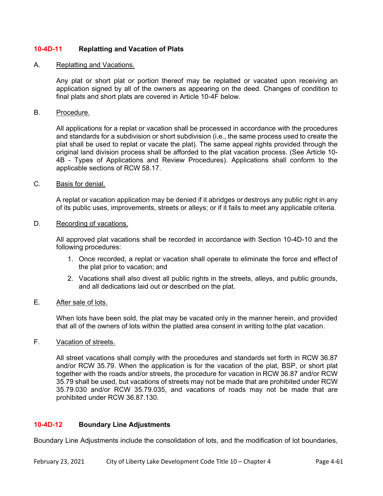## **10-4D-11 Replatting and Vacation of Plats**

#### A. Replatting and Vacations.

Any plat or short plat or portion thereof may be replatted or vacated upon receiving an application signed by all of the owners as appearing on the deed. Changes of condition to final plats and short plats are covered in Article 10-4F below.

#### B. Procedure.

All applications for a replat or vacation shall be processed in accordance with the procedures and standards for a subdivision or short subdivision (i.e., the same process used to create the plat shall be used to replat or vacate the plat). The same appeal rights provided through the original land division process shall be afforded to the plat vacation process. (See Article 10- 4B - Types of Applications and Review Procedures). Applications shall conform to the applicable sections of RCW 58.17.

#### C. Basis for denial.

A replat or vacation application may be denied if it abridges or destroys any public right in any of its public uses, improvements, streets or alleys; or if it fails to meet any applicable criteria.

#### D. Recording of vacations.

All approved plat vacations shall be recorded in accordance with Section 10-4D-10 and the following procedures:

- 1. Once recorded, a replat or vacation shall operate to eliminate the force and effect of the plat prior to vacation; and
- 2. Vacations shall also divest all public rights in the streets, alleys, and public grounds, and all dedications laid out or described on the plat.

## E. After sale of lots.

When lots have been sold, the plat may be vacated only in the manner herein, and provided that all of the owners of lots within the platted area consent in writing to the plat vacation.

### F. Vacation of streets.

All street vacations shall comply with the procedures and standards set forth in RCW 36.87 and/or RCW 35.79. When the application is for the vacation of the plat, BSP, or short plat together with the roads and/or streets, the procedure for vacation in RCW 36.87 and/or RCW 35.79 shall be used, but vacations of streets may not be made that are prohibited under RCW 35.79.030 and/or RCW 35.79.035, and vacations of roads may not be made that are prohibited under RCW 36.87.130.

## **10-4D-12 Boundary Line Adjustments**

Boundary Line Adjustments include the consolidation of lots, and the modification of lot boundaries,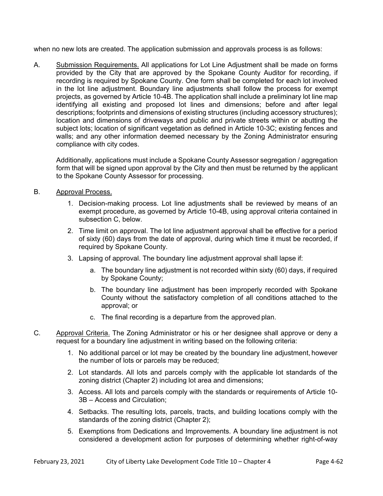when no new lots are created. The application submission and approvals process is as follows:

A. Submission Requirements. All applications for Lot Line Adjustment shall be made on forms provided by the City that are approved by the Spokane County Auditor for recording, if recording is required by Spokane County. One form shall be completed for each lot involved in the lot line adjustment. Boundary line adjustments shall follow the process for exempt projects, as governed by Article 10-4B. The application shall include a preliminary lot line map identifying all existing and proposed lot lines and dimensions; before and after legal descriptions; footprints and dimensions of existing structures (including accessory structures); location and dimensions of driveways and public and private streets within or abutting the subject lots; location of significant vegetation as defined in Article 10-3C; existing fences and walls; and any other information deemed necessary by the Zoning Administrator ensuring compliance with city codes.

 Additionally, applications must include a Spokane County Assessor segregation / aggregation form that will be signed upon approval by the City and then must be returned by the applicant to the Spokane County Assessor for processing.

- B. Approval Process.
	- 1. Decision-making process. Lot line adjustments shall be reviewed by means of an exempt procedure, as governed by Article 10-4B, using approval criteria contained in subsection C, below.
	- 2. Time limit on approval. The lot line adjustment approval shall be effective for a period of sixty (60) days from the date of approval, during which time it must be recorded, if required by Spokane County.
	- 3. Lapsing of approval. The boundary line adjustment approval shall lapse if:
		- a. The boundary line adjustment is not recorded within sixty (60) days, if required by Spokane County;
		- b. The boundary line adjustment has been improperly recorded with Spokane County without the satisfactory completion of all conditions attached to the approval; or
		- c. The final recording is a departure from the approved plan.
- C. Approval Criteria. The Zoning Administrator or his or her designee shall approve or deny a request for a boundary line adjustment in writing based on the following criteria:
	- 1. No additional parcel or lot may be created by the boundary line adjustment, however the number of lots or parcels may be reduced;
	- 2. Lot standards. All lots and parcels comply with the applicable lot standards of the zoning district (Chapter 2) including lot area and dimensions;
	- 3. Access. All lots and parcels comply with the standards or requirements of Article 10- 3B – Access and Circulation;
	- 4. Setbacks. The resulting lots, parcels, tracts, and building locations comply with the standards of the zoning district (Chapter 2);
	- 5. Exemptions from Dedications and Improvements. A boundary line adjustment is not considered a development action for purposes of determining whether right-of-way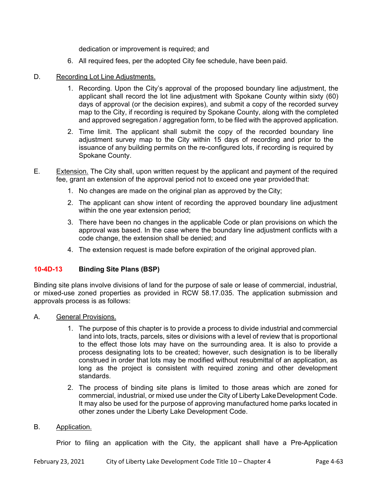dedication or improvement is required; and

- 6. All required fees, per the adopted City fee schedule, have been paid.
- D. Recording Lot Line Adjustments.
	- 1. Recording. Upon the City's approval of the proposed boundary line adjustment, the applicant shall record the lot line adjustment with Spokane County within sixty (60) days of approval (or the decision expires), and submit a copy of the recorded survey map to the City, if recording is required by Spokane County, along with the completed and approved segregation / aggregation form, to be filed with the approved application.
	- 2. Time limit. The applicant shall submit the copy of the recorded boundary line adjustment survey map to the City within 15 days of recording and prior to the issuance of any building permits on the re-configured lots, if recording is required by Spokane County.
- E. Extension. The City shall, upon written request by the applicant and payment of the required fee, grant an extension of the approval period not to exceed one year provided that:
	- 1. No changes are made on the original plan as approved by the City;
	- 2. The applicant can show intent of recording the approved boundary line adjustment within the one year extension period;
	- 3. There have been no changes in the applicable Code or plan provisions on which the approval was based. In the case where the boundary line adjustment conflicts with a code change, the extension shall be denied; and
	- 4. The extension request is made before expiration of the original approved plan.

## **10-4D-13 Binding Site Plans (BSP)**

Binding site plans involve divisions of land for the purpose of sale or lease of commercial, industrial, or mixed-use zoned properties as provided in RCW 58.17.035. The application submission and approvals process is as follows:

- A. General Provisions.
	- 1. The purpose of this chapter is to provide a process to divide industrial and commercial land into lots, tracts, parcels, sites or divisions with a level of review that is proportional to the effect those lots may have on the surrounding area. It is also to provide a process designating lots to be created; however, such designation is to be liberally construed in order that lots may be modified without resubmittal of an application, as long as the project is consistent with required zoning and other development standards.
	- 2. The process of binding site plans is limited to those areas which are zoned for commercial, industrial, or mixed use under the City of Liberty Lake Development Code. It may also be used for the purpose of approving manufactured home parks located in other zones under the Liberty Lake Development Code.

#### B. Application.

Prior to filing an application with the City, the applicant shall have a Pre-Application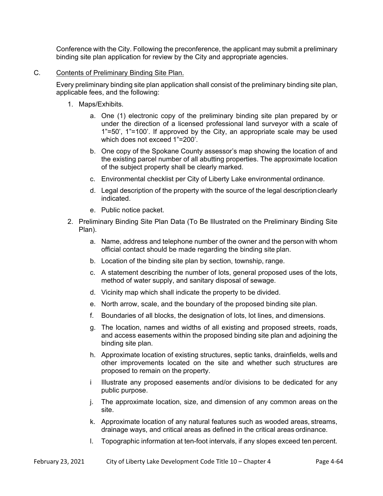Conference with the City. Following the preconference, the applicant may submit a preliminary binding site plan application for review by the City and appropriate agencies.

C. Contents of Preliminary Binding Site Plan.

 Every preliminary binding site plan application shall consist of the preliminary binding site plan, applicable fees, and the following:

- 1. Maps/Exhibits.
	- a. One (1) electronic copy of the preliminary binding site plan prepared by or under the direction of a licensed professional land surveyor with a scale of 1"=50', 1"=100'. If approved by the City, an appropriate scale may be used which does not exceed 1"=200'.
	- b. One copy of the Spokane County assessor's map showing the location of and the existing parcel number of all abutting properties. The approximate location of the subject property shall be clearly marked.
	- c. Environmental checklist per City of Liberty Lake environmental ordinance.
	- d. Legal description of the property with the source of the legal description clearly indicated.
	- e. Public notice packet.
- 2. Preliminary Binding Site Plan Data (To Be Illustrated on the Preliminary Binding Site Plan).
	- a. Name, address and telephone number of the owner and the person with whom official contact should be made regarding the binding site plan.
	- b. Location of the binding site plan by section, township, range.
	- c. A statement describing the number of lots, general proposed uses of the lots, method of water supply, and sanitary disposal of sewage.
	- d. Vicinity map which shall indicate the property to be divided.
	- e. North arrow, scale, and the boundary of the proposed binding site plan.
	- f. Boundaries of all blocks, the designation of lots, lot lines, and dimensions.
	- g. The location, names and widths of all existing and proposed streets, roads, and access easements within the proposed binding site plan and adjoining the binding site plan.
	- h. Approximate location of existing structures, septic tanks, drainfields, wells and other improvements located on the site and whether such structures are proposed to remain on the property.
	- i Illustrate any proposed easements and/or divisions to be dedicated for any public purpose.
	- j. The approximate location, size, and dimension of any common areas on the site.
	- k. Approximate location of any natural features such as wooded areas, streams, drainage ways, and critical areas as defined in the critical areas ordinance.
	- l. Topographic information at ten-foot intervals, if any slopes exceed ten percent.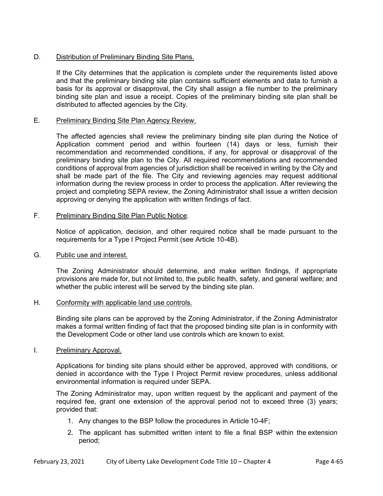## D. Distribution of Preliminary Binding Site Plans.

 If the City determines that the application is complete under the requirements listed above and that the preliminary binding site plan contains sufficient elements and data to furnish a basis for its approval or disapproval, the City shall assign a file number to the preliminary binding site plan and issue a receipt. Copies of the preliminary binding site plan shall be distributed to affected agencies by the City.

## E. Preliminary Binding Site Plan Agency Review.

 The affected agencies shall review the preliminary binding site plan during the Notice of Application comment period and within fourteen (14) days or less, furnish their recommendation and recommended conditions, if any, for approval or disapproval of the preliminary binding site plan to the City. All required recommendations and recommended conditions of approval from agencies of jurisdiction shall be received in writing by the City and shall be made part of the file. The City and reviewing agencies may request additional information during the review process in order to process the application. After reviewing the project and completing SEPA review, the Zoning Administrator shall issue a written decision approving or denying the application with written findings of fact.

#### F. Preliminary Binding Site Plan Public Notice.

 Notice of application, decision, and other required notice shall be made pursuant to the requirements for a Type I Project Permit (see Article 10-4B).

#### G. Public use and interest.

 The Zoning Administrator should determine, and make written findings, if appropriate provisions are made for, but not limited to, the public health, safety, and general welfare; and whether the public interest will be served by the binding site plan.

#### H. Conformity with applicable land use controls.

 Binding site plans can be approved by the Zoning Administrator, if the Zoning Administrator makes a formal written finding of fact that the proposed binding site plan is in conformity with the Development Code or other land use controls which are known to exist.

#### I. Preliminary Approval.

 Applications for binding site plans should either be approved, approved with conditions, or denied in accordance with the Type I Project Permit review procedures, unless additional environmental information is required under SEPA.

The Zoning Administrator may, upon written request by the applicant and payment of the required fee, grant one extension of the approval period not to exceed three (3) years; provided that:

- 1. Any changes to the BSP follow the procedures in Article 10-4F;
- 2. The applicant has submitted written intent to file a final BSP within the extension period;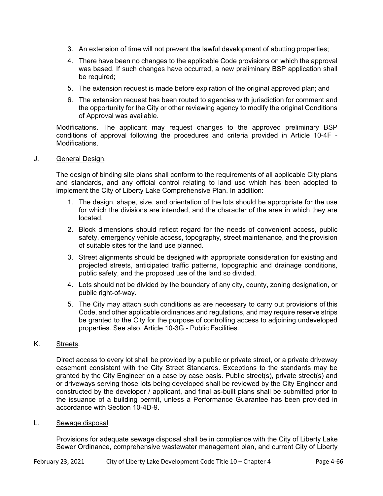- 3. An extension of time will not prevent the lawful development of abutting properties;
- 4. There have been no changes to the applicable Code provisions on which the approval was based. If such changes have occurred, a new preliminary BSP application shall be required;
- 5. The extension request is made before expiration of the original approved plan; and
- 6. The extension request has been routed to agencies with jurisdiction for comment and the opportunity for the City or other reviewing agency to modify the original Conditions of Approval was available.

Modifications. The applicant may request changes to the approved preliminary BSP conditions of approval following the procedures and criteria provided in Article 10-4F - Modifications.

## J. General Design.

 The design of binding site plans shall conform to the requirements of all applicable City plans and standards, and any official control relating to land use which has been adopted to implement the City of Liberty Lake Comprehensive Plan. In addition:

- 1. The design, shape, size, and orientation of the lots should be appropriate for the use for which the divisions are intended, and the character of the area in which they are located.
- 2. Block dimensions should reflect regard for the needs of convenient access, public safety, emergency vehicle access, topography, street maintenance, and the provision of suitable sites for the land use planned.
- 3. Street alignments should be designed with appropriate consideration for existing and projected streets, anticipated traffic patterns, topographic and drainage conditions, public safety, and the proposed use of the land so divided.
- 4. Lots should not be divided by the boundary of any city, county, zoning designation, or public right-of-way.
- 5. The City may attach such conditions as are necessary to carry out provisions of this Code, and other applicable ordinances and regulations, and may require reserve strips be granted to the City for the purpose of controlling access to adjoining undeveloped properties. See also, Article 10-3G - Public Facilities.

## K. Streets.

 Direct access to every lot shall be provided by a public or private street, or a private driveway easement consistent with the City Street Standards. Exceptions to the standards may be granted by the City Engineer on a case by case basis. Public street(s), private street(s) and or driveways serving those lots being developed shall be reviewed by the City Engineer and constructed by the developer / applicant, and final as-built plans shall be submitted prior to the issuance of a building permit, unless a Performance Guarantee has been provided in accordance with Section 10-4D-9.

#### L. Sewage disposal

 Provisions for adequate sewage disposal shall be in compliance with the City of Liberty Lake Sewer Ordinance, comprehensive wastewater management plan, and current City of Liberty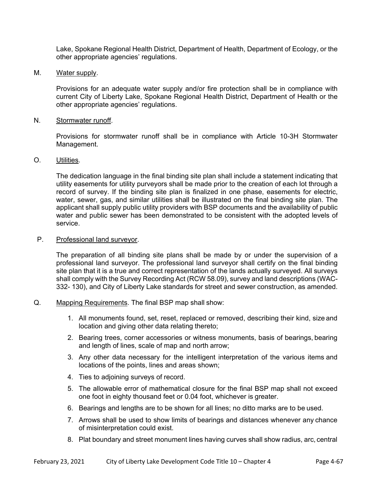Lake, Spokane Regional Health District, Department of Health, Department of Ecology, or the other appropriate agencies' regulations.

M. Water supply.

 Provisions for an adequate water supply and/or fire protection shall be in compliance with current City of Liberty Lake, Spokane Regional Health District, Department of Health or the other appropriate agencies' regulations.

N. Stormwater runoff.

 Provisions for stormwater runoff shall be in compliance with Article 10-3H Stormwater Management.

#### O. Utilities.

 The dedication language in the final binding site plan shall include a statement indicating that utility easements for utility purveyors shall be made prior to the creation of each lot through a record of survey. If the binding site plan is finalized in one phase, easements for electric, water, sewer, gas, and similar utilities shall be illustrated on the final binding site plan. The applicant shall supply public utility providers with BSP documents and the availability of public water and public sewer has been demonstrated to be consistent with the adopted levels of service.

## P. Professional land surveyor.

 The preparation of all binding site plans shall be made by or under the supervision of a professional land surveyor. The professional land surveyor shall certify on the final binding site plan that it is a true and correct representation of the lands actually surveyed. All surveys shall comply with the Survey Recording Act (RCW 58.09), survey and land descriptions (WAC-332- 130), and City of Liberty Lake standards for street and sewer construction, as amended.

- Q. Mapping Requirements. The final BSP map shall show:
	- 1. All monuments found, set, reset, replaced or removed, describing their kind, size and location and giving other data relating thereto;
	- 2. Bearing trees, corner accessories or witness monuments, basis of bearings, bearing and length of lines, scale of map and north arrow;
	- 3. Any other data necessary for the intelligent interpretation of the various items and locations of the points, lines and areas shown;
	- 4. Ties to adjoining surveys of record.
	- 5. The allowable error of mathematical closure for the final BSP map shall not exceed one foot in eighty thousand feet or 0.04 foot, whichever is greater.
	- 6. Bearings and lengths are to be shown for all lines; no ditto marks are to be used.
	- 7. Arrows shall be used to show limits of bearings and distances whenever any chance of misinterpretation could exist.
	- 8. Plat boundary and street monument lines having curves shall show radius, arc, central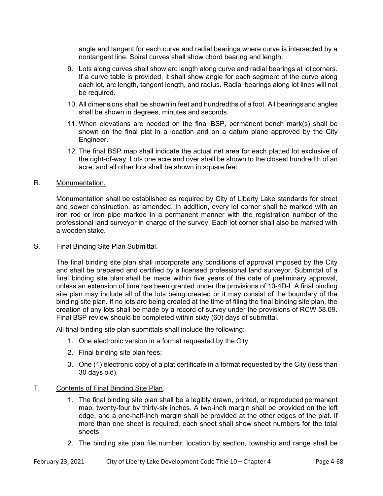angle and tangent for each curve and radial bearings where curve is intersected by a nontangent line. Spiral curves shall show chord bearing and length.

- 9. Lots along curves shall show arc length along curve and radial bearings at lot corners. If a curve table is provided, it shall show angle for each segment of the curve along each lot, arc length, tangent length, and radius. Radial bearings along lot lines will not be required.
- 10. All dimensions shall be shown in feet and hundredths of a foot. All bearings and angles shall be shown in degrees, minutes and seconds.
- 11. When elevations are needed on the final BSP, permanent bench mark(s) shall be shown on the final plat in a location and on a datum plane approved by the City Engineer.
- 12. The final BSP map shall indicate the actual net area for each platted lot exclusive of the right-of-way. Lots one acre and over shall be shown to the closest hundredth of an acre, and all other lots shall be shown in square feet.

## R. Monumentation.

 Monumentation shall be established as required by City of Liberty Lake standards for street and sewer construction, as amended. In addition, every lot corner shall be marked with an iron rod or iron pipe marked in a permanent manner with the registration number of the professional land surveyor in charge of the survey. Each lot corner shall also be marked with a wooden stake.

#### S. Final Binding Site Plan Submittal.

The final binding site plan shall incorporate any conditions of approval imposed by the City and shall be prepared and certified by a licensed professional land surveyor. Submittal of a final binding site plan shall be made within five years of the date of preliminary approval, unless an extension of time has been granted under the provisions of 10-4D-I. A final binding site plan may include all of the lots being created or it may consist of the boundary of the binding site plan. If no lots are being created at the time of filing the final binding site plan, the creation of any lots shall be made by a record of survey under the provisions of RCW 58.09. Final BSP review should be completed within sixty (60) days of submittal.

All final binding site plan submittals shall include the following:

- 1. One electronic version in a format requested by the City
- 2. Final binding site plan fees;
- 3. One (1) electronic copy of a plat certificate in a format requested by the City (less than 30 days old).

#### T. Contents of Final Binding Site Plan.

- 1. The final binding site plan shall be a legibly drawn, printed, or reproduced permanent map, twenty-four by thirty-six inches. A two-inch margin shall be provided on the left edge, and a one-half-inch margin shall be provided at the other edges of the plat. If more than one sheet is required, each sheet shall show sheet numbers for the total sheets.
- 2. The binding site plan file number; location by section, township and range shall be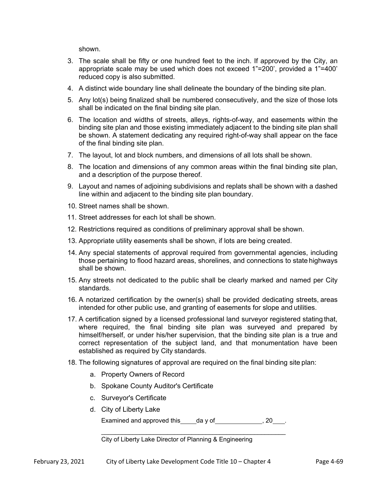shown.

- 3. The scale shall be fifty or one hundred feet to the inch. If approved by the City, an appropriate scale may be used which does not exceed 1"=200', provided a 1"=400' reduced copy is also submitted.
- 4. A distinct wide boundary line shall delineate the boundary of the binding site plan.
- 5. Any lot(s) being finalized shall be numbered consecutively, and the size of those lots shall be indicated on the final binding site plan.
- 6. The location and widths of streets, alleys, rights-of-way, and easements within the binding site plan and those existing immediately adjacent to the binding site plan shall be shown. A statement dedicating any required right-of-way shall appear on the face of the final binding site plan.
- 7. The layout, lot and block numbers, and dimensions of all lots shall be shown.
- 8. The location and dimensions of any common areas within the final binding site plan, and a description of the purpose thereof.
- 9. Layout and names of adjoining subdivisions and replats shall be shown with a dashed line within and adjacent to the binding site plan boundary.
- 10. Street names shall be shown.
- 11. Street addresses for each lot shall be shown.
- 12. Restrictions required as conditions of preliminary approval shall be shown.
- 13. Appropriate utility easements shall be shown, if lots are being created.
- 14. Any special statements of approval required from governmental agencies, including those pertaining to flood hazard areas, shorelines, and connections to state highways shall be shown.
- 15. Any streets not dedicated to the public shall be clearly marked and named per City standards.
- 16. A notarized certification by the owner(s) shall be provided dedicating streets, areas intended for other public use, and granting of easements for slope and utilities.
- 17. A certification signed by a licensed professional land surveyor registered stating that, where required, the final binding site plan was surveyed and prepared by himself/herself, or under his/her supervision, that the binding site plan is a true and correct representation of the subject land, and that monumentation have been established as required by City standards.
- 18. The following signatures of approval are required on the final binding site plan:
	- a. Property Owners of Record
	- b. Spokane County Auditor's Certificate
	- c. Surveyor's Certificate
	- d. City of Liberty Lake Examined and approved this  $\qquad \qquad$  da y of  $\qquad \qquad$ , 20  $\qquad$ .

City of Liberty Lake Director of Planning & Engineering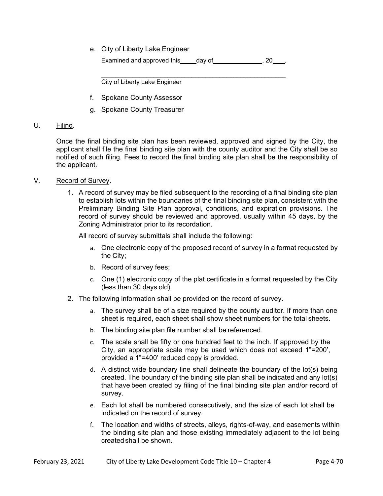e. City of Liberty Lake Engineer

Examined and approved this day of the same of the second section of  $\sim$  20  $\pm$ 

 $\mathcal{L}_\text{max}$  , and the set of the set of the set of the set of the set of the set of the set of the set of the set of the set of the set of the set of the set of the set of the set of the set of the set of the set of the City of Liberty Lake Engineer

- f. Spokane County Assessor
- g. Spokane County Treasurer

## U. Filing.

 Once the final binding site plan has been reviewed, approved and signed by the City, the applicant shall file the final binding site plan with the county auditor and the City shall be so notified of such filing. Fees to record the final binding site plan shall be the responsibility of the applicant.

- V. Record of Survey.
	- 1. A record of survey may be filed subsequent to the recording of a final binding site plan to establish lots within the boundaries of the final binding site plan, consistent with the Preliminary Binding Site Plan approval, conditions, and expiration provisions. The record of survey should be reviewed and approved, usually within 45 days, by the Zoning Administrator prior to its recordation.

All record of survey submittals shall include the following:

- a. One electronic copy of the proposed record of survey in a format requested by the City;
- b. Record of survey fees;
- c. One (1) electronic copy of the plat certificate in a format requested by the City (less than 30 days old).
- 2. The following information shall be provided on the record of survey.
	- a. The survey shall be of a size required by the county auditor. If more than one sheet is required, each sheet shall show sheet numbers for the total sheets.
	- b. The binding site plan file number shall be referenced.
	- c. The scale shall be fifty or one hundred feet to the inch. If approved by the City, an appropriate scale may be used which does not exceed 1"=200', provided a 1"=400' reduced copy is provided.
	- d. A distinct wide boundary line shall delineate the boundary of the lot(s) being created. The boundary of the binding site plan shall be indicated and any lot(s) that have been created by filing of the final binding site plan and/or record of survey.
	- e. Each lot shall be numbered consecutively, and the size of each lot shall be indicated on the record of survey.
	- f. The location and widths of streets, alleys, rights-of-way, and easements within the binding site plan and those existing immediately adjacent to the lot being created shall be shown.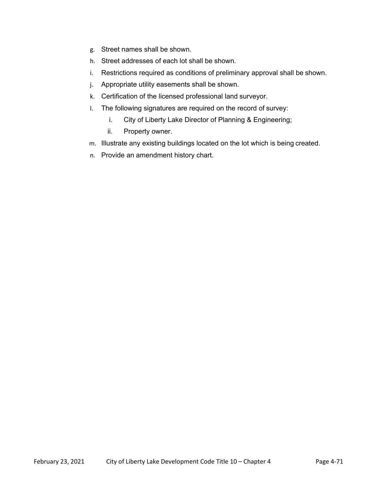- g. Street names shall be shown.
- h. Street addresses of each lot shall be shown.
- i. Restrictions required as conditions of preliminary approval shall be shown.
- j. Appropriate utility easements shall be shown.
- k. Certification of the licensed professional land surveyor.
- l. The following signatures are required on the record of survey:
	- i. City of Liberty Lake Director of Planning & Engineering;
	- ii. Property owner.
- m. Illustrate any existing buildings located on the lot which is being created.
- n. Provide an amendment history chart.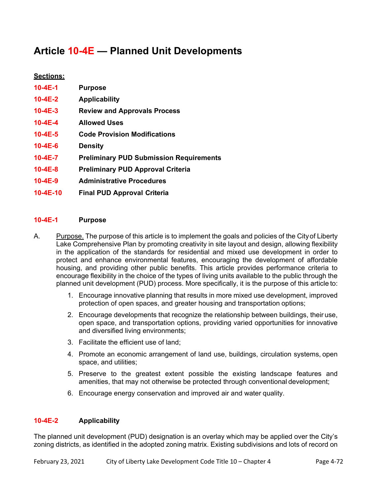# **Article 10-4E — Planned Unit Developments**

# **Sections:**

| $10 - 4E - 1$  | <b>Purpose</b>                                 |
|----------------|------------------------------------------------|
| $10 - 4E - 2$  | <b>Applicability</b>                           |
| $10 - 4E - 3$  | <b>Review and Approvals Process</b>            |
| $10 - 4E - 4$  | <b>Allowed Uses</b>                            |
| $10 - 4E - 5$  | <b>Code Provision Modifications</b>            |
| $10 - 4E - 6$  | <b>Density</b>                                 |
| $10-4E-7$      | <b>Preliminary PUD Submission Requirements</b> |
| $10 - 4E - 8$  | <b>Preliminary PUD Approval Criteria</b>       |
| $10 - 4E - 9$  | <b>Administrative Procedures</b>               |
| $10 - 4E - 10$ | <b>Final PUD Approval Criteria</b>             |

## **10-4E-1 Purpose**

- A. Purpose. The purpose of this article is to implement the goals and policies of the City of Liberty Lake Comprehensive Plan by promoting creativity in site layout and design, allowing flexibility in the application of the standards for residential and mixed use development in order to protect and enhance environmental features, encouraging the development of affordable housing, and providing other public benefits. This article provides performance criteria to encourage flexibility in the choice of the types of living units available to the public through the planned unit development (PUD) process. More specifically, it is the purpose of this article to:
	- 1. Encourage innovative planning that results in more mixed use development, improved protection of open spaces, and greater housing and transportation options;
	- 2. Encourage developments that recognize the relationship between buildings, their use, open space, and transportation options, providing varied opportunities for innovative and diversified living environments;
	- 3. Facilitate the efficient use of land;
	- 4. Promote an economic arrangement of land use, buildings, circulation systems, open space, and utilities;
	- 5. Preserve to the greatest extent possible the existing landscape features and amenities, that may not otherwise be protected through conventional development;
	- 6. Encourage energy conservation and improved air and water quality.

## **10-4E-2 Applicability**

The planned unit development (PUD) designation is an overlay which may be applied over the City's zoning districts, as identified in the adopted zoning matrix. Existing subdivisions and lots of record on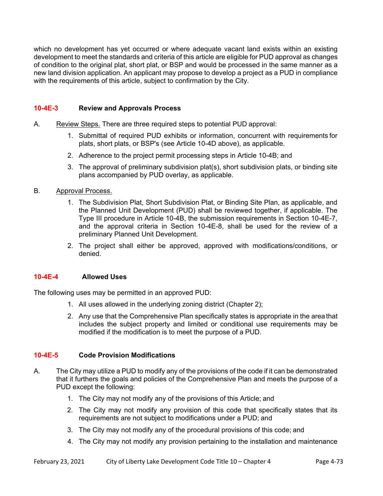which no development has yet occurred or where adequate vacant land exists within an existing development to meet the standards and criteria of this article are eligible for PUD approval as changes of condition to the original plat, short plat, or BSP and would be processed in the same manner as a new land division application. An applicant may propose to develop a project as a PUD in compliance with the requirements of this article, subject to confirmation by the City.

#### **10-4E-3 Review and Approvals Process**

- A. Review Steps. There are three required steps to potential PUD approval:
	- 1. Submittal of required PUD exhibits or information, concurrent with requirements for plats, short plats, or BSP's (see Article 10-4D above), as applicable.
	- 2. Adherence to the project permit processing steps in Article 10-4B; and
	- 3. The approval of preliminary subdivision plat(s), short subdivision plats, or binding site plans accompanied by PUD overlay, as applicable.

#### B. Approval Process.

- 1. The Subdivision Plat, Short Subdivision Plat, or Binding Site Plan, as applicable, and the Planned Unit Development (PUD) shall be reviewed together, if applicable. The Type III procedure in Article 10-4B, the submission requirements in Section 10-4E-7, and the approval criteria in Section 10-4E-8, shall be used for the review of a preliminary Planned Unit Development.
- 2. The project shall either be approved, approved with modifications/conditions, or denied.

## **10-4E-4 Allowed Uses**

The following uses may be permitted in an approved PUD:

- 1. All uses allowed in the underlying zoning district (Chapter 2);
- 2. Any use that the Comprehensive Plan specifically states is appropriate in the area that includes the subject property and limited or conditional use requirements may be modified if the modification is to meet the purpose of a PUD.

## **10-4E-5 Code Provision Modifications**

- A. The City may utilize a PUD to modify any of the provisions of the code if it can be demonstrated that it furthers the goals and policies of the Comprehensive Plan and meets the purpose of a PUD except the following:
	- 1. The City may not modify any of the provisions of this Article; and
	- 2. The City may not modify any provision of this code that specifically states that its requirements are not subject to modifications under a PUD; and
	- 3. The City may not modify any of the procedural provisions of this code; and
	- 4. The City may not modify any provision pertaining to the installation and maintenance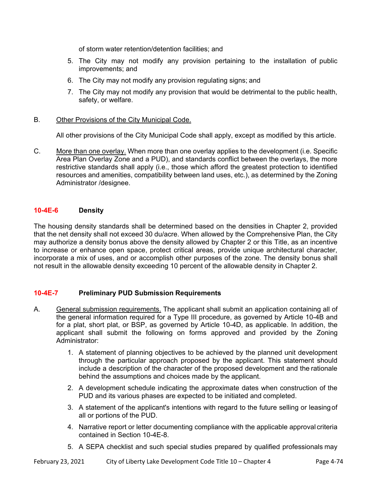of storm water retention/detention facilities; and

- 5. The City may not modify any provision pertaining to the installation of public improvements; and
- 6. The City may not modify any provision regulating signs; and
- 7. The City may not modify any provision that would be detrimental to the public health, safety, or welfare.
- B. Other Provisions of the City Municipal Code.

All other provisions of the City Municipal Code shall apply, except as modified by this article.

C. More than one overlay. When more than one overlay applies to the development (i.e. Specific Area Plan Overlay Zone and a PUD), and standards conflict between the overlays, the more restrictive standards shall apply (i.e., those which afford the greatest protection to identified resources and amenities, compatibility between land uses, etc.), as determined by the Zoning Administrator /designee.

## **10-4E-6 Density**

The housing density standards shall be determined based on the densities in Chapter 2, provided that the net density shall not exceed 30 du/acre. When allowed by the Comprehensive Plan, the City may authorize a density bonus above the density allowed by Chapter 2 or this Title, as an incentive to increase or enhance open space, protect critical areas, provide unique architectural character, incorporate a mix of uses, and or accomplish other purposes of the zone. The density bonus shall not result in the allowable density exceeding 10 percent of the allowable density in Chapter 2.

## **10-4E-7 Preliminary PUD Submission Requirements**

- A. General submission requirements. The applicant shall submit an application containing all of the general information required for a Type III procedure, as governed by Article 10-4B and for a plat, short plat, or BSP, as governed by Article 10-4D, as applicable. In addition, the applicant shall submit the following on forms approved and provided by the Zoning Administrator:
	- 1. A statement of planning objectives to be achieved by the planned unit development through the particular approach proposed by the applicant. This statement should include a description of the character of the proposed development and the rationale behind the assumptions and choices made by the applicant.
	- 2. A development schedule indicating the approximate dates when construction of the PUD and its various phases are expected to be initiated and completed.
	- 3. A statement of the applicant's intentions with regard to the future selling or leasing of all or portions of the PUD.
	- 4. Narrative report or letter documenting compliance with the applicable approval criteria contained in Section 10-4E-8.
	- 5. A SEPA checklist and such special studies prepared by qualified professionals may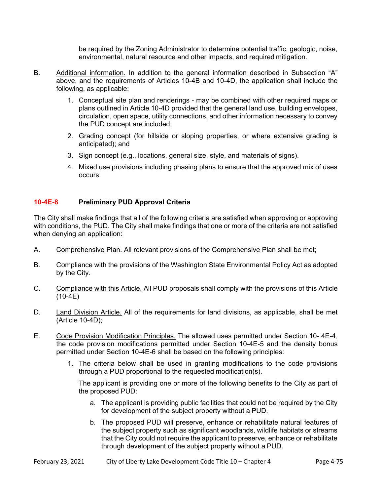be required by the Zoning Administrator to determine potential traffic, geologic, noise, environmental, natural resource and other impacts, and required mitigation.

- B. Additional information. In addition to the general information described in Subsection "A" above, and the requirements of Articles 10-4B and 10-4D, the application shall include the following, as applicable:
	- 1. Conceptual site plan and renderings may be combined with other required maps or plans outlined in Article 10-4D provided that the general land use, building envelopes, circulation, open space, utility connections, and other information necessary to convey the PUD concept are included;
	- 2. Grading concept (for hillside or sloping properties, or where extensive grading is anticipated); and
	- 3. Sign concept (e.g., locations, general size, style, and materials of signs).
	- 4. Mixed use provisions including phasing plans to ensure that the approved mix of uses occurs.

## **10-4E-8 Preliminary PUD Approval Criteria**

The City shall make findings that all of the following criteria are satisfied when approving or approving with conditions, the PUD. The City shall make findings that one or more of the criteria are not satisfied when denying an application:

- A. Comprehensive Plan. All relevant provisions of the Comprehensive Plan shall be met;
- B. Compliance with the provisions of the Washington State Environmental Policy Act as adopted by the City.
- C. Compliance with this Article. All PUD proposals shall comply with the provisions of this Article (10-4E)
- D. Land Division Article. All of the requirements for land divisions, as applicable, shall be met (Article 10-4D);
- E. Code Provision Modification Principles. The allowed uses permitted under Section 10- 4E-4, the code provision modifications permitted under Section 10-4E-5 and the density bonus permitted under Section 10-4E-6 shall be based on the following principles:
	- 1. The criteria below shall be used in granting modifications to the code provisions through a PUD proportional to the requested modification(s).

 The applicant is providing one or more of the following benefits to the City as part of the proposed PUD:

- a. The applicant is providing public facilities that could not be required by the City for development of the subject property without a PUD.
- b. The proposed PUD will preserve, enhance or rehabilitate natural features of the subject property such as significant woodlands, wildlife habitats or streams that the City could not require the applicant to preserve, enhance or rehabilitate through development of the subject property without a PUD.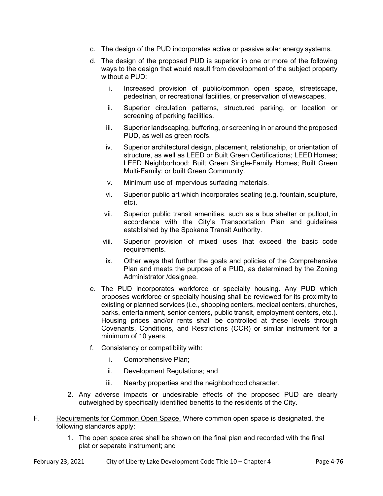- c. The design of the PUD incorporates active or passive solar energy systems.
- d. The design of the proposed PUD is superior in one or more of the following ways to the design that would result from development of the subject property without a PUD:
	- i. Increased provision of public/common open space, streetscape, pedestrian, or recreational facilities, or preservation of viewscapes.
	- ii. Superior circulation patterns, structured parking, or location or screening of parking facilities.
	- iii. Superior landscaping, buffering, or screening in or around the proposed PUD, as well as green roofs.
	- iv. Superior architectural design, placement, relationship, or orientation of structure, as well as LEED or Built Green Certifications; LEED Homes; LEED Neighborhood; Built Green Single-Family Homes; Built Green Multi-Family; or built Green Community.
	- v. Minimum use of impervious surfacing materials.
	- vi. Superior public art which incorporates seating (e.g. fountain, sculpture, etc).
	- vii. Superior public transit amenities, such as a bus shelter or pullout, in accordance with the City's Transportation Plan and guidelines established by the Spokane Transit Authority.
	- viii. Superior provision of mixed uses that exceed the basic code requirements.
	- ix. Other ways that further the goals and policies of the Comprehensive Plan and meets the purpose of a PUD, as determined by the Zoning Administrator /designee.
- e. The PUD incorporates workforce or specialty housing. Any PUD which proposes workforce or specialty housing shall be reviewed for its proximity to existing or planned services (i.e., shopping centers, medical centers, churches, parks, entertainment, senior centers, public transit, employment centers, etc.). Housing prices and/or rents shall be controlled at these levels through Covenants, Conditions, and Restrictions (CCR) or similar instrument for a minimum of 10 years.
- f. Consistency or compatibility with:
	- i. Comprehensive Plan;
	- ii. Development Regulations; and
	- iii. Nearby properties and the neighborhood character.
- 2. Any adverse impacts or undesirable effects of the proposed PUD are clearly outweighed by specifically identified benefits to the residents of the City.
- F. Requirements for Common Open Space. Where common open space is designated, the following standards apply:
	- 1. The open space area shall be shown on the final plan and recorded with the final plat or separate instrument; and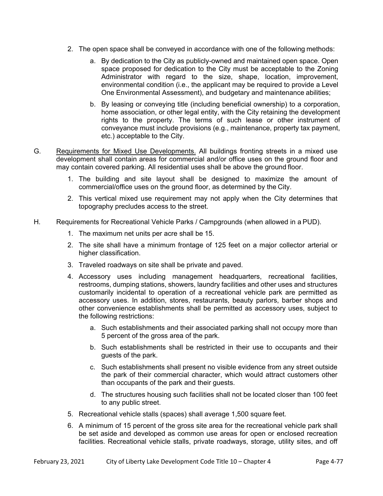- 2. The open space shall be conveyed in accordance with one of the following methods:
	- a. By dedication to the City as publicly-owned and maintained open space. Open space proposed for dedication to the City must be acceptable to the Zoning Administrator with regard to the size, shape, location, improvement, environmental condition (i.e., the applicant may be required to provide a Level One Environmental Assessment), and budgetary and maintenance abilities;
	- b. By leasing or conveying title (including beneficial ownership) to a corporation, home association, or other legal entity, with the City retaining the development rights to the property. The terms of such lease or other instrument of conveyance must include provisions (e.g., maintenance, property tax payment, etc.) acceptable to the City.
- G. Requirements for Mixed Use Developments. All buildings fronting streets in a mixed use development shall contain areas for commercial and/or office uses on the ground floor and may contain covered parking. All residential uses shall be above the ground floor.
	- 1. The building and site layout shall be designed to maximize the amount of commercial/office uses on the ground floor, as determined by the City.
	- 2. This vertical mixed use requirement may not apply when the City determines that topography precludes access to the street.
- H. Requirements for Recreational Vehicle Parks / Campgrounds (when allowed in a PUD).
	- 1. The maximum net units per acre shall be 15.
	- 2. The site shall have a minimum frontage of 125 feet on a major collector arterial or higher classification.
	- 3. Traveled roadways on site shall be private and paved.
	- 4. Accessory uses including management headquarters, recreational facilities, restrooms, dumping stations, showers, laundry facilities and other uses and structures customarily incidental to operation of a recreational vehicle park are permitted as accessory uses. In addition, stores, restaurants, beauty parlors, barber shops and other convenience establishments shall be permitted as accessory uses, subject to the following restrictions:
		- a. Such establishments and their associated parking shall not occupy more than 5 percent of the gross area of the park.
		- b. Such establishments shall be restricted in their use to occupants and their guests of the park.
		- c. Such establishments shall present no visible evidence from any street outside the park of their commercial character, which would attract customers other than occupants of the park and their guests.
		- d. The structures housing such facilities shall not be located closer than 100 feet to any public street.
	- 5. Recreational vehicle stalls (spaces) shall average 1,500 square feet.
	- 6. A minimum of 15 percent of the gross site area for the recreational vehicle park shall be set aside and developed as common use areas for open or enclosed recreation facilities. Recreational vehicle stalls, private roadways, storage, utility sites, and off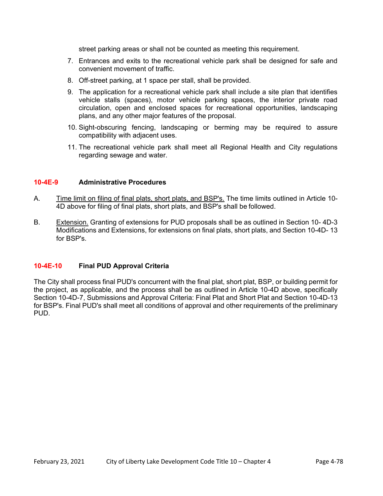street parking areas or shall not be counted as meeting this requirement.

- 7. Entrances and exits to the recreational vehicle park shall be designed for safe and convenient movement of traffic.
- 8. Off-street parking, at 1 space per stall, shall be provided.
- 9. The application for a recreational vehicle park shall include a site plan that identifies vehicle stalls (spaces), motor vehicle parking spaces, the interior private road circulation, open and enclosed spaces for recreational opportunities, landscaping plans, and any other major features of the proposal.
- 10. Sight-obscuring fencing, landscaping or berming may be required to assure compatibility with adjacent uses.
- 11. The recreational vehicle park shall meet all Regional Health and City regulations regarding sewage and water.

#### **10-4E-9 Administrative Procedures**

- A. Time limit on filing of final plats, short plats, and BSP's. The time limits outlined in Article 10-4D above for filing of final plats, short plats, and BSP's shall be followed.
- B. Extension. Granting of extensions for PUD proposals shall be as outlined in Section 10- 4D-3 Modifications and Extensions, for extensions on final plats, short plats, and Section 10-4D- 13 for BSP's.

## **10-4E-10 Final PUD Approval Criteria**

The City shall process final PUD's concurrent with the final plat, short plat, BSP, or building permit for the project, as applicable, and the process shall be as outlined in Article 10-4D above, specifically Section 10-4D-7, Submissions and Approval Criteria: Final Plat and Short Plat and Section 10-4D-13 for BSP's. Final PUD's shall meet all conditions of approval and other requirements of the preliminary PUD.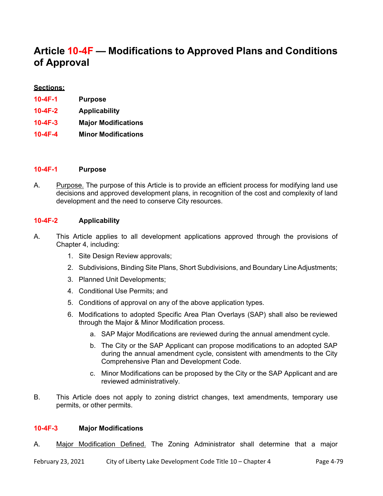# **Article 10-4F — Modifications to Approved Plans and Conditions of Approval**

#### **Sections:**

| 10-4F-1 | <b>Purpose</b>             |
|---------|----------------------------|
| 10-4F-2 | <b>Applicability</b>       |
| 10-4F-3 | <b>Major Modifications</b> |
| 10-4F-4 | <b>Minor Modifications</b> |

#### **10-4F-1 Purpose**

A. Purpose. The purpose of this Article is to provide an efficient process for modifying land use decisions and approved development plans, in recognition of the cost and complexity of land development and the need to conserve City resources.

#### **10-4F-2 Applicability**

- A. This Article applies to all development applications approved through the provisions of Chapter 4, including:
	- 1. Site Design Review approvals;
	- 2. Subdivisions, Binding Site Plans, Short Subdivisions, and Boundary Line Adjustments;
	- 3. Planned Unit Developments;
	- 4. Conditional Use Permits; and
	- 5. Conditions of approval on any of the above application types.
	- 6. Modifications to adopted Specific Area Plan Overlays (SAP) shall also be reviewed through the Major & Minor Modification process.
		- a. SAP Major Modifications are reviewed during the annual amendment cycle.
		- b. The City or the SAP Applicant can propose modifications to an adopted SAP during the annual amendment cycle, consistent with amendments to the City Comprehensive Plan and Development Code.
		- c. Minor Modifications can be proposed by the City or the SAP Applicant and are reviewed administratively.
- B. This Article does not apply to zoning district changes, text amendments, temporary use permits, or other permits.

### **10-4F-3 Major Modifications**

A. Major Modification Defined. The Zoning Administrator shall determine that a major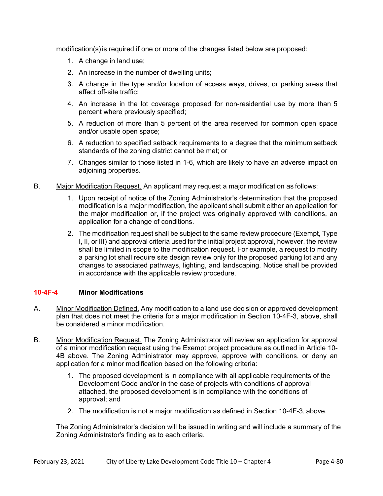modification(s) is required if one or more of the changes listed below are proposed:

- 1. A change in land use;
- 2. An increase in the number of dwelling units;
- 3. A change in the type and/or location of access ways, drives, or parking areas that affect off-site traffic;
- 4. An increase in the lot coverage proposed for non-residential use by more than 5 percent where previously specified;
- 5. A reduction of more than 5 percent of the area reserved for common open space and/or usable open space;
- 6. A reduction to specified setback requirements to a degree that the minimum setback standards of the zoning district cannot be met; or
- 7. Changes similar to those listed in 1-6, which are likely to have an adverse impact on adjoining properties.
- B. Major Modification Request. An applicant may request a major modification as follows:
	- 1. Upon receipt of notice of the Zoning Administrator's determination that the proposed modification is a major modification, the applicant shall submit either an application for the major modification or, if the project was originally approved with conditions, an application for a change of conditions.
	- 2. The modification request shall be subject to the same review procedure (Exempt, Type I, II, or III) and approval criteria used for the initial project approval, however, the review shall be limited in scope to the modification request. For example, a request to modify a parking lot shall require site design review only for the proposed parking lot and any changes to associated pathways, lighting, and landscaping. Notice shall be provided in accordance with the applicable review procedure.

## **10-4F-4 Minor Modifications**

- A. Minor Modification Defined. Any modification to a land use decision or approved development plan that does not meet the criteria for a major modification in Section 10-4F-3, above, shall be considered a minor modification.
- B. Minor Modification Request. The Zoning Administrator will review an application for approval of a minor modification request using the Exempt project procedure as outlined in Article 10- 4B above. The Zoning Administrator may approve, approve with conditions, or deny an application for a minor modification based on the following criteria:
	- 1. The proposed development is in compliance with all applicable requirements of the Development Code and/or in the case of projects with conditions of approval attached, the proposed development is in compliance with the conditions of approval; and
	- 2. The modification is not a major modification as defined in Section 10-4F-3, above.

The Zoning Administrator's decision will be issued in writing and will include a summary of the Zoning Administrator's finding as to each criteria.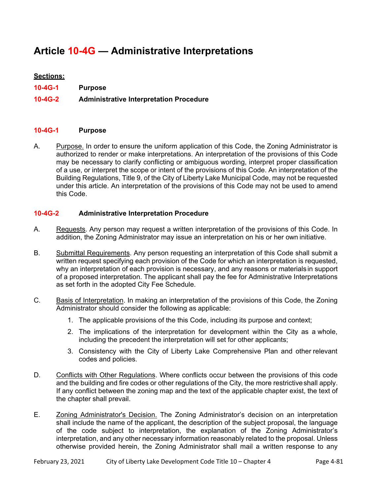# **Article 10-4G — Administrative Interpretations**

## **Sections:**

- **10-4G-1 Purpose**
- **10-4G-2 Administrative Interpretation Procedure**

#### **10-4G-1 Purpose**

A. Purpose. In order to ensure the uniform application of this Code, the Zoning Administrator is authorized to render or make interpretations. An interpretation of the provisions of this Code may be necessary to clarify conflicting or ambiguous wording, interpret proper classification of a use, or interpret the scope or intent of the provisions of this Code. An interpretation of the Building Regulations, Title 9, of the City of Liberty Lake Municipal Code, may not be requested under this article. An interpretation of the provisions of this Code may not be used to amend this Code.

#### **10-4G-2 Administrative Interpretation Procedure**

- A. Requests. Any person may request a written interpretation of the provisions of this Code. In addition, the Zoning Administrator may issue an interpretation on his or her own initiative.
- B. Submittal Requirements. Any person requesting an interpretation of this Code shall submit a written request specifying each provision of the Code for which an interpretation is requested, why an interpretation of each provision is necessary, and any reasons or materials in support of a proposed interpretation. The applicant shall pay the fee for Administrative Interpretations as set forth in the adopted City Fee Schedule.
- C. Basis of Interpretation. In making an interpretation of the provisions of this Code, the Zoning Administrator should consider the following as applicable:
	- 1. The applicable provisions of the this Code, including its purpose and context;
	- 2. The implications of the interpretation for development within the City as a whole, including the precedent the interpretation will set for other applicants;
	- 3. Consistency with the City of Liberty Lake Comprehensive Plan and other relevant codes and policies.
- D. Conflicts with Other Regulations. Where conflicts occur between the provisions of this code and the building and fire codes or other regulations of the City, the more restrictive shall apply. If any conflict between the zoning map and the text of the applicable chapter exist, the text of the chapter shall prevail.
- E. Zoning Administrator's Decision. The Zoning Administrator's decision on an interpretation shall include the name of the applicant, the description of the subject proposal, the language of the code subject to interpretation, the explanation of the Zoning Administrator's interpretation, and any other necessary information reasonably related to the proposal. Unless otherwise provided herein, the Zoning Administrator shall mail a written response to any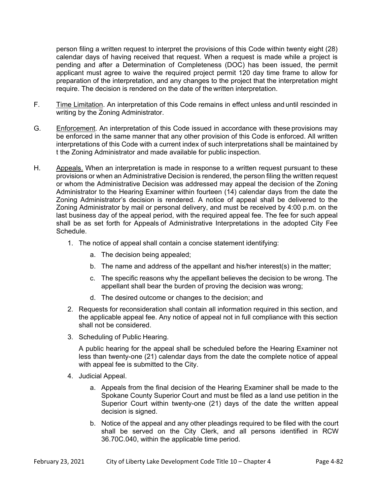person filing a written request to interpret the provisions of this Code within twenty eight (28) calendar days of having received that request. When a request is made while a project is pending and after a Determination of Completeness (DOC) has been issued, the permit applicant must agree to waive the required project permit 120 day time frame to allow for preparation of the interpretation, and any changes to the project that the interpretation might require. The decision is rendered on the date of the written interpretation.

- F. Time Limitation. An interpretation of this Code remains in effect unless and until rescinded in writing by the Zoning Administrator.
- G. Enforcement. An interpretation of this Code issued in accordance with these provisions may be enforced in the same manner that any other provision of this Code is enforced. All written interpretations of this Code with a current index of such interpretations shall be maintained by t the Zoning Administrator and made available for public inspection.
- H. Appeals. When an interpretation is made in response to a written request pursuant to these provisions or when an Administrative Decision is rendered, the person filing the written request or whom the Administrative Decision was addressed may appeal the decision of the Zoning Administrator to the Hearing Examiner within fourteen (14) calendar days from the date the Zoning Administrator's decision is rendered. A notice of appeal shall be delivered to the Zoning Administrator by mail or personal delivery, and must be received by 4:00 p.m. on the last business day of the appeal period, with the required appeal fee. The fee for such appeal shall be as set forth for Appeals of Administrative Interpretations in the adopted City Fee Schedule.
	- 1. The notice of appeal shall contain a concise statement identifying:
		- a. The decision being appealed;
		- b. The name and address of the appellant and his/her interest(s) in the matter;
		- c. The specific reasons why the appellant believes the decision to be wrong. The appellant shall bear the burden of proving the decision was wrong;
		- d. The desired outcome or changes to the decision; and
	- 2. Requests for reconsideration shall contain all information required in this section, and the applicable appeal fee. Any notice of appeal not in full compliance with this section shall not be considered.
	- 3. Scheduling of Public Hearing.

 A public hearing for the appeal shall be scheduled before the Hearing Examiner not less than twenty-one (21) calendar days from the date the complete notice of appeal with appeal fee is submitted to the City.

- 4. Judicial Appeal.
	- a. Appeals from the final decision of the Hearing Examiner shall be made to the Spokane County Superior Court and must be filed as a land use petition in the Superior Court within twenty-one (21) days of the date the written appeal decision is signed.
	- b. Notice of the appeal and any other pleadings required to be filed with the court shall be served on the City Clerk, and all persons identified in RCW 36.70C.040, within the applicable time period.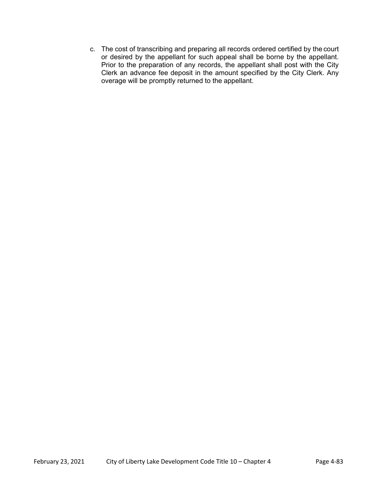c. The cost of transcribing and preparing all records ordered certified by the court or desired by the appellant for such appeal shall be borne by the appellant. Prior to the preparation of any records, the appellant shall post with the City Clerk an advance fee deposit in the amount specified by the City Clerk. Any overage will be promptly returned to the appellant.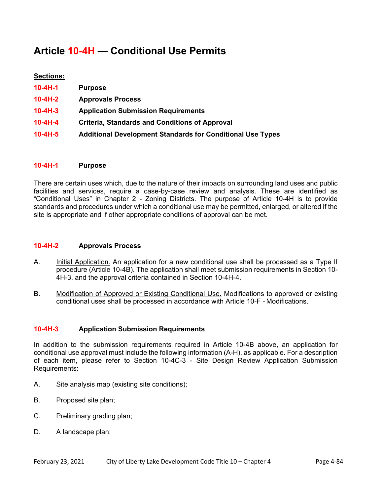# **Article 10-4H — Conditional Use Permits**

# **Sections:**

| $10 - 4H - 1$ | <b>Purpose</b>                                                    |
|---------------|-------------------------------------------------------------------|
| $10 - 4H - 2$ | <b>Approvals Process</b>                                          |
| $10 - 4H - 3$ | <b>Application Submission Requirements</b>                        |
| $10 - 4H - 4$ | <b>Criteria, Standards and Conditions of Approval</b>             |
| $10-4H-5$     | <b>Additional Development Standards for Conditional Use Types</b> |

## **10-4H-1 Purpose**

There are certain uses which, due to the nature of their impacts on surrounding land uses and public facilities and services, require a case-by-case review and analysis. These are identified as "Conditional Uses" in Chapter 2 - Zoning Districts. The purpose of Article 10-4H is to provide standards and procedures under which a conditional use may be permitted, enlarged, or altered if the site is appropriate and if other appropriate conditions of approval can be met.

#### **10-4H-2 Approvals Process**

- A. Initial Application. An application for a new conditional use shall be processed as a Type II procedure (Article 10-4B). The application shall meet submission requirements in Section 10- 4H-3, and the approval criteria contained in Section 10-4H-4.
- B. Modification of Approved or Existing Conditional Use. Modifications to approved or existing conditional uses shall be processed in accordance with Article 10-F - Modifications.

## **10-4H-3 Application Submission Requirements**

In addition to the submission requirements required in Article 10-4B above, an application for conditional use approval must include the following information (A-H), as applicable. For a description of each item, please refer to Section 10-4C-3 - Site Design Review Application Submission Requirements:

- A. Site analysis map (existing site conditions);
- B. Proposed site plan;
- C. Preliminary grading plan;
- D. A landscape plan;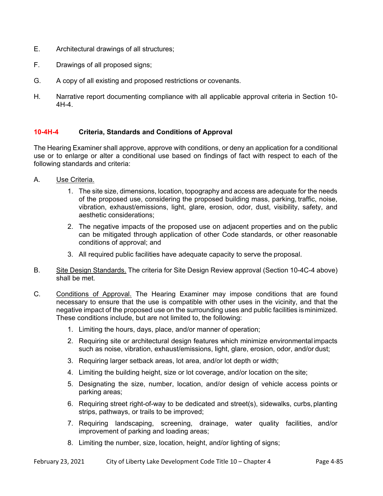- E. Architectural drawings of all structures;
- F. Drawings of all proposed signs;
- G. A copy of all existing and proposed restrictions or covenants.
- H. Narrative report documenting compliance with all applicable approval criteria in Section 10- 4H-4.

## **10-4H-4 Criteria, Standards and Conditions of Approval**

The Hearing Examiner shall approve, approve with conditions, or deny an application for a conditional use or to enlarge or alter a conditional use based on findings of fact with respect to each of the following standards and criteria:

- A. Use Criteria.
	- 1. The site size, dimensions, location, topography and access are adequate for the needs of the proposed use, considering the proposed building mass, parking, traffic, noise, vibration, exhaust/emissions, light, glare, erosion, odor, dust, visibility, safety, and aesthetic considerations;
	- 2. The negative impacts of the proposed use on adjacent properties and on the public can be mitigated through application of other Code standards, or other reasonable conditions of approval; and
	- 3. All required public facilities have adequate capacity to serve the proposal.
- B. Site Design Standards. The criteria for Site Design Review approval (Section 10-4C-4 above) shall be met.
- C. Conditions of Approval. The Hearing Examiner may impose conditions that are found necessary to ensure that the use is compatible with other uses in the vicinity, and that the negative impact of the proposed use on the surrounding uses and public facilities is minimized. These conditions include, but are not limited to, the following:
	- 1. Limiting the hours, days, place, and/or manner of operation;
	- 2. Requiring site or architectural design features which minimize environmental impacts such as noise, vibration, exhaust/emissions, light, glare, erosion, odor, and/or dust;
	- 3. Requiring larger setback areas, lot area, and/or lot depth or width;
	- 4. Limiting the building height, size or lot coverage, and/or location on the site;
	- 5. Designating the size, number, location, and/or design of vehicle access points or parking areas;
	- 6. Requiring street right-of-way to be dedicated and street(s), sidewalks, curbs, planting strips, pathways, or trails to be improved;
	- 7. Requiring landscaping, screening, drainage, water quality facilities, and/or improvement of parking and loading areas;
	- 8. Limiting the number, size, location, height, and/or lighting of signs;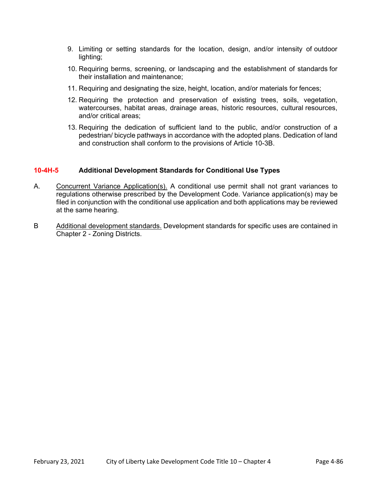- 9. Limiting or setting standards for the location, design, and/or intensity of outdoor lighting;
- 10. Requiring berms, screening, or landscaping and the establishment of standards for their installation and maintenance;
- 11. Requiring and designating the size, height, location, and/or materials for fences;
- 12. Requiring the protection and preservation of existing trees, soils, vegetation, watercourses, habitat areas, drainage areas, historic resources, cultural resources, and/or critical areas;
- 13. Requiring the dedication of sufficient land to the public, and/or construction of a pedestrian/ bicycle pathways in accordance with the adopted plans. Dedication of land and construction shall conform to the provisions of Article 10-3B.

#### **10-4H-5 Additional Development Standards for Conditional Use Types**

- A. Concurrent Variance Application(s). A conditional use permit shall not grant variances to regulations otherwise prescribed by the Development Code. Variance application(s) may be filed in conjunction with the conditional use application and both applications may be reviewed at the same hearing.
- B Additional development standards. Development standards for specific uses are contained in Chapter 2 - Zoning Districts.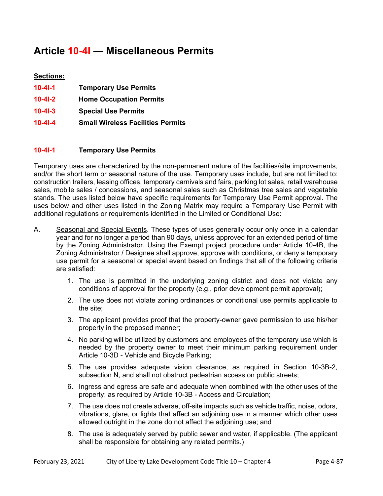# **Article 10-4I — Miscellaneous Permits**

# **Sections:**

| $10 - 41 - 1$ | <b>Temporary Use Permits</b>             |
|---------------|------------------------------------------|
| $10 - 41 - 2$ | <b>Home Occupation Permits</b>           |
| $10 - 41 - 3$ | <b>Special Use Permits</b>               |
| $10 - 41 - 4$ | <b>Small Wireless Facilities Permits</b> |

# **10-4I-1 Temporary Use Permits**

Temporary uses are characterized by the non-permanent nature of the facilities/site improvements, and/or the short term or seasonal nature of the use. Temporary uses include, but are not limited to: construction trailers, leasing offices, temporary carnivals and fairs, parking lot sales, retail warehouse sales, mobile sales / concessions, and seasonal sales such as Christmas tree sales and vegetable stands. The uses listed below have specific requirements for Temporary Use Permit approval. The uses below and other uses listed in the Zoning Matrix may require a Temporary Use Permit with additional regulations or requirements identified in the Limited or Conditional Use:

- A. Seasonal and Special Events. These types of uses generally occur only once in a calendar year and for no longer a period than 90 days, unless approved for an extended period of time by the Zoning Administrator. Using the Exempt project procedure under Article 10-4B, the Zoning Administrator / Designee shall approve, approve with conditions, or deny a temporary use permit for a seasonal or special event based on findings that all of the following criteria are satisfied:
	- 1. The use is permitted in the underlying zoning district and does not violate any conditions of approval for the property (e.g., prior development permit approval);
	- 2. The use does not violate zoning ordinances or conditional use permits applicable to the site;
	- 3. The applicant provides proof that the property-owner gave permission to use his/her property in the proposed manner;
	- 4. No parking will be utilized by customers and employees of the temporary use which is needed by the property owner to meet their minimum parking requirement under Article 10-3D - Vehicle and Bicycle Parking;
	- 5. The use provides adequate vision clearance, as required in Section 10-3B-2, subsection N, and shall not obstruct pedestrian access on public streets;
	- 6. Ingress and egress are safe and adequate when combined with the other uses of the property; as required by Article 10-3B - Access and Circulation;
	- 7. The use does not create adverse, off-site impacts such as vehicle traffic, noise, odors, vibrations, glare, or lights that affect an adjoining use in a manner which other uses allowed outright in the zone do not affect the adjoining use; and
	- 8. The use is adequately served by public sewer and water, if applicable. (The applicant shall be responsible for obtaining any related permits.)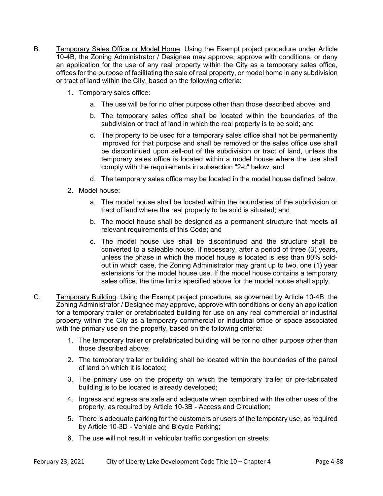- B. Temporary Sales Office or Model Home. Using the Exempt project procedure under Article 10-4B, the Zoning Administrator / Designee may approve, approve with conditions, or deny an application for the use of any real property within the City as a temporary sales office, offices for the purpose of facilitating the sale of real property, or model home in any subdivision or tract of land within the City, based on the following criteria:
	- 1. Temporary sales office:
		- a. The use will be for no other purpose other than those described above; and
		- b. The temporary sales office shall be located within the boundaries of the subdivision or tract of land in which the real property is to be sold; and
		- c. The property to be used for a temporary sales office shall not be permanently improved for that purpose and shall be removed or the sales office use shall be discontinued upon sell-out of the subdivision or tract of land, unless the temporary sales office is located within a model house where the use shall comply with the requirements in subsection "2-c" below; and
		- d. The temporary sales office may be located in the model house defined below.
	- 2. Model house:
		- a. The model house shall be located within the boundaries of the subdivision or tract of land where the real property to be sold is situated; and
		- b. The model house shall be designed as a permanent structure that meets all relevant requirements of this Code; and
		- c. The model house use shall be discontinued and the structure shall be converted to a saleable house, if necessary, after a period of three (3) years, unless the phase in which the model house is located is less than 80% soldout in which case, the Zoning Administrator may grant up to two, one (1) year extensions for the model house use. If the model house contains a temporary sales office, the time limits specified above for the model house shall apply.
- C. Temporary Building. Using the Exempt project procedure, as governed by Article 10-4B, the Zoning Administrator / Designee may approve, approve with conditions or deny an application for a temporary trailer or prefabricated building for use on any real commercial or industrial property within the City as a temporary commercial or industrial office or space associated with the primary use on the property, based on the following criteria:
	- 1. The temporary trailer or prefabricated building will be for no other purpose other than those described above;
	- 2. The temporary trailer or building shall be located within the boundaries of the parcel of land on which it is located;
	- 3. The primary use on the property on which the temporary trailer or pre-fabricated building is to be located is already developed;
	- 4. Ingress and egress are safe and adequate when combined with the other uses of the property, as required by Article 10-3B - Access and Circulation;
	- 5. There is adequate parking for the customers or users of the temporary use, as required by Article 10-3D - Vehicle and Bicycle Parking;
	- 6. The use will not result in vehicular traffic congestion on streets;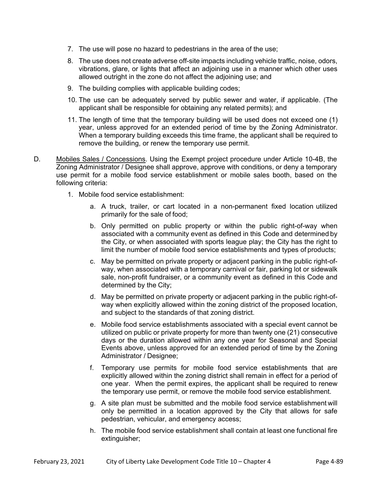- 7. The use will pose no hazard to pedestrians in the area of the use;
- 8. The use does not create adverse off-site impacts including vehicle traffic, noise, odors, vibrations, glare, or lights that affect an adjoining use in a manner which other uses allowed outright in the zone do not affect the adjoining use; and
- 9. The building complies with applicable building codes;
- 10. The use can be adequately served by public sewer and water, if applicable. (The applicant shall be responsible for obtaining any related permits); and
- 11. The length of time that the temporary building will be used does not exceed one (1) year, unless approved for an extended period of time by the Zoning Administrator. When a temporary building exceeds this time frame, the applicant shall be required to remove the building, or renew the temporary use permit.
- D. Mobiles Sales / Concessions. Using the Exempt project procedure under Article 10-4B, the Zoning Administrator / Designee shall approve, approve with conditions, or deny a temporary use permit for a mobile food service establishment or mobile sales booth, based on the following criteria:
	- 1. Mobile food service establishment:
		- a. A truck, trailer, or cart located in a non-permanent fixed location utilized primarily for the sale of food;
		- b. Only permitted on public property or within the public right-of-way when associated with a community event as defined in this Code and determined by the City, or when associated with sports league play; the City has the right to limit the number of mobile food service establishments and types of products;
		- c. May be permitted on private property or adjacent parking in the public right-ofway, when associated with a temporary carnival or fair, parking lot or sidewalk sale, non-profit fundraiser, or a community event as defined in this Code and determined by the City;
		- d. May be permitted on private property or adjacent parking in the public right-ofway when explicitly allowed within the zoning district of the proposed location, and subject to the standards of that zoning district.
		- e. Mobile food service establishments associated with a special event cannot be utilized on public or private property for more than twenty one (21) consecutive days or the duration allowed within any one year for Seasonal and Special Events above, unless approved for an extended period of time by the Zoning Administrator / Designee;
		- f. Temporary use permits for mobile food service establishments that are explicitly allowed within the zoning district shall remain in effect for a period of one year. When the permit expires, the applicant shall be required to renew the temporary use permit, or remove the mobile food service establishment.
		- g. A site plan must be submitted and the mobile food service establishment will only be permitted in a location approved by the City that allows for safe pedestrian, vehicular, and emergency access;
		- h. The mobile food service establishment shall contain at least one functional fire extinguisher;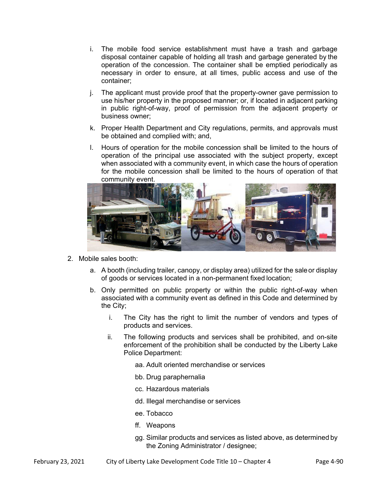- i. The mobile food service establishment must have a trash and garbage disposal container capable of holding all trash and garbage generated by the operation of the concession. The container shall be emptied periodically as necessary in order to ensure, at all times, public access and use of the container;
- j. The applicant must provide proof that the property-owner gave permission to use his/her property in the proposed manner; or, if located in adjacent parking in public right-of-way, proof of permission from the adjacent property or business owner;
- k. Proper Health Department and City regulations, permits, and approvals must be obtained and complied with; and,
- l. Hours of operation for the mobile concession shall be limited to the hours of operation of the principal use associated with the subject property, except when associated with a community event, in which case the hours of operation for the mobile concession shall be limited to the hours of operation of that community event.



- 2. Mobile sales booth:
	- a. A booth (including trailer, canopy, or display area) utilized for the sale or display of goods or services located in a non-permanent fixed location;
	- b. Only permitted on public property or within the public right-of-way when associated with a community event as defined in this Code and determined by the City;
		- i. The City has the right to limit the number of vendors and types of products and services.
		- ii. The following products and services shall be prohibited, and on-site enforcement of the prohibition shall be conducted by the Liberty Lake Police Department:
			- aa. Adult oriented merchandise or services
			- bb. Drug paraphernalia
			- cc. Hazardous materials
			- dd. Illegal merchandise or services
			- ee. Tobacco
			- ff. Weapons
			- gg. Similar products and services as listed above, as determined by the Zoning Administrator / designee;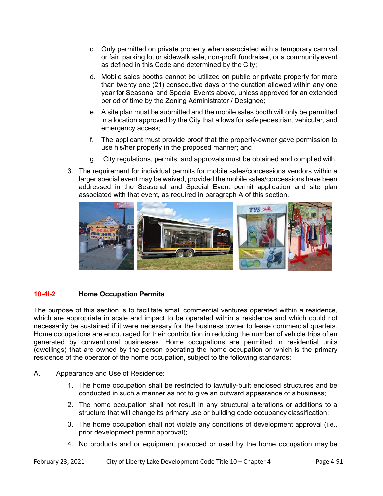- c. Only permitted on private property when associated with a temporary carnival or fair, parking lot or sidewalk sale, non-profit fundraiser, or a community event as defined in this Code and determined by the City;
- d. Mobile sales booths cannot be utilized on public or private property for more than twenty one (21) consecutive days or the duration allowed within any one year for Seasonal and Special Events above, unless approved for an extended period of time by the Zoning Administrator / Designee;
- e. A site plan must be submitted and the mobile sales booth will only be permitted in a location approved by the City that allows for safe pedestrian, vehicular, and emergency access;
- f. The applicant must provide proof that the property-owner gave permission to use his/her property in the proposed manner; and
- g. City regulations, permits, and approvals must be obtained and complied with.
- 3. The requirement for individual permits for mobile sales/concessions vendors within a larger special event may be waived, provided the mobile sales/concessions have been addressed in the Seasonal and Special Event permit application and site plan associated with that event, as required in paragraph A of this section.



# **10-4I-2 Home Occupation Permits**

The purpose of this section is to facilitate small commercial ventures operated within a residence, which are appropriate in scale and impact to be operated within a residence and which could not necessarily be sustained if it were necessary for the business owner to lease commercial quarters. Home occupations are encouraged for their contribution in reducing the number of vehicle trips often generated by conventional businesses. Home occupations are permitted in residential units (dwellings) that are owned by the person operating the home occupation or which is the primary residence of the operator of the home occupation, subject to the following standards:

## A. Appearance and Use of Residence:

- 1. The home occupation shall be restricted to lawfully-built enclosed structures and be conducted in such a manner as not to give an outward appearance of a business;
- 2. The home occupation shall not result in any structural alterations or additions to a structure that will change its primary use or building code occupancy classification;
- 3. The home occupation shall not violate any conditions of development approval (i.e., prior development permit approval);
- 4. No products and or equipment produced or used by the home occupation may be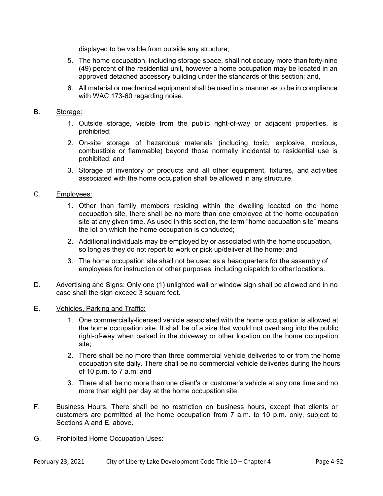displayed to be visible from outside any structure;

- 5. The home occupation, including storage space, shall not occupy more than forty-nine (49) percent of the residential unit, however a home occupation may be located in an approved detached accessory building under the standards of this section; and,
- 6. All material or mechanical equipment shall be used in a manner as to be in compliance with WAC 173-60 regarding noise.

#### B. Storage:

- 1. Outside storage, visible from the public right-of-way or adjacent properties, is prohibited;
- 2. On-site storage of hazardous materials (including toxic, explosive, noxious, combustible or flammable) beyond those normally incidental to residential use is prohibited; and
- 3. Storage of inventory or products and all other equipment, fixtures, and activities associated with the home occupation shall be allowed in any structure.

## C. Employees:

- 1. Other than family members residing within the dwelling located on the home occupation site, there shall be no more than one employee at the home occupation site at any given time. As used in this section, the term "home occupation site" means the lot on which the home occupation is conducted;
- 2. Additional individuals may be employed by or associated with the home occupation, so long as they do not report to work or pick up/deliver at the home; and
- 3. The home occupation site shall not be used as a headquarters for the assembly of employees for instruction or other purposes, including dispatch to other locations.
- D. Advertising and Signs: Only one (1) unlighted wall or window sign shall be allowed and in no case shall the sign exceed 3 square feet.

#### E. Vehicles, Parking and Traffic:

- 1. One commercially-licensed vehicle associated with the home occupation is allowed at the home occupation site. It shall be of a size that would not overhang into the public right-of-way when parked in the driveway or other location on the home occupation site;
- 2. There shall be no more than three commercial vehicle deliveries to or from the home occupation site daily. There shall be no commercial vehicle deliveries during the hours of 10 p.m. to 7 a.m; and
- 3. There shall be no more than one client's or customer's vehicle at any one time and no more than eight per day at the home occupation site.
- F. Business Hours. There shall be no restriction on business hours, except that clients or customers are permitted at the home occupation from 7 a.m. to 10 p.m. only, subject to Sections A and E, above.
- G. Prohibited Home Occupation Uses: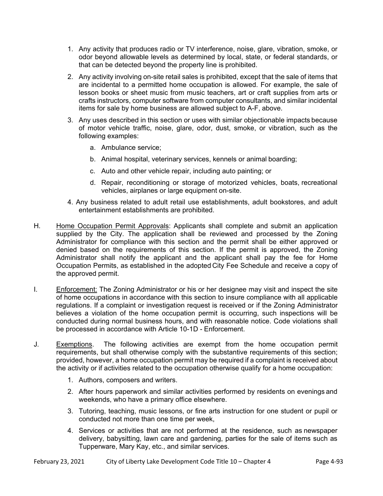- 1. Any activity that produces radio or TV interference, noise, glare, vibration, smoke, or odor beyond allowable levels as determined by local, state, or federal standards, or that can be detected beyond the property line is prohibited.
- 2. Any activity involving on-site retail sales is prohibited, except that the sale of items that are incidental to a permitted home occupation is allowed. For example, the sale of lesson books or sheet music from music teachers, art or craft supplies from arts or crafts instructors, computer software from computer consultants, and similar incidental items for sale by home business are allowed subject to A-F, above.
- 3. Any uses described in this section or uses with similar objectionable impacts because of motor vehicle traffic, noise, glare, odor, dust, smoke, or vibration, such as the following examples:
	- a. Ambulance service;
	- b. Animal hospital, veterinary services, kennels or animal boarding;
	- c. Auto and other vehicle repair, including auto painting; or
	- d. Repair, reconditioning or storage of motorized vehicles, boats, recreational vehicles, airplanes or large equipment on-site.
- 4. Any business related to adult retail use establishments, adult bookstores, and adult entertainment establishments are prohibited.
- H. Home Occupation Permit Approvals: Applicants shall complete and submit an application supplied by the City. The application shall be reviewed and processed by the Zoning Administrator for compliance with this section and the permit shall be either approved or denied based on the requirements of this section. If the permit is approved, the Zoning Administrator shall notify the applicant and the applicant shall pay the fee for Home Occupation Permits, as established in the adopted City Fee Schedule and receive a copy of the approved permit.
- I. **Enforcement:** The Zoning Administrator or his or her designee may visit and inspect the site of home occupations in accordance with this section to insure compliance with all applicable regulations. If a complaint or investigation request is received or if the Zoning Administrator believes a violation of the home occupation permit is occurring, such inspections will be conducted during normal business hours, and with reasonable notice. Code violations shall be processed in accordance with Article 10-1D - Enforcement.
- J. Exemptions. The following activities are exempt from the home occupation permit requirements, but shall otherwise comply with the substantive requirements of this section; provided, however, a home occupation permit may be required if a complaint is received about the activity or if activities related to the occupation otherwise qualify for a home occupation:
	- 1. Authors, composers and writers.
	- 2. After hours paperwork and similar activities performed by residents on evenings and weekends, who have a primary office elsewhere.
	- 3. Tutoring, teaching, music lessons, or fine arts instruction for one student or pupil or conducted not more than one time per week,
	- 4. Services or activities that are not performed at the residence, such as newspaper delivery, babysitting, lawn care and gardening, parties for the sale of items such as Tupperware, Mary Kay, etc., and similar services.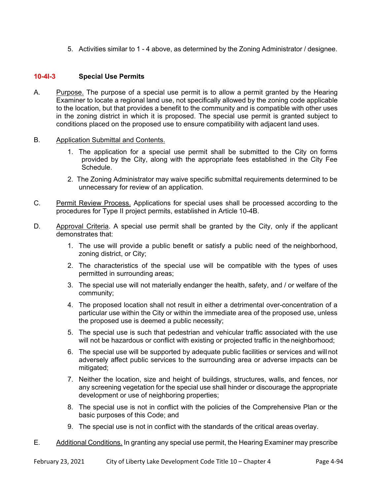5. Activities similar to 1 - 4 above, as determined by the Zoning Administrator / designee.

#### **10-4I-3 Special Use Permits**

- A. Purpose. The purpose of a special use permit is to allow a permit granted by the Hearing Examiner to locate a regional land use, not specifically allowed by the zoning code applicable to the location, but that provides a benefit to the community and is compatible with other uses in the zoning district in which it is proposed. The special use permit is granted subject to conditions placed on the proposed use to ensure compatibility with adjacent land uses.
- B. Application Submittal and Contents.
	- 1. The application for a special use permit shall be submitted to the City on forms provided by the City, along with the appropriate fees established in the City Fee Schedule.
	- 2. The Zoning Administrator may waive specific submittal requirements determined to be unnecessary for review of an application.
- C. Permit Review Process. Applications for special uses shall be processed according to the procedures for Type II project permits, established in Article 10-4B.
- D. Approval Criteria. A special use permit shall be granted by the City, only if the applicant demonstrates that:
	- 1. The use will provide a public benefit or satisfy a public need of the neighborhood, zoning district, or City;
	- 2. The characteristics of the special use will be compatible with the types of uses permitted in surrounding areas;
	- 3. The special use will not materially endanger the health, safety, and / or welfare of the community;
	- 4. The proposed location shall not result in either a detrimental over-concentration of a particular use within the City or within the immediate area of the proposed use, unless the proposed use is deemed a public necessity;
	- 5. The special use is such that pedestrian and vehicular traffic associated with the use will not be hazardous or conflict with existing or projected traffic in the neighborhood;
	- 6. The special use will be supported by adequate public facilities or services and will not adversely affect public services to the surrounding area or adverse impacts can be mitigated;
	- 7. Neither the location, size and height of buildings, structures, walls, and fences, nor any screening vegetation for the special use shall hinder or discourage the appropriate development or use of neighboring properties;
	- 8. The special use is not in conflict with the policies of the Comprehensive Plan or the basic purposes of this Code; and
	- 9. The special use is not in conflict with the standards of the critical areas overlay.
- E. Additional Conditions. In granting any special use permit, the Hearing Examiner may prescribe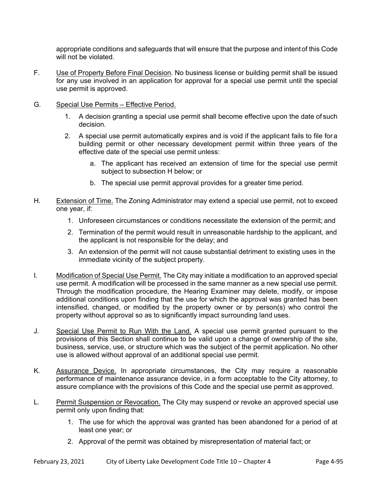appropriate conditions and safeguards that will ensure that the purpose and intent of this Code will not be violated.

- F. Use of Property Before Final Decision. No business license or building permit shall be issued for any use involved in an application for approval for a special use permit until the special use permit is approved.
- G. Special Use Permits Effective Period.
	- 1. A decision granting a special use permit shall become effective upon the date of such decision.
	- 2. A special use permit automatically expires and is void if the applicant fails to file for a building permit or other necessary development permit within three years of the effective date of the special use permit unless:
		- a. The applicant has received an extension of time for the special use permit subject to subsection H below; or
		- b. The special use permit approval provides for a greater time period.
- H. Extension of Time. The Zoning Administrator may extend a special use permit, not to exceed one year, if:
	- 1. Unforeseen circumstances or conditions necessitate the extension of the permit; and
	- 2. Termination of the permit would result in unreasonable hardship to the applicant, and the applicant is not responsible for the delay; and
	- 3. An extension of the permit will not cause substantial detriment to existing uses in the immediate vicinity of the subject property.
- I. Modification of Special Use Permit. The City may initiate a modification to an approved special use permit. A modification will be processed in the same manner as a new special use permit. Through the modification procedure, the Hearing Examiner may delete, modify, or impose additional conditions upon finding that the use for which the approval was granted has been intensified, changed, or modified by the property owner or by person(s) who control the property without approval so as to significantly impact surrounding land uses.
- J. Special Use Permit to Run With the Land. A special use permit granted pursuant to the provisions of this Section shall continue to be valid upon a change of ownership of the site, business, service, use, or structure which was the subject of the permit application. No other use is allowed without approval of an additional special use permit.
- K. Assurance Device. In appropriate circumstances, the City may require a reasonable performance of maintenance assurance device, in a form acceptable to the City attorney, to assure compliance with the provisions of this Code and the special use permit as approved.
- L. Permit Suspension or Revocation. The City may suspend or revoke an approved special use permit only upon finding that:
	- 1. The use for which the approval was granted has been abandoned for a period of at least one year; or
	- 2. Approval of the permit was obtained by misrepresentation of material fact; or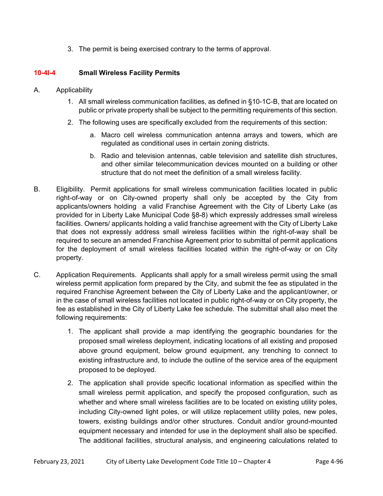3. The permit is being exercised contrary to the terms of approval.

## **10-4I-4 Small Wireless Facility Permits**

- A. Applicability
	- 1. All small wireless communication facilities, as defined in §10-1C-B, that are located on public or private property shall be subject to the permitting requirements of this section.
	- 2. The following uses are specifically excluded from the requirements of this section:
		- a. Macro cell wireless communication antenna arrays and towers, which are regulated as conditional uses in certain zoning districts.
		- b. Radio and television antennas, cable television and satellite dish structures, and other similar telecommunication devices mounted on a building or other structure that do not meet the definition of a small wireless facility.
- B. Eligibility. Permit applications for small wireless communication facilities located in public right-of-way or on City-owned property shall only be accepted by the City from applicants/owners holding a valid Franchise Agreement with the City of Liberty Lake (as provided for in Liberty Lake Municipal Code §8-8) which expressly addresses small wireless facilities. Owners/ applicants holding a valid franchise agreement with the City of Liberty Lake that does not expressly address small wireless facilities within the right-of-way shall be required to secure an amended Franchise Agreement prior to submittal of permit applications for the deployment of small wireless facilities located within the right-of-way or on City property.
- C. Application Requirements. Applicants shall apply for a small wireless permit using the small wireless permit application form prepared by the City, and submit the fee as stipulated in the required Franchise Agreement between the City of Liberty Lake and the applicant/owner, or in the case of small wireless facilities not located in public right-of-way or on City property, the fee as established in the City of Liberty Lake fee schedule. The submittal shall also meet the following requirements:
	- 1. The applicant shall provide a map identifying the geographic boundaries for the proposed small wireless deployment, indicating locations of all existing and proposed above ground equipment, below ground equipment, any trenching to connect to existing infrastructure and, to include the outline of the service area of the equipment proposed to be deployed.
	- 2. The application shall provide specific locational information as specified within the small wireless permit application, and specify the proposed configuration, such as whether and where small wireless facilities are to be located on existing utility poles, including City-owned light poles, or will utilize replacement utility poles, new poles, towers, existing buildings and/or other structures. Conduit and/or ground-mounted equipment necessary and intended for use in the deployment shall also be specified. The additional facilities, structural analysis, and engineering calculations related to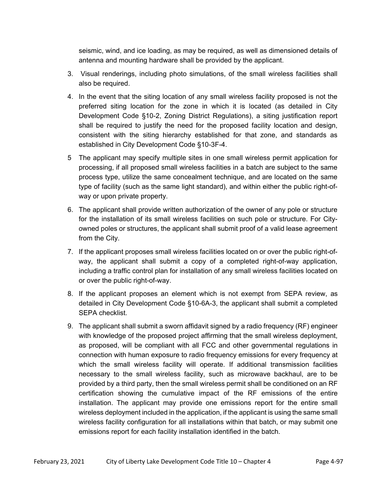seismic, wind, and ice loading, as may be required, as well as dimensioned details of antenna and mounting hardware shall be provided by the applicant.

- 3. Visual renderings, including photo simulations, of the small wireless facilities shall also be required.
- 4. In the event that the siting location of any small wireless facility proposed is not the preferred siting location for the zone in which it is located (as detailed in City Development Code §10-2, Zoning District Regulations), a siting justification report shall be required to justify the need for the proposed facility location and design, consistent with the siting hierarchy established for that zone, and standards as established in City Development Code §10-3F-4.
- 5 The applicant may specify multiple sites in one small wireless permit application for processing, if all proposed small wireless facilities in a batch are subject to the same process type, utilize the same concealment technique, and are located on the same type of facility (such as the same light standard), and within either the public right-ofway or upon private property.
- 6. The applicant shall provide written authorization of the owner of any pole or structure for the installation of its small wireless facilities on such pole or structure. For Cityowned poles or structures, the applicant shall submit proof of a valid lease agreement from the City.
- 7. If the applicant proposes small wireless facilities located on or over the public right-ofway, the applicant shall submit a copy of a completed right-of-way application, including a traffic control plan for installation of any small wireless facilities located on or over the public right-of-way.
- 8. If the applicant proposes an element which is not exempt from SEPA review, as detailed in City Development Code §10-6A-3, the applicant shall submit a completed SEPA checklist.
- 9. The applicant shall submit a sworn affidavit signed by a radio frequency (RF) engineer with knowledge of the proposed project affirming that the small wireless deployment, as proposed, will be compliant with all FCC and other governmental regulations in connection with human exposure to radio frequency emissions for every frequency at which the small wireless facility will operate. If additional transmission facilities necessary to the small wireless facility, such as microwave backhaul, are to be provided by a third party, then the small wireless permit shall be conditioned on an RF certification showing the cumulative impact of the RF emissions of the entire installation. The applicant may provide one emissions report for the entire small wireless deployment included in the application, if the applicant is using the same small wireless facility configuration for all installations within that batch, or may submit one emissions report for each facility installation identified in the batch.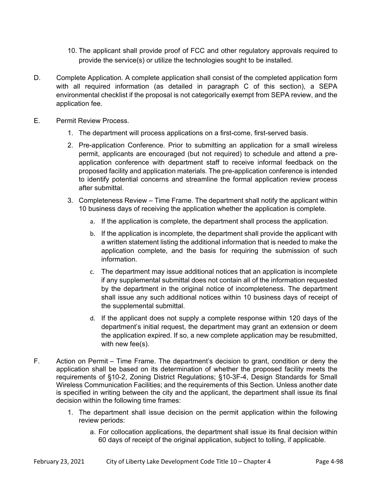- 10. The applicant shall provide proof of FCC and other regulatory approvals required to provide the service(s) or utilize the technologies sought to be installed.
- D. Complete Application*.* A complete application shall consist of the completed application form with all required information (as detailed in paragraph C of this section), a SEPA environmental checklist if the proposal is not categorically exempt from SEPA review, and the application fee.
- E. Permit Review Process.
	- 1. The department will process applications on a first-come, first-served basis.
	- 2. Pre-application Conference*.* Prior to submitting an application for a small wireless permit, applicants are encouraged (but not required) to schedule and attend a preapplication conference with department staff to receive informal feedback on the proposed facility and application materials. The pre-application conference is intended to identify potential concerns and streamline the formal application review process after submittal.
	- 3. Completeness Review Time Frame. The department shall notify the applicant within 10 business days of receiving the application whether the application is complete.
		- a. If the application is complete, the department shall process the application.
		- b. If the application is incomplete, the department shall provide the applicant with a written statement listing the additional information that is needed to make the application complete, and the basis for requiring the submission of such information.
		- c. The department may issue additional notices that an application is incomplete if any supplemental submittal does not contain all of the information requested by the department in the original notice of incompleteness. The department shall issue any such additional notices within 10 business days of receipt of the supplemental submittal.
		- d. If the applicant does not supply a complete response within 120 days of the department's initial request, the department may grant an extension or deem the application expired. If so, a new complete application may be resubmitted, with new fee(s).
- F. Action on Permit Time Frame. The department's decision to grant, condition or deny the application shall be based on its determination of whether the proposed facility meets the requirements of §10-2, Zoning District Regulations; §10-3F-4, Design Standards for Small Wireless Communication Facilities; and the requirements of this Section. Unless another date is specified in writing between the city and the applicant, the department shall issue its final decision within the following time frames:
	- 1. The department shall issue decision on the permit application within the following review periods:
		- a. For collocation applications, the department shall issue its final decision within 60 days of receipt of the original application, subject to tolling, if applicable.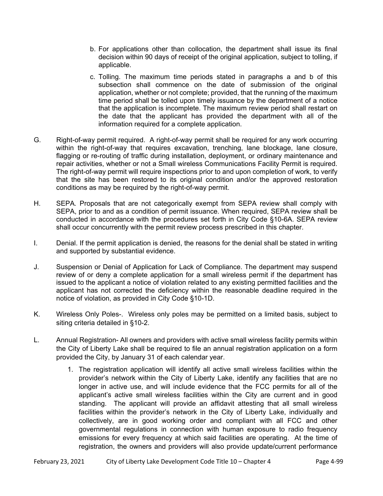- b. For applications other than collocation, the department shall issue its final decision within 90 days of receipt of the original application, subject to tolling, if applicable.
- c. Tolling. The maximum time periods stated in paragraphs a and b of this subsection shall commence on the date of submission of the original application, whether or not complete; provided, that the running of the maximum time period shall be tolled upon timely issuance by the department of a notice that the application is incomplete. The maximum review period shall restart on the date that the applicant has provided the department with all of the information required for a complete application.
- G. Right-of-way permit required. A right-of-way permit shall be required for any work occurring within the right-of-way that requires excavation, trenching, lane blockage, lane closure, flagging or re-routing of traffic during installation, deployment, or ordinary maintenance and repair activities, whether or not a Small wireless Communications Facility Permit is required. The right-of-way permit will require inspections prior to and upon completion of work, to verify that the site has been restored to its original condition and/or the approved restoration conditions as may be required by the right-of-way permit.
- H. SEPA*.* Proposals that are not categorically exempt from SEPA review shall comply with SEPA, prior to and as a condition of permit issuance. When required, SEPA review shall be conducted in accordance with the procedures set forth in City Code §10-6A. SEPA review shall occur concurrently with the permit review process prescribed in this chapter.
- I. Denial. If the permit application is denied, the reasons for the denial shall be stated in writing and supported by substantial evidence.
- J. Suspension or Denial of Application for Lack of Compliance. The department may suspend review of or deny a complete application for a small wireless permit if the department has issued to the applicant a notice of violation related to any existing permitted facilities and the applicant has not corrected the deficiency within the reasonable deadline required in the notice of violation, as provided in City Code §10-1D.
- K. Wireless Only Poles-. Wireless only poles may be permitted on a limited basis, subject to siting criteria detailed in §10-2.
- L. Annual Registration- All owners and providers with active small wireless facility permits within the City of Liberty Lake shall be required to file an annual registration application on a form provided the City, by January 31 of each calendar year.
	- 1. The registration application will identify all active small wireless facilities within the provider's network within the City of Liberty Lake, identify any facilities that are no longer in active use, and will include evidence that the FCC permits for all of the applicant's active small wireless facilities within the City are current and in good standing. The applicant will provide an affidavit attesting that all small wireless facilities within the provider's network in the City of Liberty Lake, individually and collectively, are in good working order and compliant with all FCC and other governmental regulations in connection with human exposure to radio frequency emissions for every frequency at which said facilities are operating. At the time of registration, the owners and providers will also provide update/current performance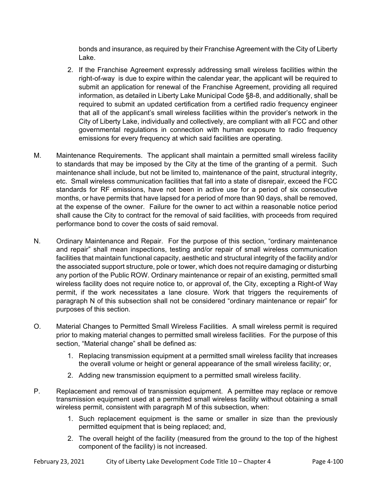bonds and insurance, as required by their Franchise Agreement with the City of Liberty Lake.

- 2. If the Franchise Agreement expressly addressing small wireless facilities within the right-of-way is due to expire within the calendar year, the applicant will be required to submit an application for renewal of the Franchise Agreement, providing all required information, as detailed in Liberty Lake Municipal Code §8-8, and additionally, shall be required to submit an updated certification from a certified radio frequency engineer that all of the applicant's small wireless facilities within the provider's network in the City of Liberty Lake, individually and collectively, are compliant with all FCC and other governmental regulations in connection with human exposure to radio frequency emissions for every frequency at which said facilities are operating.
- M. Maintenance Requirements. The applicant shall maintain a permitted small wireless facility to standards that may be imposed by the City at the time of the granting of a permit. Such maintenance shall include, but not be limited to, maintenance of the paint, structural integrity, etc. Small wireless communication facilities that fall into a state of disrepair, exceed the FCC standards for RF emissions, have not been in active use for a period of six consecutive months, or have permits that have lapsed for a period of more than 90 days, shall be removed, at the expense of the owner. Failure for the owner to act within a reasonable notice period shall cause the City to contract for the removal of said facilities, with proceeds from required performance bond to cover the costs of said removal.
- N. Ordinary Maintenance and Repair. For the purpose of this section, "ordinary maintenance and repair" shall mean inspections, testing and/or repair of small wireless communication facilities that maintain functional capacity, aesthetic and structural integrity of the facility and/or the associated support structure, pole or tower, which does not require damaging or disturbing any portion of the Public ROW. Ordinary maintenance or repair of an existing, permitted small wireless facility does not require notice to, or approval of, the City, excepting a Right-of Way permit, if the work necessitates a lane closure. Work that triggers the requirements of paragraph N of this subsection shall not be considered "ordinary maintenance or repair" for purposes of this section.
- O. Material Changes to Permitted Small Wireless Facilities. A small wireless permit is required prior to making material changes to permitted small wireless facilities. For the purpose of this section, "Material change" shall be defined as:
	- 1. Replacing transmission equipment at a permitted small wireless facility that increases the overall volume or height or general appearance of the small wireless facility; or,
	- 2. Adding new transmission equipment to a permitted small wireless facility.
- P. Replacement and removal of transmission equipment. A permittee may replace or remove transmission equipment used at a permitted small wireless facility without obtaining a small wireless permit, consistent with paragraph M of this subsection, when:
	- 1. Such replacement equipment is the same or smaller in size than the previously permitted equipment that is being replaced; and,
	- 2. The overall height of the facility (measured from the ground to the top of the highest component of the facility) is not increased.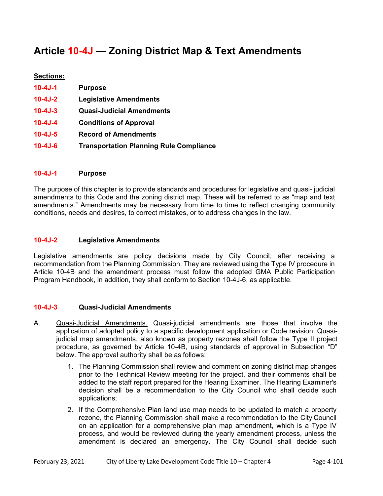# **Article 10-4J — Zoning District Map & Text Amendments**

## **Sections:**

| $10 - 4J - 1$ | <b>Purpose</b>                                 |
|---------------|------------------------------------------------|
| $10 - 4J - 2$ | <b>Legislative Amendments</b>                  |
| $10 - 4J - 3$ | <b>Quasi-Judicial Amendments</b>               |
| $10 - 4J - 4$ | <b>Conditions of Approval</b>                  |
| $10 - 4J - 5$ | <b>Record of Amendments</b>                    |
| $10 - 4J - 6$ | <b>Transportation Planning Rule Compliance</b> |

#### **10-4J-1 Purpose**

The purpose of this chapter is to provide standards and procedures for legislative and quasi- judicial amendments to this Code and the zoning district map. These will be referred to as "map and text amendments." Amendments may be necessary from time to time to reflect changing community conditions, needs and desires, to correct mistakes, or to address changes in the law.

#### **10-4J-2 Legislative Amendments**

Legislative amendments are policy decisions made by City Council, after receiving a recommendation from the Planning Commission. They are reviewed using the Type IV procedure in Article 10-4B and the amendment process must follow the adopted GMA Public Participation Program Handbook, in addition, they shall conform to Section 10-4J-6, as applicable.

#### **10-4J-3 Quasi-Judicial Amendments**

- A. Quasi-Judicial Amendments. Quasi-judicial amendments are those that involve the application of adopted policy to a specific development application or Code revision. Quasijudicial map amendments, also known as property rezones shall follow the Type II project procedure, as governed by Article 10-4B, using standards of approval in Subsection "D" below. The approval authority shall be as follows:
	- 1. The Planning Commission shall review and comment on zoning district map changes prior to the Technical Review meeting for the project, and their comments shall be added to the staff report prepared for the Hearing Examiner. The Hearing Examiner's decision shall be a recommendation to the City Council who shall decide such applications;
	- 2. If the Comprehensive Plan land use map needs to be updated to match a property rezone, the Planning Commission shall make a recommendation to the City Council on an application for a comprehensive plan map amendment, which is a Type IV process, and would be reviewed during the yearly amendment process, unless the amendment is declared an emergency. The City Council shall decide such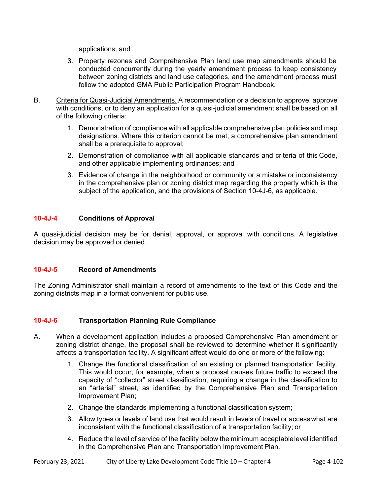applications; and

- 3. Property rezones and Comprehensive Plan land use map amendments should be conducted concurrently during the yearly amendment process to keep consistency between zoning districts and land use categories, and the amendment process must follow the adopted GMA Public Participation Program Handbook.
- B. Criteria for Quasi-Judicial Amendments. A recommendation or a decision to approve, approve with conditions, or to deny an application for a quasi-judicial amendment shall be based on all of the following criteria:
	- 1. Demonstration of compliance with all applicable comprehensive plan policies and map designations. Where this criterion cannot be met, a comprehensive plan amendment shall be a prerequisite to approval;
	- 2. Demonstration of compliance with all applicable standards and criteria of this Code, and other applicable implementing ordinances; and
	- 3. Evidence of change in the neighborhood or community or a mistake or inconsistency in the comprehensive plan or zoning district map regarding the property which is the subject of the application, and the provisions of Section 10-4J-6, as applicable.

## **10-4J-4 Conditions of Approval**

A quasi-judicial decision may be for denial, approval, or approval with conditions. A legislative decision may be approved or denied.

#### **10-4J-5 Record of Amendments**

The Zoning Administrator shall maintain a record of amendments to the text of this Code and the zoning districts map in a format convenient for public use.

## **10-4J-6 Transportation Planning Rule Compliance**

- A. When a development application includes a proposed Comprehensive Plan amendment or zoning district change, the proposal shall be reviewed to determine whether it significantly affects a transportation facility. A significant affect would do one or more of the following:
	- 1. Change the functional classification of an existing or planned transportation facility. This would occur, for example, when a proposal causes future traffic to exceed the capacity of "collector" street classification, requiring a change in the classification to an "arterial" street, as identified by the Comprehensive Plan and Transportation Improvement Plan;
	- 2. Change the standards implementing a functional classification system;
	- 3. Allow types or levels of land use that would result in levels of travel or access what are inconsistent with the functional classification of a transportation facility; or
	- 4. Reduce the level of service of the facility below the minimum acceptable level identified in the Comprehensive Plan and Transportation Improvement Plan.